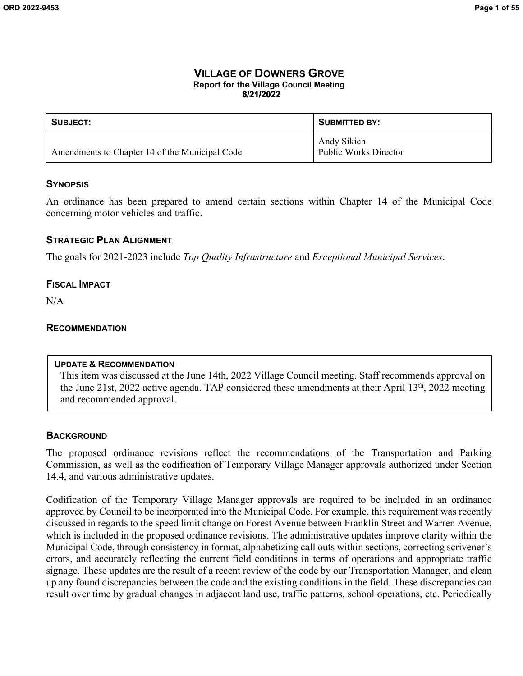# **VILLAGE OF DOWNERS GROVE Report for the Village Council Meeting 6/21/2022**

| SUBJECT:                                       | <b>SUBMITTED BY:</b>                        |
|------------------------------------------------|---------------------------------------------|
| Amendments to Chapter 14 of the Municipal Code | Andy Sikich<br><b>Public Works Director</b> |

# **SYNOPSIS**

An ordinance has been prepared to amend certain sections within Chapter 14 of the Municipal Code concerning motor vehicles and traffic.

# **STRATEGIC PLAN ALIGNMENT**

The goals for 2021-2023 include *Top Quality Infrastructure* and *Exceptional Municipal Services*.

# **FISCAL IMPACT**

N/A

### **RECOMMENDATION**

# **UPDATE & RECOMMENDATION**

This item was discussed at the June 14th, 2022 Village Council meeting. Staff recommends approval on the June 21st, 2022 active agenda. TAP considered these amendments at their April 13th, 2022 meeting and recommended approval.

# **BACKGROUND**

The proposed ordinance revisions reflect the recommendations of the Transportation and Parking Commission, as well as the codification of Temporary Village Manager approvals authorized under Section 14.4, and various administrative updates.

Codification of the Temporary Village Manager approvals are required to be included in an ordinance approved by Council to be incorporated into the Municipal Code. For example, this requirement was recently discussed in regards to the speed limit change on Forest Avenue between Franklin Street and Warren Avenue, which is included in the proposed ordinance revisions. The administrative updates improve clarity within the Municipal Code, through consistency in format, alphabetizing call outs within sections, correcting scrivener's errors, and accurately reflecting the current field conditions in terms of operations and appropriate traffic signage. These updates are the result of a recent review of the code by our Transportation Manager, and clean up any found discrepancies between the code and the existing conditions in the field. These discrepancies can result over time by gradual changes in adjacent land use, traffic patterns, school operations, etc. Periodically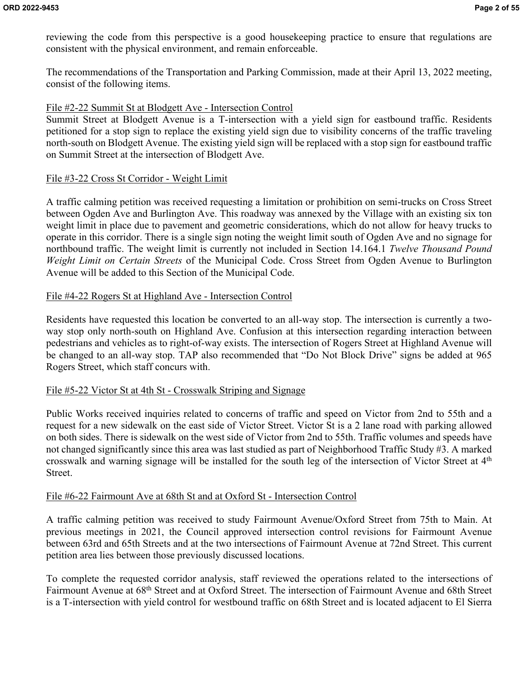reviewing the code from this perspective is a good housekeeping practice to ensure that regulations are consistent with the physical environment, and remain enforceable.

The recommendations of the Transportation and Parking Commission, made at their April 13, 2022 meeting, consist of the following items.

# File #2-22 Summit St at Blodgett Ave - Intersection Control

Summit Street at Blodgett Avenue is a T-intersection with a yield sign for eastbound traffic. Residents petitioned for a stop sign to replace the existing yield sign due to visibility concerns of the traffic traveling north-south on Blodgett Avenue. The existing yield sign will be replaced with a stop sign for eastbound traffic on Summit Street at the intersection of Blodgett Ave.

# File #3-22 Cross St Corridor - Weight Limit

A traffic calming petition was received requesting a limitation or prohibition on semi-trucks on Cross Street between Ogden Ave and Burlington Ave. This roadway was annexed by the Village with an existing six ton weight limit in place due to pavement and geometric considerations, which do not allow for heavy trucks to operate in this corridor. There is a single sign noting the weight limit south of Ogden Ave and no signage for northbound traffic. The weight limit is currently not included in Section 14.164.1 *Twelve Thousand Pound Weight Limit on Certain Streets* of the Municipal Code. Cross Street from Ogden Avenue to Burlington Avenue will be added to this Section of the Municipal Code.

# File #4-22 Rogers St at Highland Ave - Intersection Control

Residents have requested this location be converted to an all-way stop. The intersection is currently a twoway stop only north-south on Highland Ave. Confusion at this intersection regarding interaction between pedestrians and vehicles as to right-of-way exists. The intersection of Rogers Street at Highland Avenue will be changed to an all-way stop. TAP also recommended that "Do Not Block Drive" signs be added at 965 Rogers Street, which staff concurs with.

# File #5-22 Victor St at 4th St - Crosswalk Striping and Signage

Public Works received inquiries related to concerns of traffic and speed on Victor from 2nd to 55th and a request for a new sidewalk on the east side of Victor Street. Victor St is a 2 lane road with parking allowed on both sides. There is sidewalk on the west side of Victor from 2nd to 55th. Traffic volumes and speeds have not changed significantly since this area was last studied as part of Neighborhood Traffic Study #3. A marked crosswalk and warning signage will be installed for the south leg of the intersection of Victor Street at 4th Street.

# File #6-22 Fairmount Ave at 68th St and at Oxford St - Intersection Control

A traffic calming petition was received to study Fairmount Avenue/Oxford Street from 75th to Main. At previous meetings in 2021, the Council approved intersection control revisions for Fairmount Avenue between 63rd and 65th Streets and at the two intersections of Fairmount Avenue at 72nd Street. This current petition area lies between those previously discussed locations.

To complete the requested corridor analysis, staff reviewed the operations related to the intersections of Fairmount Avenue at 68th Street and at Oxford Street. The intersection of Fairmount Avenue and 68th Street is a T-intersection with yield control for westbound traffic on 68th Street and is located adjacent to El Sierra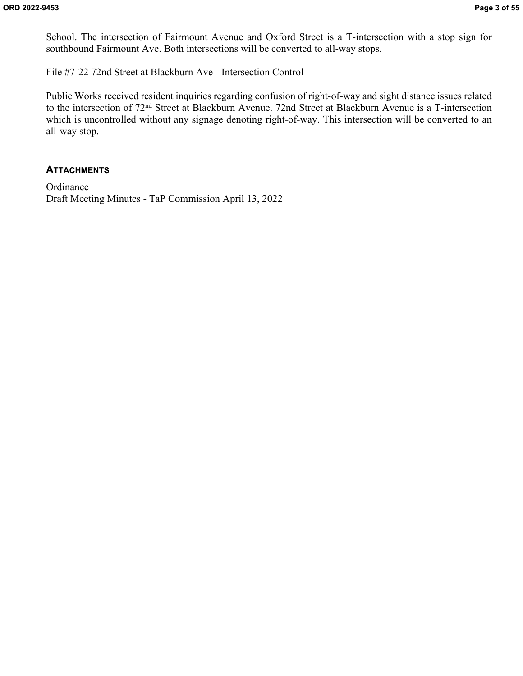School. The intersection of Fairmount Avenue and Oxford Street is a T-intersection with a stop sign for southbound Fairmount Ave. Both intersections will be converted to all-way stops.

# File #7-22 72nd Street at Blackburn Ave - Intersection Control

Public Works received resident inquiries regarding confusion of right-of-way and sight distance issues related to the intersection of 72nd Street at Blackburn Avenue. 72nd Street at Blackburn Avenue is a T-intersection which is uncontrolled without any signage denoting right-of-way. This intersection will be converted to an all-way stop.

# **ATTACHMENTS**

**Ordinance** Draft Meeting Minutes - TaP Commission April 13, 2022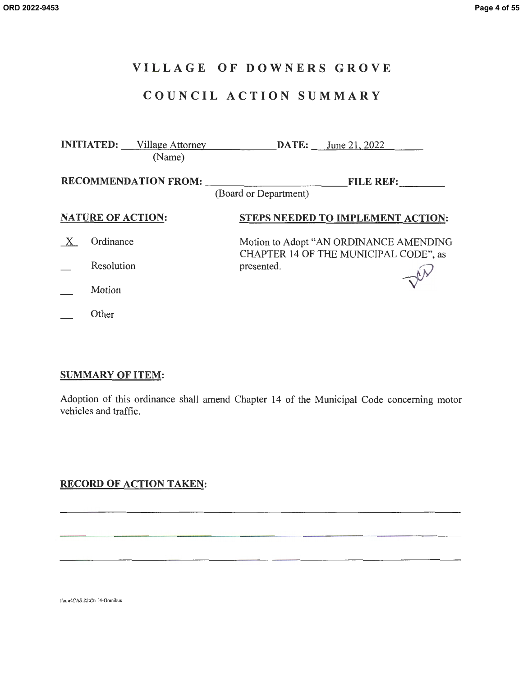# **VILLAGE OF DOWNERS GROVE**

# **COUNCIL ACTION SUMMARY**

|                             | <b>INITIATED:</b> Village Attorney<br>(Name) | <b>DATE:</b> June 21, 2022                                                      |  |
|-----------------------------|----------------------------------------------|---------------------------------------------------------------------------------|--|
| <b>RECOMMENDATION FROM:</b> |                                              | <b>FILE REF:</b><br>(Board or Department)                                       |  |
|                             | <b>NATURE OF ACTION:</b>                     | <b>STEPS NEEDED TO IMPLEMENT ACTION:</b>                                        |  |
|                             | Ordinance                                    | Motion to Adopt "AN ORDINANCE AMENDING<br>CHAPTER 14 OF THE MUNICIPAL CODE", as |  |
|                             | Resolution                                   | presented.                                                                      |  |
|                             | Motion                                       |                                                                                 |  |
|                             | Other                                        |                                                                                 |  |

# **SUMMARY OF ITEM:**

Adoption of this ordinance shall amend Chapter 14 of the Municipal Code concerning motor vehicles and traffic.

# **RECORD OF ACTION TAKEN:**

llmw\CAS.22\Ch 14-0mnibus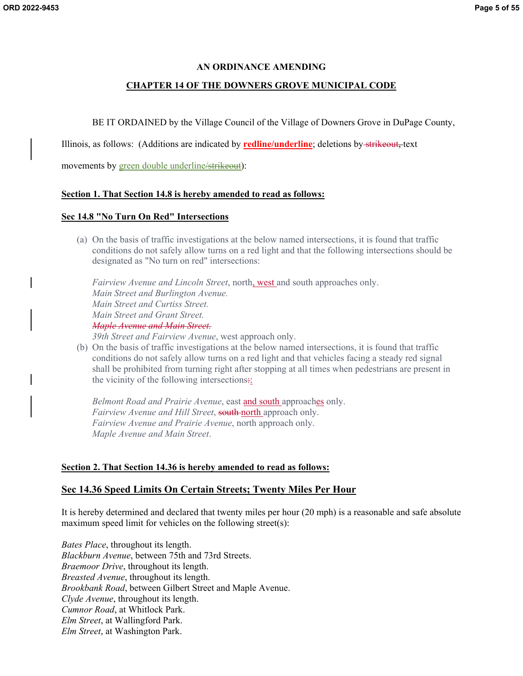#### **AN ORDINANCE AMENDING**

#### **CHAPTER 14 OF THE DOWNERS GROVE MUNICIPAL CODE**

BE IT ORDAINED by the Village Council of the Village of Downers Grove in DuPage County,

Illinois, as follows: (Additions are indicated by **redline/underline**; deletions by strikeout, text

movements by green double underline/strikeout):

#### **Section 1. That Section 14.8 is hereby amended to read as follows:**

#### **Sec 14.8 "No Turn On Red" Intersections**

(a) On the basis of traffic investigations at the below named intersections, it is found that traffic conditions do not safely allow turns on a red light and that the following intersections should be designated as "No turn on red" intersections:

*Fairview Avenue and Lincoln Street*, north, west and south approaches only. *Main Street and Burlington Avenue. Main Street and Curtiss Street. Main Street and Grant Street. Maple Avenue and Main Street. 39th Street and Fairview Avenue*, west approach only.

(b) On the basis of traffic investigations at the below named intersections, it is found that traffic conditions do not safely allow turns on a red light and that vehicles facing a steady red signal shall be prohibited from turning right after stopping at all times when pedestrians are present in the vicinity of the following intersections:

*Belmont Road and Prairie Avenue*, east and south approaches only. *Fairview Avenue and Hill Street*, south north approach only. *Fairview Avenue and Prairie Avenue*, north approach only. *Maple Avenue and Main Street*.

### **Section 2. That Section 14.36 is hereby amended to read as follows:**

### **Sec 14.36 Speed Limits On Certain Streets; Twenty Miles Per Hour**

It is hereby determined and declared that twenty miles per hour (20 mph) is a reasonable and safe absolute maximum speed limit for vehicles on the following street(s):

*Bates Place*, throughout its length. *Blackburn Avenue*, between 75th and 73rd Streets. *Braemoor Drive*, throughout its length. *Breasted Avenue*, throughout its length. *Brookbank Road*, between Gilbert Street and Maple Avenue. *Clyde Avenue*, throughout its length. *Cumnor Road*, at Whitlock Park. *Elm Street*, at Wallingford Park. *Elm Street*, at Washington Park.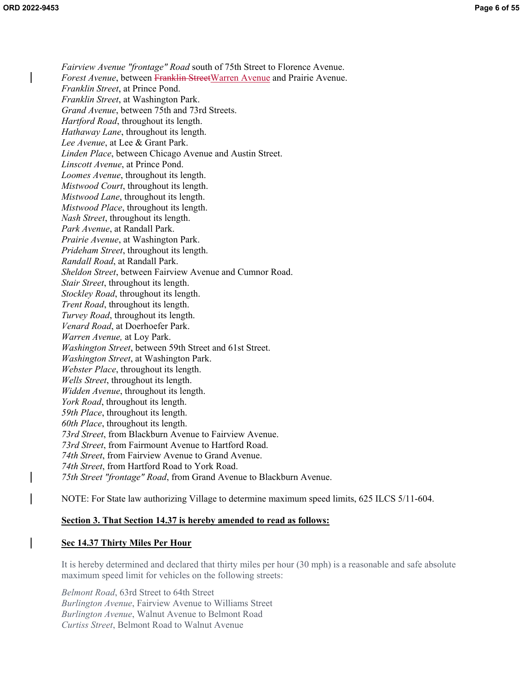*Fairview Avenue "frontage" Road* south of 75th Street to Florence Avenue. *Forest Avenue*, between Franklin StreetWarren Avenue and Prairie Avenue. *Franklin Street*, at Prince Pond. *Franklin Street*, at Washington Park. *Grand Avenue*, between 75th and 73rd Streets. *Hartford Road*, throughout its length. *Hathaway Lane*, throughout its length. *Lee Avenue*, at Lee & Grant Park. *Linden Place*, between Chicago Avenue and Austin Street. *Linscott Avenue*, at Prince Pond. *Loomes Avenue*, throughout its length. *Mistwood Court*, throughout its length. *Mistwood Lane*, throughout its length. *Mistwood Place*, throughout its length. *Nash Street*, throughout its length. *Park Avenue*, at Randall Park. *Prairie Avenue*, at Washington Park. *Prideham Street*, throughout its length. *Randall Road*, at Randall Park. *Sheldon Street*, between Fairview Avenue and Cumnor Road. *Stair Street*, throughout its length. *Stockley Road*, throughout its length. *Trent Road*, throughout its length. *Turvey Road*, throughout its length. *Venard Road*, at Doerhoefer Park. *Warren Avenue,* at Loy Park. *Washington Street*, between 59th Street and 61st Street. *Washington Street*, at Washington Park. *Webster Place*, throughout its length. *Wells Street*, throughout its length. *Widden Avenue*, throughout its length. *York Road*, throughout its length. *59th Place*, throughout its length. *60th Place*, throughout its length. *73rd Street*, from Blackburn Avenue to Fairview Avenue. *73rd Street*, from Fairmount Avenue to Hartford Road. *74th Street*, from Fairview Avenue to Grand Avenue. *74th Street*, from Hartford Road to York Road. *75th Street "frontage" Road*, from Grand Avenue to Blackburn Avenue.

NOTE: For State law authorizing Village to determine maximum speed limits, 625 ILCS 5/11-604.

#### **Section 3. That Section 14.37 is hereby amended to read as follows:**

#### **Sec 14.37 Thirty Miles Per Hour**

It is hereby determined and declared that thirty miles per hour (30 mph) is a reasonable and safe absolute maximum speed limit for vehicles on the following streets:

*Belmont Road*, 63rd Street to 64th Street *Burlington Avenue*, Fairview Avenue to Williams Street *Burlington Avenue*, Walnut Avenue to Belmont Road *Curtiss Street*, Belmont Road to Walnut Avenue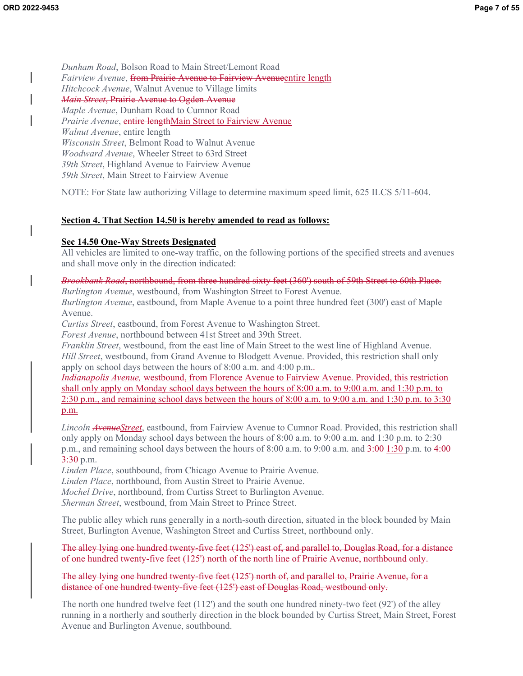*Dunham Road*, Bolson Road to Main Street/Lemont Road *Fairview Avenue*, from Prairie Avenue to Fairview Avenueentire length *Hitchcock Avenue*, Walnut Avenue to Village limits *Main Street*, Prairie Avenue to Ogden Avenue *Maple Avenue*, Dunham Road to Cumnor Road *Prairie Avenue*, entire lengthMain Street to Fairview Avenue *Walnut Avenue*, entire length *Wisconsin Street*, Belmont Road to Walnut Avenue *Woodward Avenue*, Wheeler Street to 63rd Street *39th Street*, Highland Avenue to Fairview Avenue *59th Street*, Main Street to Fairview Avenue

NOTE: For State law authorizing Village to determine maximum speed limit, 625 ILCS 5/11-604.

# **Section 4. That Section 14.50 is hereby amended to read as follows:**

# **Sec 14.50 One-Way Streets Designated**

All vehicles are limited to one-way traffic, on the following portions of the specified streets and avenues and shall move only in the direction indicated:

### *Brookbank Road*, northbound, from three hundred sixty feet (360') south of 59th Street to 60th Place.

*Burlington Avenue*, westbound, from Washington Street to Forest Avenue.

*Burlington Avenue*, eastbound, from Maple Avenue to a point three hundred feet (300') east of Maple Avenue.

*Curtiss Street*, eastbound, from Forest Avenue to Washington Street.

*Forest Avenue*, northbound between 41st Street and 39th Street.

*Franklin Street*, westbound, from the east line of Main Street to the west line of Highland Avenue. *Hill Street*, westbound, from Grand Avenue to Blodgett Avenue. Provided, this restriction shall only apply on school days between the hours of 8:00 a.m. and 4:00 p.m..

*Indianapolis Avenue,* westbound, from Florence Avenue to Fairview Avenue. Provided, this restriction shall only apply on Monday school days between the hours of 8:00 a.m. to 9:00 a.m. and 1:30 p.m. to 2:30 p.m., and remaining school days between the hours of 8:00 a.m. to 9:00 a.m. and 1:30 p.m. to 3:30 p.m.

*Lincoln AvenueStreet*, eastbound, from Fairview Avenue to Cumnor Road. Provided, this restriction shall only apply on Monday school days between the hours of 8:00 a.m. to 9:00 a.m. and 1:30 p.m. to 2:30 p.m., and remaining school days between the hours of 8:00 a.m. to 9:00 a.m. and  $\frac{3:00 - 1:30}{2}$  p.m. to  $\frac{4:00}{2}$ 3:30 p.m.

*Linden Place*, southbound, from Chicago Avenue to Prairie Avenue.

*Linden Place*, northbound, from Austin Street to Prairie Avenue.

*Mochel Drive*, northbound, from Curtiss Street to Burlington Avenue.

*Sherman Street*, westbound, from Main Street to Prince Street.

The public alley which runs generally in a north-south direction, situated in the block bounded by Main Street, Burlington Avenue, Washington Street and Curtiss Street, northbound only.

The alley lying one hundred twenty-five feet (125') east of, and parallel to, Douglas Road, for a distance of one hundred twenty-five feet (125') north of the north line of Prairie Avenue, northbound only.

The alley lying one hundred twenty-five feet (125') north of, and parallel to, Prairie Avenue, for a distance of one hundred twenty-five feet (125') east of Douglas Road, westbound only.

The north one hundred twelve feet  $(112')$  and the south one hundred ninety-two feet  $(92')$  of the alley running in a northerly and southerly direction in the block bounded by Curtiss Street, Main Street, Forest Avenue and Burlington Avenue, southbound.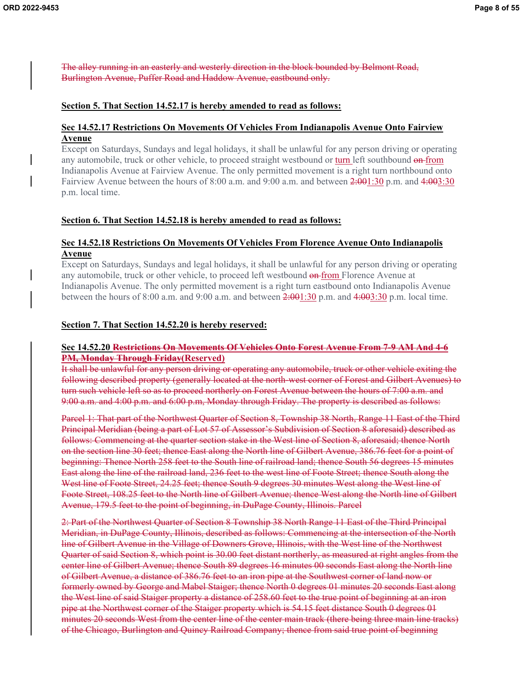The alley running in an easterly and westerly direction in the block bounded by Belmont Road, Burlington Avenue, Puffer Road and Haddow Avenue, eastbound only.

### **Section 5. That Section 14.52.17 is hereby amended to read as follows:**

### **Sec 14.52.17 Restrictions On Movements Of Vehicles From Indianapolis Avenue Onto Fairview Avenue**

Except on Saturdays, Sundays and legal holidays, it shall be unlawful for any person driving or operating any automobile, truck or other vehicle, to proceed straight westbound or turn left southbound on from Indianapolis Avenue at Fairview Avenue. The only permitted movement is a right turn northbound onto Fairview Avenue between the hours of 8:00 a.m. and 9:00 a.m. and between  $2:001:30$  p.m. and  $4:003:30$ p.m. local time.

# **Section 6. That Section 14.52.18 is hereby amended to read as follows:**

### **Sec 14.52.18 Restrictions On Movements Of Vehicles From Florence Avenue Onto Indianapolis Avenue**

Except on Saturdays, Sundays and legal holidays, it shall be unlawful for any person driving or operating any automobile, truck or other vehicle, to proceed left westbound on from Florence Avenue at Indianapolis Avenue. The only permitted movement is a right turn eastbound onto Indianapolis Avenue between the hours of 8:00 a.m. and 9:00 a.m. and between 2:001:30 p.m. and 4:003:30 p.m. local time.

### **Section 7. That Section 14.52.20 is hereby reserved:**

### **Sec 14.52.20 Restrictions On Movements Of Vehicles Onto Forest Avenue From 7-9 AM And 4-6 PM, Monday Through Friday(Reserved)**

It shall be unlawful for any person driving or operating any automobile, truck or other vehicle exiting the following described property (generally located at the north-west corner of Forest and Gilbert Avenues) to turn such vehicle left so as to proceed northerly on Forest Avenue between the hours of 7:00 a.m. and 9:00 a.m. and 4:00 p.m. and 6:00 p.m, Monday through Friday. The property is described as follows:

Parcel 1: That part of the Northwest Quarter of Section 8, Township 38 North, Range 11 East of the Third Principal Meridian (being a part of Lot 57 of Assessor's Subdivision of Section 8 aforesaid) described as follows: Commencing at the quarter section stake in the West line of Section 8, aforesaid; thence North on the section line 30 feet; thence East along the North line of Gilbert Avenue, 386.76 feet for a point of beginning: Thence North 258 feet to the South line of railroad land; thence South 56 degrees 15 minutes East along the line of the railroad land, 236 feet to the west line of Foote Street; thence South along the West line of Foote Street, 24.25 feet; thence South 9 degrees 30 minutes West along the West line of Foote Street, 108.25 feet to the North line of Gilbert Avenue; thence West along the North line of Gilbert Avenue, 179.5 feet to the point of beginning, in DuPage County, Illinois. Parcel

2: Part of the Northwest Quarter of Section 8 Township 38 North Range 11 East of the Third Principal Meridian, in DuPage County, Illinois, described as follows: Commencing at the intersection of the North line of Gilbert Avenue in the Village of Downers Grove, Illinois, with the West line of the Northwest Quarter of said Section 8, which point is 30.00 feet distant northerly, as measured at right angles from the center line of Gilbert Avenue; thence South 89 degrees 16 minutes 00 seconds East along the North line of Gilbert Avenue, a distance of 386.76 feet to an iron pipe at the Southwest corner of land now or formerly owned by George and Mabel Staiger; thence North 0 degrees 01 minutes 20 seconds East along the West line of said Staiger property a distance of 258.60 feet to the true point of beginning at an iron pipe at the Northwest corner of the Staiger property which is 54.15 feet distance South 0 degrees 01 minutes 20 seconds West from the center line of the center main track (there being three main line tracks) of the Chicago, Burlington and Quincy Railroad Company; thence from said true point of beginning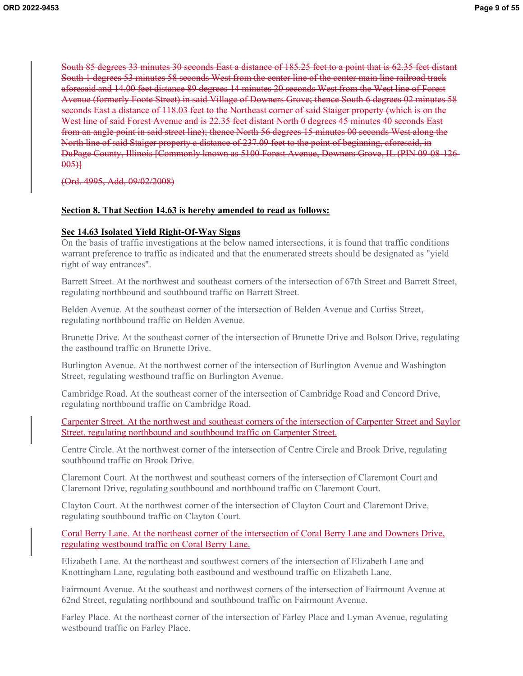South 85 degrees 33 minutes 30 seconds East a distance of 185.25 feet to a point that is 62.35 feet distant South 1 degrees 53 minutes 58 seconds West from the center line of the center main line railroad track aforesaid and 14.00 feet distance 89 degrees 14 minutes 20 seconds West from the West line of Forest Avenue (formerly Foote Street) in said Village of Downers Grove; thence South 6 degrees 02 minutes 58 seconds East a distance of 118.03 feet to the Northeast corner of said Staiger property (which is on the West line of said Forest Avenue and is 22.35 feet distant North 0 degrees 45 minutes 40 seconds East from an angle point in said street line); thence North 56 degrees 15 minutes 00 seconds West along the North line of said Staiger property a distance of 237.09 feet to the point of beginning, aforesaid, in DuPage County, Illinois [Commonly known as 5100 Forest Avenue, Downers Grove, IL (PIN 09-08-126- 005)]

(Ord. 4995, Add, 09/02/2008)

#### **Section 8. That Section 14.63 is hereby amended to read as follows:**

#### **Sec 14.63 Isolated Yield Right-Of-Way Signs**

On the basis of traffic investigations at the below named intersections, it is found that traffic conditions warrant preference to traffic as indicated and that the enumerated streets should be designated as "yield right of way entrances".

Barrett Street. At the northwest and southeast corners of the intersection of 67th Street and Barrett Street, regulating northbound and southbound traffic on Barrett Street.

Belden Avenue. At the southeast corner of the intersection of Belden Avenue and Curtiss Street, regulating northbound traffic on Belden Avenue.

Brunette Drive. At the southeast corner of the intersection of Brunette Drive and Bolson Drive, regulating the eastbound traffic on Brunette Drive.

Burlington Avenue. At the northwest corner of the intersection of Burlington Avenue and Washington Street, regulating westbound traffic on Burlington Avenue.

Cambridge Road. At the southeast corner of the intersection of Cambridge Road and Concord Drive, regulating northbound traffic on Cambridge Road.

Carpenter Street. At the northwest and southeast corners of the intersection of Carpenter Street and Saylor Street, regulating northbound and southbound traffic on Carpenter Street.

Centre Circle. At the northwest corner of the intersection of Centre Circle and Brook Drive, regulating southbound traffic on Brook Drive.

Claremont Court. At the northwest and southeast corners of the intersection of Claremont Court and Claremont Drive, regulating southbound and northbound traffic on Claremont Court.

Clayton Court. At the northwest corner of the intersection of Clayton Court and Claremont Drive, regulating southbound traffic on Clayton Court.

Coral Berry Lane. At the northeast corner of the intersection of Coral Berry Lane and Downers Drive, regulating westbound traffic on Coral Berry Lane.

Elizabeth Lane. At the northeast and southwest corners of the intersection of Elizabeth Lane and Knottingham Lane, regulating both eastbound and westbound traffic on Elizabeth Lane.

Fairmount Avenue. At the southeast and northwest corners of the intersection of Fairmount Avenue at 62nd Street, regulating northbound and southbound traffic on Fairmount Avenue.

Farley Place. At the northeast corner of the intersection of Farley Place and Lyman Avenue, regulating westbound traffic on Farley Place.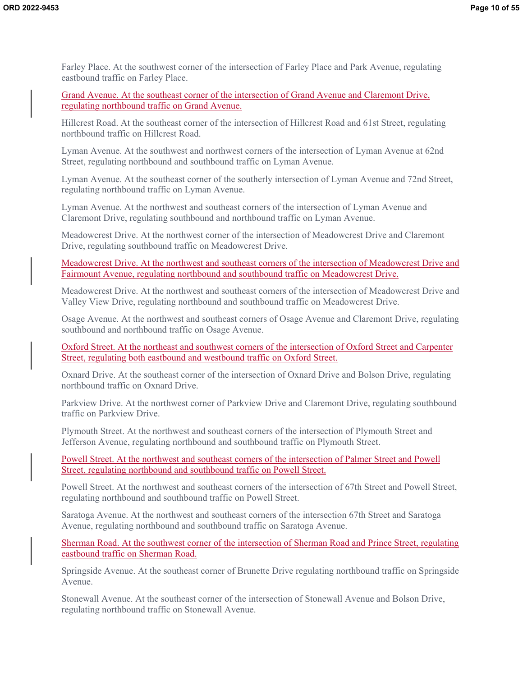Farley Place. At the southwest corner of the intersection of Farley Place and Park Avenue, regulating eastbound traffic on Farley Place.

Grand Avenue. At the southeast corner of the intersection of Grand Avenue and Claremont Drive, regulating northbound traffic on Grand Avenue.

Hillcrest Road. At the southeast corner of the intersection of Hillcrest Road and 61st Street, regulating northbound traffic on Hillcrest Road.

Lyman Avenue. At the southwest and northwest corners of the intersection of Lyman Avenue at 62nd Street, regulating northbound and southbound traffic on Lyman Avenue.

Lyman Avenue. At the southeast corner of the southerly intersection of Lyman Avenue and 72nd Street, regulating northbound traffic on Lyman Avenue.

Lyman Avenue. At the northwest and southeast corners of the intersection of Lyman Avenue and Claremont Drive, regulating southbound and northbound traffic on Lyman Avenue.

Meadowcrest Drive. At the northwest corner of the intersection of Meadowcrest Drive and Claremont Drive, regulating southbound traffic on Meadowcrest Drive.

Meadowcrest Drive. At the northwest and southeast corners of the intersection of Meadowcrest Drive and Fairmount Avenue, regulating northbound and southbound traffic on Meadowcrest Drive.

Meadowcrest Drive. At the northwest and southeast corners of the intersection of Meadowcrest Drive and Valley View Drive, regulating northbound and southbound traffic on Meadowcrest Drive.

Osage Avenue. At the northwest and southeast corners of Osage Avenue and Claremont Drive, regulating southbound and northbound traffic on Osage Avenue.

Oxford Street. At the northeast and southwest corners of the intersection of Oxford Street and Carpenter Street, regulating both eastbound and westbound traffic on Oxford Street.

Oxnard Drive. At the southeast corner of the intersection of Oxnard Drive and Bolson Drive, regulating northbound traffic on Oxnard Drive.

Parkview Drive. At the northwest corner of Parkview Drive and Claremont Drive, regulating southbound traffic on Parkview Drive.

Plymouth Street. At the northwest and southeast corners of the intersection of Plymouth Street and Jefferson Avenue, regulating northbound and southbound traffic on Plymouth Street.

Powell Street. At the northwest and southeast corners of the intersection of Palmer Street and Powell Street, regulating northbound and southbound traffic on Powell Street.

Powell Street. At the northwest and southeast corners of the intersection of 67th Street and Powell Street, regulating northbound and southbound traffic on Powell Street.

Saratoga Avenue. At the northwest and southeast corners of the intersection 67th Street and Saratoga Avenue, regulating northbound and southbound traffic on Saratoga Avenue.

Sherman Road. At the southwest corner of the intersection of Sherman Road and Prince Street, regulating eastbound traffic on Sherman Road.

Springside Avenue. At the southeast corner of Brunette Drive regulating northbound traffic on Springside Avenue.

Stonewall Avenue. At the southeast corner of the intersection of Stonewall Avenue and Bolson Drive, regulating northbound traffic on Stonewall Avenue.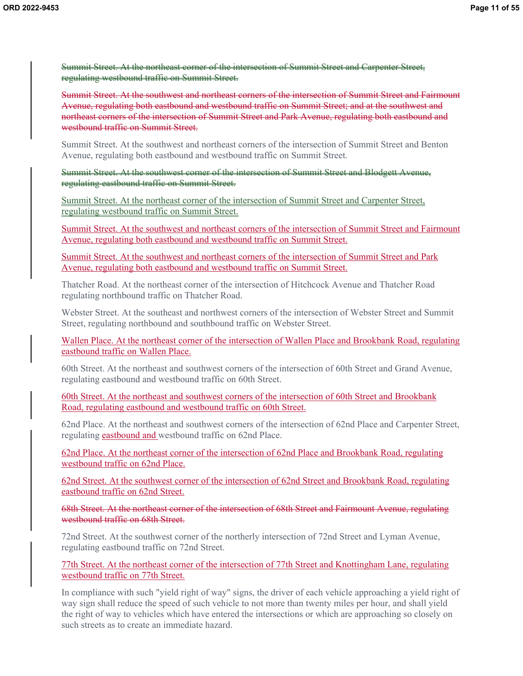Summit Street. At the northeast corner of the intersection of Summit Street and Carpenter Street, regulating westbound traffic on Summit Street.

Summit Street. At the southwest and northeast corners of the intersection of Summit Street and Fairmount Avenue, regulating both eastbound and westbound traffic on Summit Street; and at the southwest and northeast corners of the intersection of Summit Street and Park Avenue, regulating both eastbound and westbound traffic on Summit Street.

Summit Street. At the southwest and northeast corners of the intersection of Summit Street and Benton Avenue, regulating both eastbound and westbound traffic on Summit Street.

Summit Street. At the southwest corner of the intersection of Summit Street and Blodgett Avenue, regulating eastbound traffic on Summit Street.

Summit Street. At the northeast corner of the intersection of Summit Street and Carpenter Street, regulating westbound traffic on Summit Street.

Summit Street. At the southwest and northeast corners of the intersection of Summit Street and Fairmount Avenue, regulating both eastbound and westbound traffic on Summit Street.

Summit Street. At the southwest and northeast corners of the intersection of Summit Street and Park Avenue, regulating both eastbound and westbound traffic on Summit Street.

Thatcher Road. At the northeast corner of the intersection of Hitchcock Avenue and Thatcher Road regulating northbound traffic on Thatcher Road.

Webster Street. At the southeast and northwest corners of the intersection of Webster Street and Summit Street, regulating northbound and southbound traffic on Webster Street.

Wallen Place. At the northeast corner of the intersection of Wallen Place and Brookbank Road, regulating eastbound traffic on Wallen Place.

60th Street. At the northeast and southwest corners of the intersection of 60th Street and Grand Avenue, regulating eastbound and westbound traffic on 60th Street.

60th Street. At the northeast and southwest corners of the intersection of 60th Street and Brookbank Road, regulating eastbound and westbound traffic on 60th Street.

62nd Place. At the northeast and southwest corners of the intersection of 62nd Place and Carpenter Street, regulating eastbound and westbound traffic on 62nd Place.

62nd Place. At the northeast corner of the intersection of 62nd Place and Brookbank Road, regulating westbound traffic on 62nd Place.

62nd Street. At the southwest corner of the intersection of 62nd Street and Brookbank Road, regulating eastbound traffic on 62nd Street.

68th Street. At the northeast corner of the intersection of 68th Street and Fairmount Avenue, regulating westbound traffic on 68th Street.

72nd Street. At the southwest corner of the northerly intersection of 72nd Street and Lyman Avenue, regulating eastbound traffic on 72nd Street.

77th Street. At the northeast corner of the intersection of 77th Street and Knottingham Lane, regulating westbound traffic on 77th Street.

In compliance with such "yield right of way" signs, the driver of each vehicle approaching a yield right of way sign shall reduce the speed of such vehicle to not more than twenty miles per hour, and shall yield the right of way to vehicles which have entered the intersections or which are approaching so closely on such streets as to create an immediate hazard.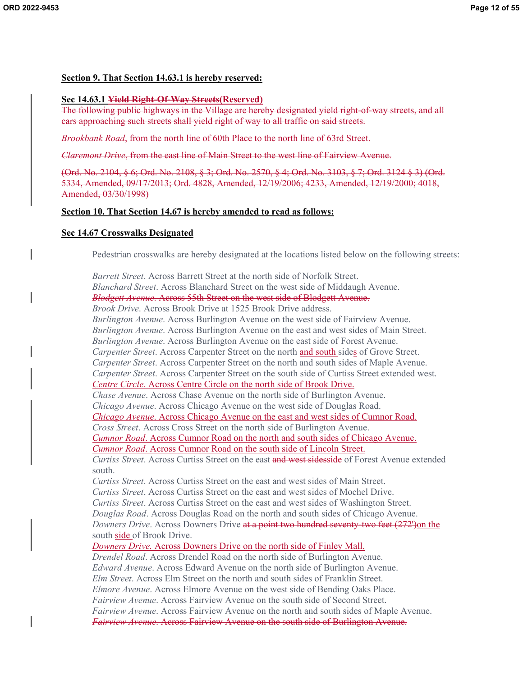# **Section 9. That Section 14.63.1 is hereby reserved:**

# **Sec 14.63.1 Yield Right-Of-Way Streets(Reserved)**

The following public highways in the Village are hereby designated yield right-of-way streets, and all cars approaching such streets shall yield right of way to all traffic on said streets.

*Brookbank Road*, from the north line of 60th Place to the north line of 63rd Street.

*Claremont Drive*, from the east line of Main Street to the west line of Fairview Avenue.

(Ord. No. 2104, § 6; Ord. No. 2108, § 3; Ord. No. 2570, § 4; Ord. No. 3103, § 7; Ord. 3124 § 3) (Ord. 5334, Amended, 09/17/2013; Ord. 4828, Amended, 12/19/2006; 4233, Amended, 12/19/2000; 4018, Amended, 03/30/1998)

# **Section 10. That Section 14.67 is hereby amended to read as follows:**

# **Sec 14.67 Crosswalks Designated**

Pedestrian crosswalks are hereby designated at the locations listed below on the following streets:

*Barrett Street*. Across Barrett Street at the north side of Norfolk Street. *Blanchard Street*. Across Blanchard Street on the west side of Middaugh Avenue. *Blodgett Avenue*. Across 55th Street on the west side of Blodgett Avenue. *Brook Drive*. Across Brook Drive at 1525 Brook Drive address. *Burlington Avenue*. Across Burlington Avenue on the west side of Fairview Avenue. *Burlington Avenue*. Across Burlington Avenue on the east and west sides of Main Street. *Burlington Avenue*. Across Burlington Avenue on the east side of Forest Avenue. *Carpenter Street*. Across Carpenter Street on the north and south sides of Grove Street. *Carpenter Street*. Across Carpenter Street on the north and south sides of Maple Avenue. *Carpenter Street*. Across Carpenter Street on the south side of Curtiss Street extended west. *Centre Circle.* Across Centre Circle on the north side of Brook Drive. *Chase Avenue*. Across Chase Avenue on the north side of Burlington Avenue. *Chicago Avenue*. Across Chicago Avenue on the west side of Douglas Road. *Chicago Avenue*. Across Chicago Avenue on the east and west sides of Cumnor Road. *Cross Street*. Across Cross Street on the north side of Burlington Avenue. *Cumnor Road*. Across Cumnor Road on the north and south sides of Chicago Avenue. *Cumnor Road*. Across Cumnor Road on the south side of Lincoln Street. *Curtiss Street*. Across Curtiss Street on the east and west sidesside of Forest Avenue extended south. *Curtiss Street*. Across Curtiss Street on the east and west sides of Main Street. *Curtiss Street*. Across Curtiss Street on the east and west sides of Mochel Drive. *Curtiss Street*. Across Curtiss Street on the east and west sides of Washington Street. *Douglas Road*. Across Douglas Road on the north and south sides of Chicago Avenue. *Downers Drive*. Across Downers Drive at a point two hundred seventy-two feet (272')on the south side of Brook Drive. *Downers Drive.* Across Downers Drive on the north side of Finley Mall. *Drendel Road*. Across Drendel Road on the north side of Burlington Avenue. *Edward Avenue*. Across Edward Avenue on the north side of Burlington Avenue. *Elm Street*. Across Elm Street on the north and south sides of Franklin Street. *Elmore Avenue*. Across Elmore Avenue on the west side of Bending Oaks Place. *Fairview Avenue*. Across Fairview Avenue on the south side of Second Street. *Fairview Avenue*. Across Fairview Avenue on the north and south sides of Maple Avenue. *Fairview Avenue*. Across Fairview Avenue on the south side of Burlington Avenue.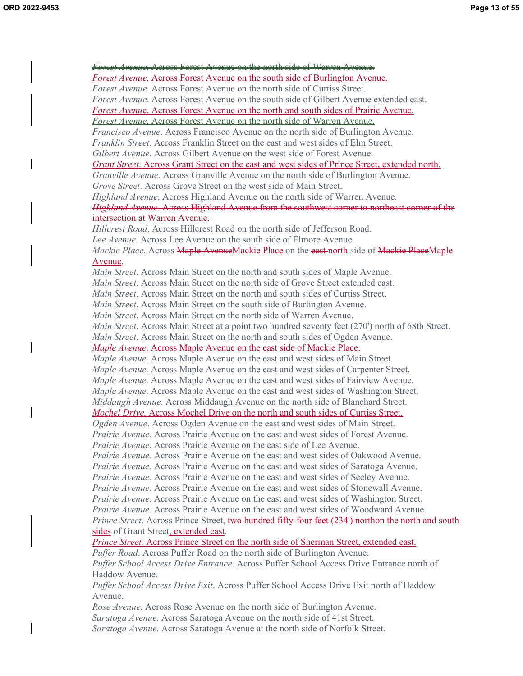*Forest Avenue*. Across Forest Avenue on the north side of Warren Avenue. *Forest Avenue.* Across Forest Avenue on the south side of Burlington Avenue. *Forest Avenue*. Across Forest Avenue on the north side of Curtiss Street. *Forest Avenue*. Across Forest Avenue on the south side of Gilbert Avenue extended east. *Forest Avenu*e. Across Forest Avenue on the north and south sides of Prairie Avenue. *Forest Avenue*. Across Forest Avenue on the north side of Warren Avenue. *Francisco Avenue*. Across Francisco Avenue on the north side of Burlington Avenue. *Franklin Street*. Across Franklin Street on the east and west sides of Elm Street. *Gilbert Avenue*. Across Gilbert Avenue on the west side of Forest Avenue. *Grant Street*. Across Grant Street on the east and west sides of Prince Street, extended north. *Granville Avenue*. Across Granville Avenue on the north side of Burlington Avenue. *Grove Street*. Across Grove Street on the west side of Main Street. *Highland Avenue*. Across Highland Avenue on the north side of Warren Avenue. *Highland Avenue*. Across Highland Avenue from the southwest corner to northeast corner of the intersection at Warren Avenue. *Hillcrest Road*. Across Hillcrest Road on the north side of Jefferson Road. *Lee Avenue*. Across Lee Avenue on the south side of Elmore Avenue. *Mackie Place*. Across **Maple AvenueMackie Place** on the east north side of Mackie PlaceMaple Avenue. *Main Street*. Across Main Street on the north and south sides of Maple Avenue. *Main Street*. Across Main Street on the north side of Grove Street extended east. *Main Street*. Across Main Street on the north and south sides of Curtiss Street. *Main Street*. Across Main Street on the south side of Burlington Avenue. *Main Street*. Across Main Street on the north side of Warren Avenue. *Main Street*. Across Main Street at a point two hundred seventy feet (270') north of 68th Street. *Main Street*. Across Main Street on the north and south sides of Ogden Avenue. *Maple Avenue*. Across Maple Avenue on the east side of Mackie Place. *Maple Avenue*. Across Maple Avenue on the east and west sides of Main Street. *Maple Avenue*. Across Maple Avenue on the east and west sides of Carpenter Street. *Maple Avenue*. Across Maple Avenue on the east and west sides of Fairview Avenue. *Maple Avenue*. Across Maple Avenue on the east and west sides of Washington Street. *Middaugh Avenue*. Across Middaugh Avenue on the north side of Blanchard Street. *Mochel Drive.* Across Mochel Drive on the north and south sides of Curtiss Street. *Ogden Avenue*. Across Ogden Avenue on the east and west sides of Main Street. *Prairie Avenue.* Across Prairie Avenue on the east and west sides of Forest Avenue. *Prairie Avenue*. Across Prairie Avenue on the east side of Lee Avenue. *Prairie Avenue.* Across Prairie Avenue on the east and west sides of Oakwood Avenue. *Prairie Avenue.* Across Prairie Avenue on the east and west sides of Saratoga Avenue. *Prairie Avenue.* Across Prairie Avenue on the east and west sides of Seeley Avenue. *Prairie Avenue*. Across Prairie Avenue on the east and west sides of Stonewall Avenue. *Prairie Avenue*. Across Prairie Avenue on the east and west sides of Washington Street. *Prairie Avenue.* Across Prairie Avenue on the east and west sides of Woodward Avenue. *Prince Street*. Across Prince Street, two hundred fifty-four feet (234') northon the north and south sides of Grant Street, extended east. *Prince Street.* Across Prince Street on the north side of Sherman Street, extended east. *Puffer Road*. Across Puffer Road on the north side of Burlington Avenue. *Puffer School Access Drive Entrance*. Across Puffer School Access Drive Entrance north of Haddow Avenue. *Puffer School Access Drive Exit*. Across Puffer School Access Drive Exit north of Haddow Avenue. *Rose Avenue*. Across Rose Avenue on the north side of Burlington Avenue. *Saratoga Avenue*. Across Saratoga Avenue on the north side of 41st Street. *Saratoga Avenue*. Across Saratoga Avenue at the north side of Norfolk Street.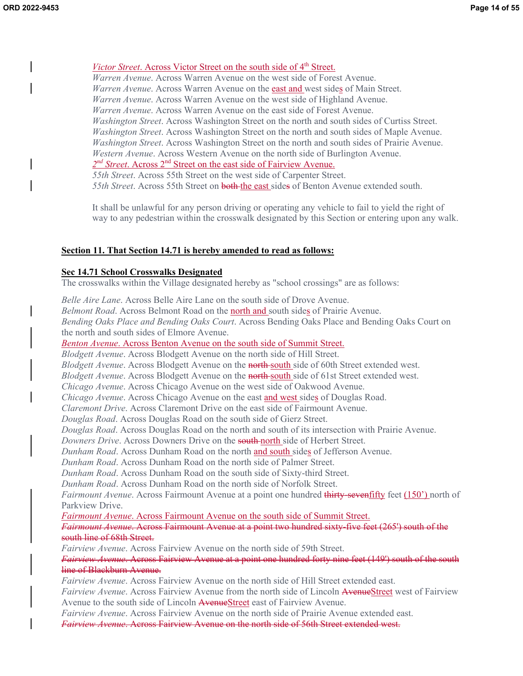# *Victor Street.* Across Victor Street on the south side of 4<sup>th</sup> Street.

*Warren Avenue*. Across Warren Avenue on the west side of Forest Avenue. *Warren Avenue*. Across Warren Avenue on the **east and** west sides of Main Street. *Warren Avenue*. Across Warren Avenue on the west side of Highland Avenue. *Warren Avenue*. Across Warren Avenue on the east side of Forest Avenue. *Washington Street*. Across Washington Street on the north and south sides of Curtiss Street. *Washington Street*. Across Washington Street on the north and south sides of Maple Avenue. *Washington Street*. Across Washington Street on the north and south sides of Prairie Avenue. *Western Avenue*. Across Western Avenue on the north side of Burlington Avenue. 2<sup>nd</sup> Street. Across 2<sup>nd</sup> Street on the east side of Fairview Avenue.

*55th Street*. Across 55th Street on the west side of Carpenter Street. *55th Street*. Across 55th Street on both the east sides of Benton Avenue extended south.

It shall be unlawful for any person driving or operating any vehicle to fail to yield the right of way to any pedestrian within the crosswalk designated by this Section or entering upon any walk.

#### **Section 11. That Section 14.71 is hereby amended to read as follows:**

#### **Sec 14.71 School Crosswalks Designated**

The crosswalks within the Village designated hereby as "school crossings" are as follows:

*Belle Aire Lane*. Across Belle Aire Lane on the south side of Drove Avenue. *Belmont Road*. Across Belmont Road on the north and south sides of Prairie Avenue. *Bending Oaks Place and Bending Oaks Court*. Across Bending Oaks Place and Bending Oaks Court on the north and south sides of Elmore Avenue.

*Benton Avenue*. Across Benton Avenue on the south side of Summit Street.

*Blodgett Avenue*. Across Blodgett Avenue on the north side of Hill Street.

*Blodgett Avenue*. Across Blodgett Avenue on the **north** south side of 60th Street extended west.

*Blodgett Avenue*. Across Blodgett Avenue on the north south side of 61st Street extended west.

*Chicago Avenue*. Across Chicago Avenue on the west side of Oakwood Avenue.

*Chicago Avenue*. Across Chicago Avenue on the east and west sides of Douglas Road.

*Claremont Drive*. Across Claremont Drive on the east side of Fairmount Avenue.

*Douglas Road*. Across Douglas Road on the south side of Gierz Street.

*Douglas Road*. Across Douglas Road on the north and south of its intersection with Prairie Avenue.

*Downers Drive.* Across Downers Drive on the **south north** side of Herbert Street.

*Dunham Road*. Across Dunham Road on the north and south sides of Jefferson Avenue.

*Dunham Road*. Across Dunham Road on the north side of Palmer Street.

*Dunham Road*. Across Dunham Road on the south side of Sixty-third Street.

*Dunham Road*. Across Dunham Road on the north side of Norfolk Street.

*Fairmount Avenue*. Across Fairmount Avenue at a point one hundred thirty-seventifty feet (150') north of Parkview Drive.

*Fairmount Avenue*. Across Fairmount Avenue on the south side of Summit Street.

### *Fairmount Avenue*. Across Fairmount Avenue at a point two hundred sixty-five feet (265') south of the south line of 68th Street.

*Fairview Avenue*. Across Fairview Avenue on the north side of 59th Street.

*Fairview Avenue*. Across Fairview Avenue at a point one hundred forty nine feet (149') south of the south line of Blackburn Avenue.

*Fairview Avenue*. Across Fairview Avenue on the north side of Hill Street extended east.

*Fairview Avenue*. Across Fairview Avenue from the north side of Lincoln AvenueStreet west of Fairview Avenue to the south side of Lincoln AvenueStreet east of Fairview Avenue.

*Fairview Avenue*. Across Fairview Avenue on the north side of Prairie Avenue extended east.

*Fairview Avenue*. Across Fairview Avenue on the north side of 56th Street extended west.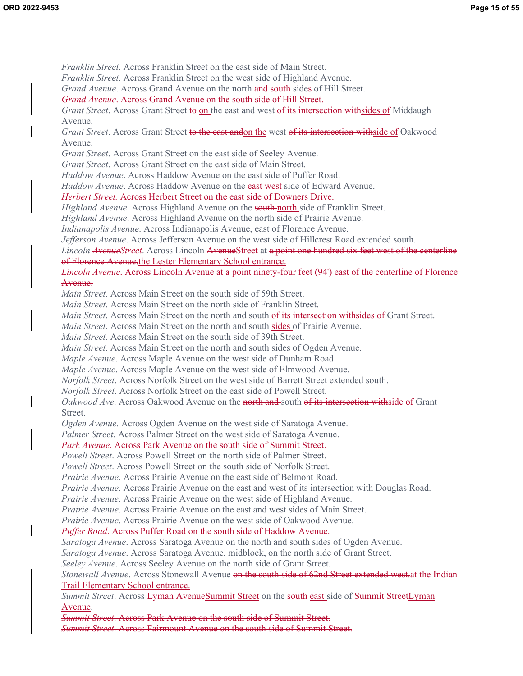*Franklin Street*. Across Franklin Street on the east side of Main Street. *Franklin Street*. Across Franklin Street on the west side of Highland Avenue. *Grand Avenue*. Across Grand Avenue on the north and south sides of Hill Street. *Grand Avenue*. Across Grand Avenue on the south side of Hill Street. *Grant Street*. Across Grant Street to on the east and west of its intersection withsides of Middaugh Avenue. *Grant Street*. Across Grant Street to the east andon the west of its intersection withside of Oakwood Avenue. *Grant Street*. Across Grant Street on the east side of Seeley Avenue. *Grant Street*. Across Grant Street on the east side of Main Street. *Haddow Avenue*. Across Haddow Avenue on the east side of Puffer Road. *Haddow Avenue*. Across Haddow Avenue on the east west side of Edward Avenue. *Herbert Street.* Across Herbert Street on the east side of Downers Drive. *Highland Avenue*. Across Highland Avenue on the **south-north** side of Franklin Street. *Highland Avenue*. Across Highland Avenue on the north side of Prairie Avenue. *Indianapolis Avenue*. Across Indianapolis Avenue, east of Florence Avenue. *Jefferson Avenue*. Across Jefferson Avenue on the west side of Hillcrest Road extended south. *Lincoln AvenueStreet*. Across Lincoln AvenueStreet at a point one hundred six feet west of the centerline of Florence Avenue.the Lester Elementary School entrance. *Lincoln Avenue*. Across Lincoln Avenue at a point ninety-four feet (94') east of the centerline of Florence Avenue. *Main Street*. Across Main Street on the south side of 59th Street. *Main Street*. Across Main Street on the north side of Franklin Street. *Main Street*. Across Main Street on the north and south of its intersection withsides of Grant Street. *Main Street*. Across Main Street on the north and south sides of Prairie Avenue. *Main Street*. Across Main Street on the south side of 39th Street. *Main Street*. Across Main Street on the north and south sides of Ogden Avenue. *Maple Avenue*. Across Maple Avenue on the west side of Dunham Road. *Maple Avenue*. Across Maple Avenue on the west side of Elmwood Avenue. *Norfolk Street*. Across Norfolk Street on the west side of Barrett Street extended south. *Norfolk Street*. Across Norfolk Street on the east side of Powell Street. *Oakwood Ave.* Across Oakwood Avenue on the north and south of its intersection withside of Grant Street. *Ogden Avenue*. Across Ogden Avenue on the west side of Saratoga Avenue. *Palmer Street*. Across Palmer Street on the west side of Saratoga Avenue. *Park Avenue*. Across Park Avenue on the south side of Summit Street. *Powell Street*. Across Powell Street on the north side of Palmer Street. *Powell Street*. Across Powell Street on the south side of Norfolk Street. *Prairie Avenue*. Across Prairie Avenue on the east side of Belmont Road. *Prairie Avenue*. Across Prairie Avenue on the east and west of its intersection with Douglas Road. *Prairie Avenue*. Across Prairie Avenue on the west side of Highland Avenue. *Prairie Avenue*. Across Prairie Avenue on the east and west sides of Main Street. *Prairie Avenue*. Across Prairie Avenue on the west side of Oakwood Avenue. *Puffer Road*. Across Puffer Road on the south side of Haddow Avenue. *Saratoga Avenue*. Across Saratoga Avenue on the north and south sides of Ogden Avenue. *Saratoga Avenue*. Across Saratoga Avenue, midblock, on the north side of Grant Street. *Seeley Avenue*. Across Seeley Avenue on the north side of Grant Street. *Stonewall Avenue*. Across Stonewall Avenue on the south side of 62nd Street extended west. at the Indian Trail Elementary School entrance. *Summit Street*. Across Lyman AvenueSummit Street on the south east side of Summit StreetLyman Avenue.

*Summit Street*. Across Park Avenue on the south side of Summit Street. *Summit Street*. Across Fairmount Avenue on the south side of Summit Street.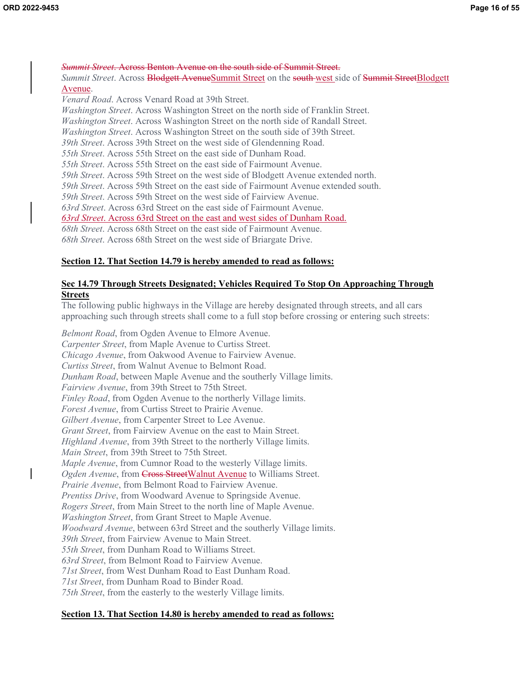*Summit Street*. Across Benton Avenue on the south side of Summit Street. *Summit Street*. Across **Blodgett AvenueSummit Street** on the south west side of Summit StreetBlodgett Avenue. *Venard Road*. Across Venard Road at 39th Street. *Washington Street*. Across Washington Street on the north side of Franklin Street. *Washington Street*. Across Washington Street on the north side of Randall Street. *Washington Street*. Across Washington Street on the south side of 39th Street. *39th Street*. Across 39th Street on the west side of Glendenning Road. *55th Street*. Across 55th Street on the east side of Dunham Road. *55th Street*. Across 55th Street on the east side of Fairmount Avenue. *59th Street*. Across 59th Street on the west side of Blodgett Avenue extended north. *59th Street*. Across 59th Street on the east side of Fairmount Avenue extended south. *59th Street*. Across 59th Street on the west side of Fairview Avenue. *63rd Street*. Across 63rd Street on the east side of Fairmount Avenue. *63rd Street*. Across 63rd Street on the east and west sides of Dunham Road. *68th Street*. Across 68th Street on the east side of Fairmount Avenue. *68th Street*. Across 68th Street on the west side of Briargate Drive.

### **Section 12. That Section 14.79 is hereby amended to read as follows:**

### **Sec 14.79 Through Streets Designated; Vehicles Required To Stop On Approaching Through Streets**

The following public highways in the Village are hereby designated through streets, and all cars approaching such through streets shall come to a full stop before crossing or entering such streets:

*Belmont Road*, from Ogden Avenue to Elmore Avenue. *Carpenter Street*, from Maple Avenue to Curtiss Street. *Chicago Avenue*, from Oakwood Avenue to Fairview Avenue. *Curtiss Street*, from Walnut Avenue to Belmont Road. *Dunham Road*, between Maple Avenue and the southerly Village limits. *Fairview Avenue*, from 39th Street to 75th Street. *Finley Road*, from Ogden Avenue to the northerly Village limits. *Forest Avenue*, from Curtiss Street to Prairie Avenue. *Gilbert Avenue*, from Carpenter Street to Lee Avenue. *Grant Street*, from Fairview Avenue on the east to Main Street. *Highland Avenue*, from 39th Street to the northerly Village limits. *Main Street*, from 39th Street to 75th Street. *Maple Avenue*, from Cumnor Road to the westerly Village limits. Ogden Avenue, from **Cross StreetWalnut Avenue** to Williams Street. *Prairie Avenue*, from Belmont Road to Fairview Avenue. *Prentiss Drive*, from Woodward Avenue to Springside Avenue. *Rogers Street*, from Main Street to the north line of Maple Avenue. *Washington Street*, from Grant Street to Maple Avenue. *Woodward Avenue*, between 63rd Street and the southerly Village limits. *39th Street*, from Fairview Avenue to Main Street. *55th Street*, from Dunham Road to Williams Street. *63rd Street*, from Belmont Road to Fairview Avenue. *71st Street*, from West Dunham Road to East Dunham Road. *71st Street*, from Dunham Road to Binder Road. *75th Street*, from the easterly to the westerly Village limits.

### **Section 13. That Section 14.80 is hereby amended to read as follows:**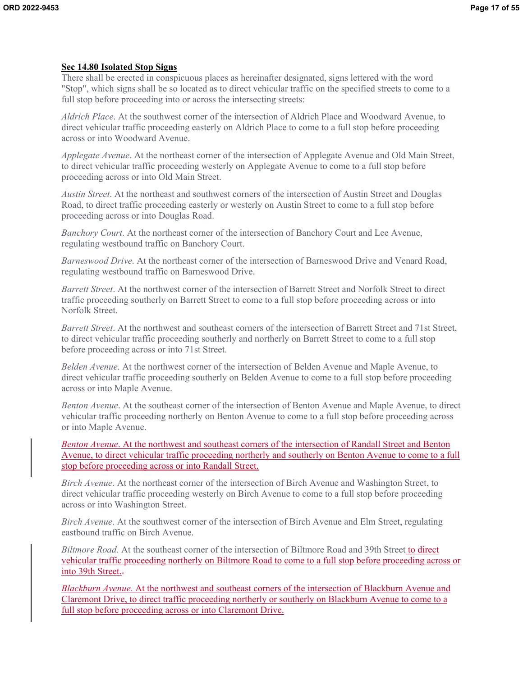### **Sec 14.80 Isolated Stop Signs**

There shall be erected in conspicuous places as hereinafter designated, signs lettered with the word "Stop", which signs shall be so located as to direct vehicular traffic on the specified streets to come to a full stop before proceeding into or across the intersecting streets:

*Aldrich Place*. At the southwest corner of the intersection of Aldrich Place and Woodward Avenue, to direct vehicular traffic proceeding easterly on Aldrich Place to come to a full stop before proceeding across or into Woodward Avenue.

*Applegate Avenue*. At the northeast corner of the intersection of Applegate Avenue and Old Main Street, to direct vehicular traffic proceeding westerly on Applegate Avenue to come to a full stop before proceeding across or into Old Main Street.

*Austin Street*. At the northeast and southwest corners of the intersection of Austin Street and Douglas Road, to direct traffic proceeding easterly or westerly on Austin Street to come to a full stop before proceeding across or into Douglas Road.

*Banchory Court*. At the northeast corner of the intersection of Banchory Court and Lee Avenue, regulating westbound traffic on Banchory Court.

*Barneswood Drive*. At the northeast corner of the intersection of Barneswood Drive and Venard Road, regulating westbound traffic on Barneswood Drive.

*Barrett Street*. At the northwest corner of the intersection of Barrett Street and Norfolk Street to direct traffic proceeding southerly on Barrett Street to come to a full stop before proceeding across or into Norfolk Street.

*Barrett Street*. At the northwest and southeast corners of the intersection of Barrett Street and 71st Street, to direct vehicular traffic proceeding southerly and northerly on Barrett Street to come to a full stop before proceeding across or into 71st Street.

*Belden Avenue*. At the northwest corner of the intersection of Belden Avenue and Maple Avenue, to direct vehicular traffic proceeding southerly on Belden Avenue to come to a full stop before proceeding across or into Maple Avenue.

*Benton Avenue*. At the southeast corner of the intersection of Benton Avenue and Maple Avenue, to direct vehicular traffic proceeding northerly on Benton Avenue to come to a full stop before proceeding across or into Maple Avenue.

*Benton Avenue*. At the northwest and southeast corners of the intersection of Randall Street and Benton Avenue, to direct vehicular traffic proceeding northerly and southerly on Benton Avenue to come to a full stop before proceeding across or into Randall Street.

*Birch Avenue*. At the northeast corner of the intersection of Birch Avenue and Washington Street, to direct vehicular traffic proceeding westerly on Birch Avenue to come to a full stop before proceeding across or into Washington Street.

*Birch Avenue*. At the southwest corner of the intersection of Birch Avenue and Elm Street, regulating eastbound traffic on Birch Avenue.

*Biltmore Road*. At the southeast corner of the intersection of Biltmore Road and 39th Street to direct vehicular traffic proceeding northerly on Biltmore Road to come to a full stop before proceeding across or into 39th Street.-

*Blackburn Avenue*. At the northwest and southeast corners of the intersection of Blackburn Avenue and Claremont Drive, to direct traffic proceeding northerly or southerly on Blackburn Avenue to come to a full stop before proceeding across or into Claremont Drive.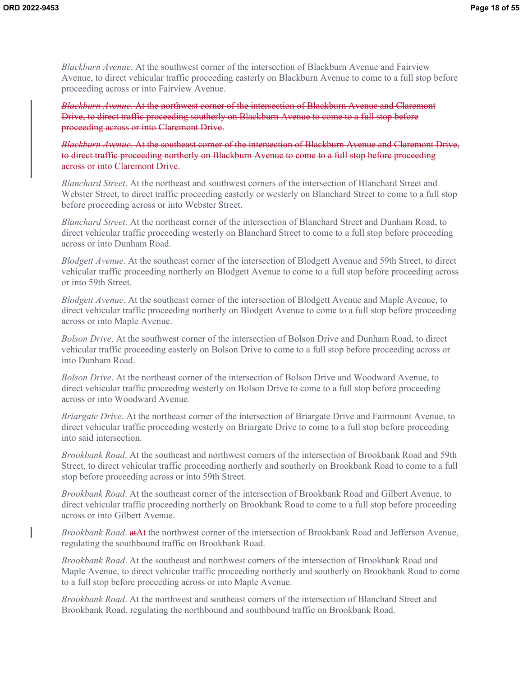*Blackburn Avenue*. At the southwest corner of the intersection of Blackburn Avenue and Fairview Avenue, to direct vehicular traffic proceeding easterly on Blackburn Avenue to come to a full stop before proceeding across or into Fairview Avenue.

*Blackburn Avenue*. At the northwest corner of the intersection of Blackburn Avenue and Claremont Drive, to direct traffic proceeding southerly on Blackburn Avenue to come to a full stop before proceeding across or into Claremont Drive.

*Blackburn Avenue*. At the southeast corner of the intersection of Blackburn Avenue and Claremont Drive, to direct traffic proceeding northerly on Blackburn Avenue to come to a full stop before proceeding across or into Claremont Drive.

*Blanchard Street*. At the northeast and southwest corners of the intersection of Blanchard Street and Webster Street, to direct traffic proceeding easterly or westerly on Blanchard Street to come to a full stop before proceeding across or into Webster Street.

*Blanchard Street*. At the northeast corner of the intersection of Blanchard Street and Dunham Road, to direct vehicular traffic proceeding westerly on Blanchard Street to come to a full stop before proceeding across or into Dunham Road.

*Blodgett Avenue*. At the southeast corner of the intersection of Blodgett Avenue and 59th Street, to direct vehicular traffic proceeding northerly on Blodgett Avenue to come to a full stop before proceeding across or into 59th Street.

*Blodgett Avenue*. At the southeast corner of the intersection of Blodgett Avenue and Maple Avenue, to direct vehicular traffic proceeding northerly on Blodgett Avenue to come to a full stop before proceeding across or into Maple Avenue.

*Bolson Drive*. At the southwest corner of the intersection of Bolson Drive and Dunham Road, to direct vehicular traffic proceeding easterly on Bolson Drive to come to a full stop before proceeding across or into Dunham Road.

*Bolson Drive*. At the northeast corner of the intersection of Bolson Drive and Woodward Avenue, to direct vehicular traffic proceeding westerly on Bolson Drive to come to a full stop before proceeding across or into Woodward Avenue.

*Briargate Drive*. At the northeast corner of the intersection of Briargate Drive and Fairmount Avenue, to direct vehicular traffic proceeding westerly on Briargate Drive to come to a full stop before proceeding into said intersection.

*Brookbank Road*. At the southeast and northwest corners of the intersection of Brookbank Road and 59th Street, to direct vehicular traffic proceeding northerly and southerly on Brookbank Road to come to a full stop before proceeding across or into 59th Street.

*Brookbank Road*. At the southeast corner of the intersection of Brookbank Road and Gilbert Avenue, to direct vehicular traffic proceeding northerly on Brookbank Road to come to a full stop before proceeding across or into Gilbert Avenue.

*Brookbank Road*. atAt the northwest corner of the intersection of Brookbank Road and Jefferson Avenue, regulating the southbound traffic on Brookbank Road.

*Brookbank Road*. At the southeast and northwest corners of the intersection of Brookbank Road and Maple Avenue, to direct vehicular traffic proceeding northerly and southerly on Brookbank Road to come to a full stop before proceeding across or into Maple Avenue.

*Brookbank Road*. At the northwest and southeast corners of the intersection of Blanchard Street and Brookbank Road, regulating the northbound and southbound traffic on Brookbank Road.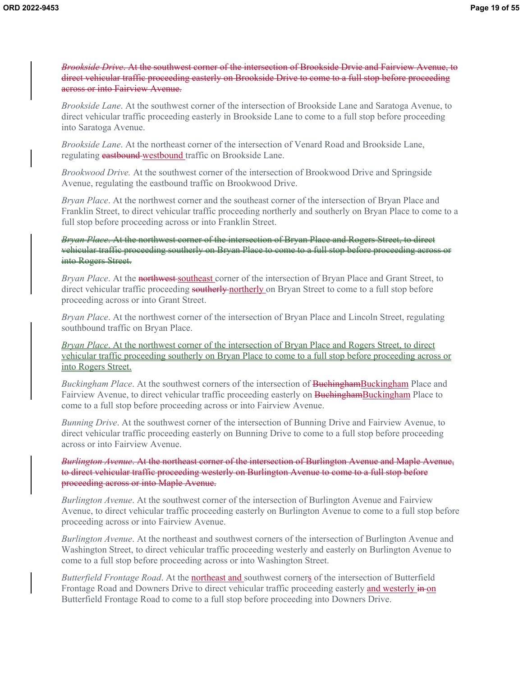*Brookside Drive*. At the southwest corner of the intersection of Brookside Drvie and Fairview Avenue, to direct vehicular traffic proceeding easterly on Brookside Drive to come to a full stop before proceeding across or into Fairview Avenue.

*Brookside Lane*. At the southwest corner of the intersection of Brookside Lane and Saratoga Avenue, to direct vehicular traffic proceeding easterly in Brookside Lane to come to a full stop before proceeding into Saratoga Avenue.

*Brookside Lane*. At the northeast corner of the intersection of Venard Road and Brookside Lane, regulating **eastbound** westbound traffic on Brookside Lane.

*Brookwood Drive.* At the southwest corner of the intersection of Brookwood Drive and Springside Avenue, regulating the eastbound traffic on Brookwood Drive.

*Bryan Place*. At the northwest corner and the southeast corner of the intersection of Bryan Place and Franklin Street, to direct vehicular traffic proceeding northerly and southerly on Bryan Place to come to a full stop before proceeding across or into Franklin Street.

*Bryan Place*. At the northwest corner of the intersection of Bryan Place and Rogers Street, to direct vehicular traffic proceeding southerly on Bryan Place to come to a full stop before proceeding across or into Rogers Street.

*Bryan Place.* At the northwest-southeast corner of the intersection of Bryan Place and Grant Street, to direct vehicular traffic proceeding southerly northerly on Bryan Street to come to a full stop before proceeding across or into Grant Street.

*Bryan Place*. At the northwest corner of the intersection of Bryan Place and Lincoln Street, regulating southbound traffic on Bryan Place.

*Bryan Place*. At the northwest corner of the intersection of Bryan Place and Rogers Street, to direct vehicular traffic proceeding southerly on Bryan Place to come to a full stop before proceeding across or into Rogers Street.

*Buckingham Place*. At the southwest corners of the intersection of **BuchinghamBuckingham** Place and Fairview Avenue, to direct vehicular traffic proceeding easterly on **BuchinghamBuckingham** Place to come to a full stop before proceeding across or into Fairview Avenue.

*Bunning Drive*. At the southwest corner of the intersection of Bunning Drive and Fairview Avenue, to direct vehicular traffic proceeding easterly on Bunning Drive to come to a full stop before proceeding across or into Fairview Avenue.

*Burlington Avenue*. At the northeast corner of the intersection of Burlington Avenue and Maple Avenue, to direct vehicular traffic proceeding westerly on Burlington Avenue to come to a full stop before proceeding across or into Maple Avenue.

*Burlington Avenue*. At the southwest corner of the intersection of Burlington Avenue and Fairview Avenue, to direct vehicular traffic proceeding easterly on Burlington Avenue to come to a full stop before proceeding across or into Fairview Avenue.

*Burlington Avenue*. At the northeast and southwest corners of the intersection of Burlington Avenue and Washington Street, to direct vehicular traffic proceeding westerly and easterly on Burlington Avenue to come to a full stop before proceeding across or into Washington Street.

*Butterfield Frontage Road*. At the northeast and southwest corners of the intersection of Butterfield Frontage Road and Downers Drive to direct vehicular traffic proceeding easterly and westerly in on Butterfield Frontage Road to come to a full stop before proceeding into Downers Drive.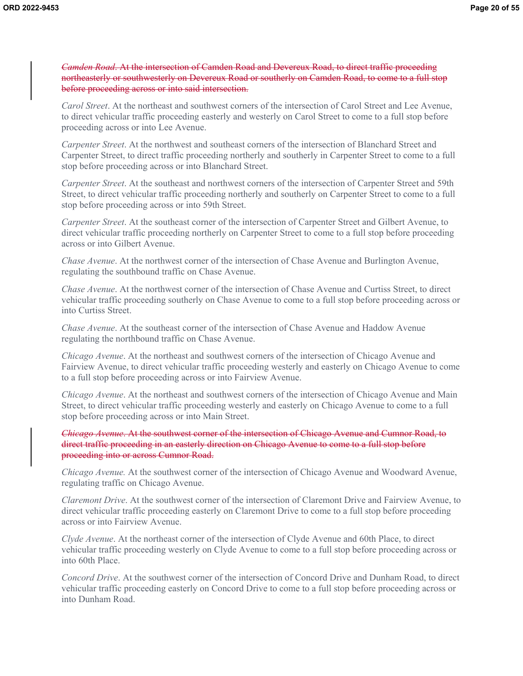*Camden Road*. At the intersection of Camden Road and Devereux Road, to direct traffic proceeding northeasterly or southwesterly on Devereux Road or southerly on Camden Road, to come to a full stop before proceeding across or into said intersection.

*Carol Street*. At the northeast and southwest corners of the intersection of Carol Street and Lee Avenue, to direct vehicular traffic proceeding easterly and westerly on Carol Street to come to a full stop before proceeding across or into Lee Avenue.

*Carpenter Street*. At the northwest and southeast corners of the intersection of Blanchard Street and Carpenter Street, to direct traffic proceeding northerly and southerly in Carpenter Street to come to a full stop before proceeding across or into Blanchard Street.

*Carpenter Street*. At the southeast and northwest corners of the intersection of Carpenter Street and 59th Street, to direct vehicular traffic proceeding northerly and southerly on Carpenter Street to come to a full stop before proceeding across or into 59th Street.

*Carpenter Street*. At the southeast corner of the intersection of Carpenter Street and Gilbert Avenue, to direct vehicular traffic proceeding northerly on Carpenter Street to come to a full stop before proceeding across or into Gilbert Avenue.

*Chase Avenue.* At the northwest corner of the intersection of Chase Avenue and Burlington Avenue, regulating the southbound traffic on Chase Avenue.

*Chase Avenue*. At the northwest corner of the intersection of Chase Avenue and Curtiss Street, to direct vehicular traffic proceeding southerly on Chase Avenue to come to a full stop before proceeding across or into Curtiss Street.

*Chase Avenue*. At the southeast corner of the intersection of Chase Avenue and Haddow Avenue regulating the northbound traffic on Chase Avenue.

*Chicago Avenue*. At the northeast and southwest corners of the intersection of Chicago Avenue and Fairview Avenue, to direct vehicular traffic proceeding westerly and easterly on Chicago Avenue to come to a full stop before proceeding across or into Fairview Avenue.

*Chicago Avenue*. At the northeast and southwest corners of the intersection of Chicago Avenue and Main Street, to direct vehicular traffic proceeding westerly and easterly on Chicago Avenue to come to a full stop before proceeding across or into Main Street.

*Chicago Avenue*. At the southwest corner of the intersection of Chicago Avenue and Cumnor Road, to direct traffic proceeding in an easterly direction on Chicago Avenue to come to a full stop before proceeding into or across Cumnor Road.

*Chicago Avenue.* At the southwest corner of the intersection of Chicago Avenue and Woodward Avenue, regulating traffic on Chicago Avenue.

*Claremont Drive*. At the southwest corner of the intersection of Claremont Drive and Fairview Avenue, to direct vehicular traffic proceeding easterly on Claremont Drive to come to a full stop before proceeding across or into Fairview Avenue.

*Clyde Avenue*. At the northeast corner of the intersection of Clyde Avenue and 60th Place, to direct vehicular traffic proceeding westerly on Clyde Avenue to come to a full stop before proceeding across or into 60th Place.

*Concord Drive*. At the southwest corner of the intersection of Concord Drive and Dunham Road, to direct vehicular traffic proceeding easterly on Concord Drive to come to a full stop before proceeding across or into Dunham Road.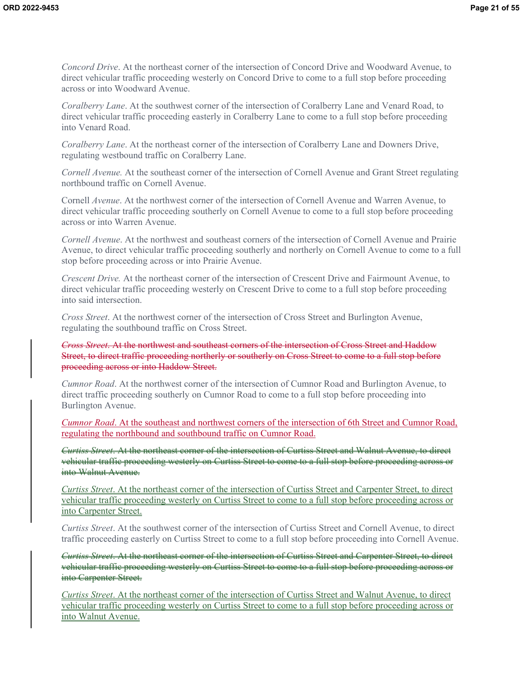*Concord Drive*. At the northeast corner of the intersection of Concord Drive and Woodward Avenue, to direct vehicular traffic proceeding westerly on Concord Drive to come to a full stop before proceeding across or into Woodward Avenue.

*Coralberry Lane*. At the southwest corner of the intersection of Coralberry Lane and Venard Road, to direct vehicular traffic proceeding easterly in Coralberry Lane to come to a full stop before proceeding into Venard Road.

*Coralberry Lane*. At the northeast corner of the intersection of Coralberry Lane and Downers Drive, regulating westbound traffic on Coralberry Lane.

*Cornell Avenue.* At the southeast corner of the intersection of Cornell Avenue and Grant Street regulating northbound traffic on Cornell Avenue.

Cornell *Avenue*. At the northwest corner of the intersection of Cornell Avenue and Warren Avenue, to direct vehicular traffic proceeding southerly on Cornell Avenue to come to a full stop before proceeding across or into Warren Avenue.

*Cornell Avenue*. At the northwest and southeast corners of the intersection of Cornell Avenue and Prairie Avenue, to direct vehicular traffic proceeding southerly and northerly on Cornell Avenue to come to a full stop before proceeding across or into Prairie Avenue.

*Crescent Drive.* At the northeast corner of the intersection of Crescent Drive and Fairmount Avenue, to direct vehicular traffic proceeding westerly on Crescent Drive to come to a full stop before proceeding into said intersection.

*Cross Street*. At the northwest corner of the intersection of Cross Street and Burlington Avenue, regulating the southbound traffic on Cross Street.

*Cross Street*. At the northwest and southeast corners of the intersection of Cross Street and Haddow Street, to direct traffic proceeding northerly or southerly on Cross Street to come to a full stop before proceeding across or into Haddow Street.

*Cumnor Road*. At the northwest corner of the intersection of Cumnor Road and Burlington Avenue, to direct traffic proceeding southerly on Cumnor Road to come to a full stop before proceeding into Burlington Avenue.

*Cumnor Road*. At the southeast and northwest corners of the intersection of 6th Street and Cumnor Road, regulating the northbound and southbound traffic on Cumnor Road.

*Curtiss Street*. At the northeast corner of the intersection of Curtiss Street and Walnut Avenue, to direct vehicular traffic proceeding westerly on Curtiss Street to come to a full stop before proceeding across or into Walnut Avenue.

*Curtiss Street*. At the northeast corner of the intersection of Curtiss Street and Carpenter Street, to direct vehicular traffic proceeding westerly on Curtiss Street to come to a full stop before proceeding across or into Carpenter Street.

*Curtiss Street*. At the southwest corner of the intersection of Curtiss Street and Cornell Avenue, to direct traffic proceeding easterly on Curtiss Street to come to a full stop before proceeding into Cornell Avenue.

*Curtiss Street*. At the northeast corner of the intersection of Curtiss Street and Carpenter Street, to direct vehicular traffic proceeding westerly on Curtiss Street to come to a full stop before proceeding across or into Carpenter Street.

*Curtiss Street*. At the northeast corner of the intersection of Curtiss Street and Walnut Avenue, to direct vehicular traffic proceeding westerly on Curtiss Street to come to a full stop before proceeding across or into Walnut Avenue.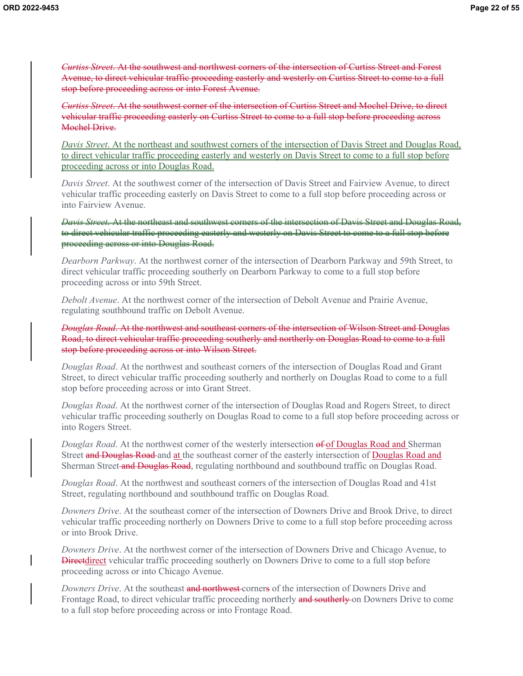*Curtiss Street*. At the southwest and northwest corners of the intersection of Curtiss Street and Forest Avenue, to direct vehicular traffic proceeding easterly and westerly on Curtiss Street to come to a full stop before proceeding across or into Forest Avenue.

*Curtiss Street*. At the southwest corner of the intersection of Curtiss Street and Mochel Drive, to direct vehicular traffic proceeding easterly on Curtiss Street to come to a full stop before proceeding across Mochel Drive.

*Davis Street*. At the northeast and southwest corners of the intersection of Davis Street and Douglas Road, to direct vehicular traffic proceeding easterly and westerly on Davis Street to come to a full stop before proceeding across or into Douglas Road.

*Davis Street*. At the southwest corner of the intersection of Davis Street and Fairview Avenue, to direct vehicular traffic proceeding easterly on Davis Street to come to a full stop before proceeding across or into Fairview Avenue.

*Davis Street*. At the northeast and southwest corners of the intersection of Davis Street and Douglas Road, to direct vehicular traffic proceeding easterly and westerly on Davis Street to come to a full stop before proceeding across or into Douglas Road.

*Dearborn Parkway*. At the northwest corner of the intersection of Dearborn Parkway and 59th Street, to direct vehicular traffic proceeding southerly on Dearborn Parkway to come to a full stop before proceeding across or into 59th Street.

*Debolt Avenue*. At the northwest corner of the intersection of Debolt Avenue and Prairie Avenue, regulating southbound traffic on Debolt Avenue.

*Douglas Road*. At the northwest and southeast corners of the intersection of Wilson Street and Douglas Road, to direct vehicular traffic proceeding southerly and northerly on Douglas Road to come to a full stop before proceeding across or into Wilson Street.

*Douglas Road*. At the northwest and southeast corners of the intersection of Douglas Road and Grant Street, to direct vehicular traffic proceeding southerly and northerly on Douglas Road to come to a full stop before proceeding across or into Grant Street.

*Douglas Road*. At the northwest corner of the intersection of Douglas Road and Rogers Street, to direct vehicular traffic proceeding southerly on Douglas Road to come to a full stop before proceeding across or into Rogers Street.

*Douglas Road.* At the northwest corner of the westerly intersection of of Douglas Road and Sherman Street and Douglas Road and at the southeast corner of the easterly intersection of Douglas Road and Sherman Street and Douglas Road, regulating northbound and southbound traffic on Douglas Road.

*Douglas Road*. At the northwest and southeast corners of the intersection of Douglas Road and 41st Street, regulating northbound and southbound traffic on Douglas Road.

*Downers Drive*. At the southeast corner of the intersection of Downers Drive and Brook Drive, to direct vehicular traffic proceeding northerly on Downers Drive to come to a full stop before proceeding across or into Brook Drive.

*Downers Drive*. At the northwest corner of the intersection of Downers Drive and Chicago Avenue, to **Directdirect** vehicular traffic proceeding southerly on Downers Drive to come to a full stop before proceeding across or into Chicago Avenue.

*Downers Drive*. At the southeast and northwest corners of the intersection of Downers Drive and Frontage Road, to direct vehicular traffic proceeding northerly and southerly on Downers Drive to come to a full stop before proceeding across or into Frontage Road.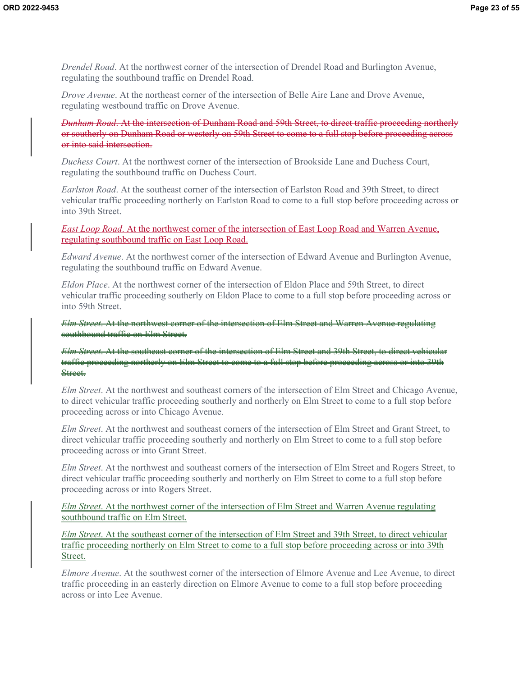*Drendel Road*. At the northwest corner of the intersection of Drendel Road and Burlington Avenue, regulating the southbound traffic on Drendel Road.

*Drove Avenue.* At the northeast corner of the intersection of Belle Aire Lane and Drove Avenue, regulating westbound traffic on Drove Avenue.

*Dunham Road*. At the intersection of Dunham Road and 59th Street, to direct traffic proceeding northerly or southerly on Dunham Road or westerly on 59th Street to come to a full stop before proceeding across or into said intersection.

*Duchess Court*. At the northwest corner of the intersection of Brookside Lane and Duchess Court, regulating the southbound traffic on Duchess Court.

*Earlston Road*. At the southeast corner of the intersection of Earlston Road and 39th Street, to direct vehicular traffic proceeding northerly on Earlston Road to come to a full stop before proceeding across or into 39th Street.

*East Loop Road*. At the northwest corner of the intersection of East Loop Road and Warren Avenue, regulating southbound traffic on East Loop Road.

*Edward Avenue*. At the northwest corner of the intersection of Edward Avenue and Burlington Avenue, regulating the southbound traffic on Edward Avenue.

*Eldon Place*. At the northwest corner of the intersection of Eldon Place and 59th Street, to direct vehicular traffic proceeding southerly on Eldon Place to come to a full stop before proceeding across or into 59th Street.

*Elm Street*. At the northwest corner of the intersection of Elm Street and Warren Avenue regulating southbound traffic on Elm Street.

*Elm Street*. At the southeast corner of the intersection of Elm Street and 39th Street, to direct vehicular traffic proceeding northerly on Elm Street to come to a full stop before proceeding across or into 39th Street.

*Elm Street*. At the northwest and southeast corners of the intersection of Elm Street and Chicago Avenue, to direct vehicular traffic proceeding southerly and northerly on Elm Street to come to a full stop before proceeding across or into Chicago Avenue.

*Elm Street*. At the northwest and southeast corners of the intersection of Elm Street and Grant Street, to direct vehicular traffic proceeding southerly and northerly on Elm Street to come to a full stop before proceeding across or into Grant Street.

*Elm Street*. At the northwest and southeast corners of the intersection of Elm Street and Rogers Street, to direct vehicular traffic proceeding southerly and northerly on Elm Street to come to a full stop before proceeding across or into Rogers Street.

*Elm Street*. At the northwest corner of the intersection of Elm Street and Warren Avenue regulating southbound traffic on Elm Street.

*Elm Street*. At the southeast corner of the intersection of Elm Street and 39th Street, to direct vehicular traffic proceeding northerly on Elm Street to come to a full stop before proceeding across or into 39th Street.

*Elmore Avenue*. At the southwest corner of the intersection of Elmore Avenue and Lee Avenue, to direct traffic proceeding in an easterly direction on Elmore Avenue to come to a full stop before proceeding across or into Lee Avenue.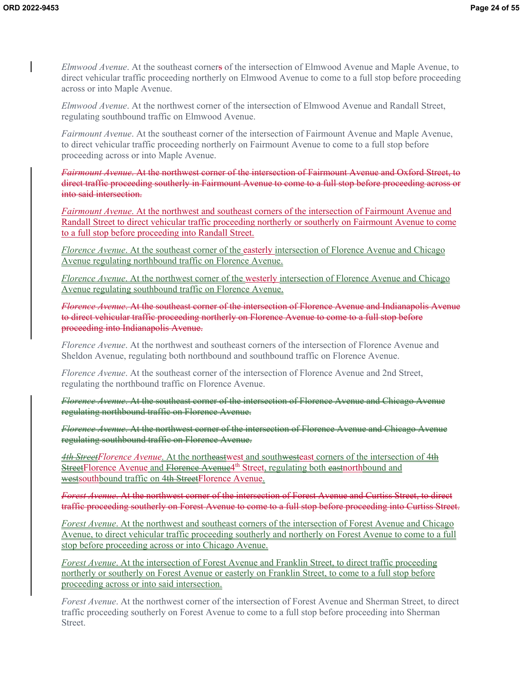*Elmwood Avenue*. At the southeast corners of the intersection of Elmwood Avenue and Maple Avenue, to direct vehicular traffic proceeding northerly on Elmwood Avenue to come to a full stop before proceeding across or into Maple Avenue.

*Elmwood Avenue*. At the northwest corner of the intersection of Elmwood Avenue and Randall Street, regulating southbound traffic on Elmwood Avenue.

*Fairmount Avenue*. At the southeast corner of the intersection of Fairmount Avenue and Maple Avenue, to direct vehicular traffic proceeding northerly on Fairmount Avenue to come to a full stop before proceeding across or into Maple Avenue.

*Fairmount Avenue*. At the northwest corner of the intersection of Fairmount Avenue and Oxford Street, to direct traffic proceeding southerly in Fairmount Avenue to come to a full stop before proceeding across or into said intersection.

*Fairmount Avenue*. At the northwest and southeast corners of the intersection of Fairmount Avenue and Randall Street to direct vehicular traffic proceeding northerly or southerly on Fairmount Avenue to come to a full stop before proceeding into Randall Street.

*Florence Avenue*. At the southeast corner of the easterly intersection of Florence Avenue and Chicago Avenue regulating northbound traffic on Florence Avenue.

*Florence Avenue*. At the northwest corner of the westerly intersection of Florence Avenue and Chicago Avenue regulating southbound traffic on Florence Avenue.

*Florence Avenue*. At the southeast corner of the intersection of Florence Avenue and Indianapolis Avenue to direct vehicular traffic proceeding northerly on Florence Avenue to come to a full stop before proceeding into Indianapolis Avenue.

*Florence Avenue*. At the northwest and southeast corners of the intersection of Florence Avenue and Sheldon Avenue, regulating both northbound and southbound traffic on Florence Avenue.

*Florence Avenue*. At the southeast corner of the intersection of Florence Avenue and 2nd Street, regulating the northbound traffic on Florence Avenue.

*Florence Avenue*. At the southeast corner of the intersection of Florence Avenue and Chicago Avenue regulating northbound traffic on Florence Avenue.

*Florence Avenue*. At the northwest corner of the intersection of Florence Avenue and Chicago Avenue regulating southbound traffic on Florence Avenue.

*4th StreetFlorence Avenue*. At the northeastwest and southwesteast corners of the intersection of 4th StreetFlorence Avenue and Florence Avenue<sup>4th</sup> Street, regulating both eastnorthbound and westsouthbound traffic on 4th StreetFlorence Avenue.

*Forest Avenue*. At the northwest corner of the intersection of Forest Avenue and Curtiss Street, to direct traffic proceeding southerly on Forest Avenue to come to a full stop before proceeding into Curtiss Street.

*Forest Avenue*. At the northwest and southeast corners of the intersection of Forest Avenue and Chicago Avenue, to direct vehicular traffic proceeding southerly and northerly on Forest Avenue to come to a full stop before proceeding across or into Chicago Avenue.

*Forest Avenue*. At the intersection of Forest Avenue and Franklin Street, to direct traffic proceeding northerly or southerly on Forest Avenue or easterly on Franklin Street, to come to a full stop before proceeding across or into said intersection.

*Forest Avenue*. At the northwest corner of the intersection of Forest Avenue and Sherman Street, to direct traffic proceeding southerly on Forest Avenue to come to a full stop before proceeding into Sherman Street.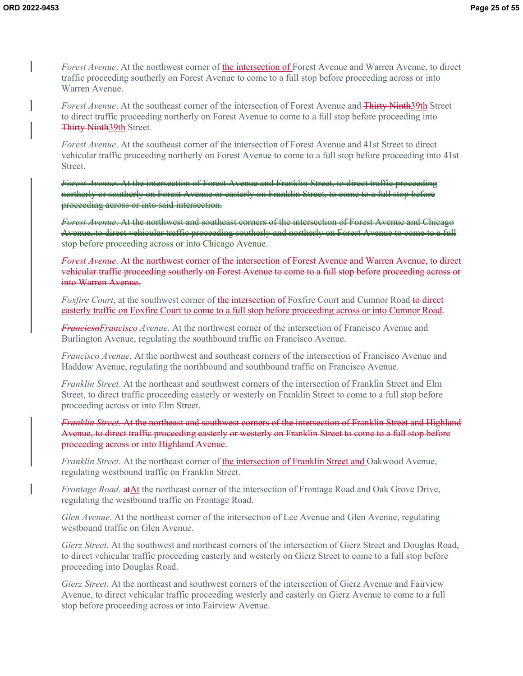*Forest Avenue*. At the northwest corner of the intersection of Forest Avenue and Warren Avenue, to direct traffic proceeding southerly on Forest Avenue to come to a full stop before proceeding across or into Warren Avenue.

*Forest Avenue*. At the southeast corner of the intersection of Forest Avenue and Thirty Ninth39th Street to direct traffic proceeding northerly on Forest Avenue to come to a full stop before proceeding into Thirty Ninth39th Street.

*Forest Avenue*. At the southeast corner of the intersection of Forest Avenue and 41st Street to direct vehicular traffic proceeding northerly on Forest Avenue to come to a full stop before proceeding into 41st Street.

*Forest Avenue*. At the intersection of Forest Avenue and Franklin Street, to direct traffic proceeding northerly or southerly on Forest Avenue or easterly on Franklin Street, to come to a full stop before proceeding across or into said intersection.

*Forest Avenue*. At the northwest and southeast corners of the intersection of Forest Avenue and Chicago Avenue, to direct vehicular traffic proceeding southerly and northerly on Forest Avenue to come to a full stop before proceeding across or into Chicago Avenue.

*Forest Avenue*. At the northwest corner of the intersection of Forest Avenue and Warren Avenue, to direct vehicular traffic proceeding southerly on Forest Avenue to come to a full stop before proceeding across or into Warren Avenue.

*Foxfire Court*, at the southwest corner of the intersection of Foxfire Court and Cumnor Road to direct easterly traffic on Foxfire Court to come to a full stop before proceeding across or into Cumnor Road.

*FrancicsoFrancisco Avenue*. At the northwest corner of the intersection of Francisco Avenue and Burlington Avenue, regulating the southbound traffic on Francisco Avenue.

*Francisco Avenue*. At the northwest and southeast corners of the intersection of Francisco Avenue and Haddow Avenue, regulating the northbound and southbound traffic on Francisco Avenue.

*Franklin Street*. At the northeast and southwest corners of the intersection of Franklin Street and Elm Street, to direct traffic proceeding easterly or westerly on Franklin Street to come to a full stop before proceeding across or into Elm Street.

*Franklin Street*. At the northeast and southwest corners of the intersection of Franklin Street and Highland Avenue, to direct traffic proceeding easterly or westerly on Franklin Street to come to a full stop before proceeding across or into Highland Avenue.

*Franklin Street*. At the northeast corner of the intersection of Franklin Street and Oakwood Avenue, regulating westbound traffic on Franklin Street.

*Frontage Road*. **atAt** the northeast corner of the intersection of Frontage Road and Oak Grove Drive, regulating the westbound traffic on Frontage Road.

*Glen Avenue*. At the northeast corner of the intersection of Lee Avenue and Glen Avenue, regulating westbound traffic on Glen Avenue.

*Gierz Street*. At the southwest and northeast corners of the intersection of Gierz Street and Douglas Road, to direct vehicular traffic proceeding easterly and westerly on Gierz Street to come to a full stop before proceeding into Douglas Road.

*Gierz Street*. At the northeast and southwest corners of the intersection of Gierz Avenue and Fairview Avenue, to direct vehicular traffic proceeding westerly and easterly on Gierz Avenue to come to a full stop before proceeding across or into Fairview Avenue.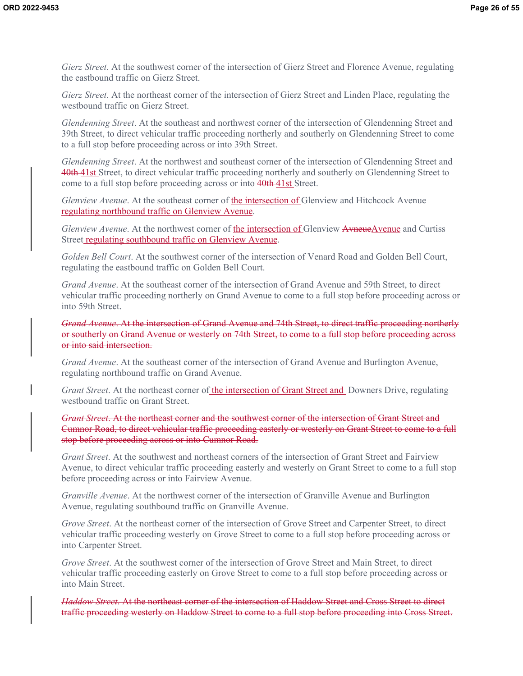*Gierz Street*. At the southwest corner of the intersection of Gierz Street and Florence Avenue, regulating the eastbound traffic on Gierz Street.

*Gierz Street*. At the northeast corner of the intersection of Gierz Street and Linden Place, regulating the westbound traffic on Gierz Street.

*Glendenning Street*. At the southeast and northwest corner of the intersection of Glendenning Street and 39th Street, to direct vehicular traffic proceeding northerly and southerly on Glendenning Street to come to a full stop before proceeding across or into 39th Street.

*Glendenning Street*. At the northwest and southeast corner of the intersection of Glendenning Street and 40th 41st Street, to direct vehicular traffic proceeding northerly and southerly on Glendenning Street to come to a full stop before proceeding across or into 40th 41st Street.

*Glenview Avenue*. At the southeast corner of the intersection of Glenview and Hitchcock Avenue regulating northbound traffic on Glenview Avenue.

*Glenview Avenue*. At the northwest corner of the intersection of Glenview AvneueAvenue and Curtiss Street regulating southbound traffic on Glenview Avenue.

*Golden Bell Court*. At the southwest corner of the intersection of Venard Road and Golden Bell Court, regulating the eastbound traffic on Golden Bell Court.

*Grand Avenue*. At the southeast corner of the intersection of Grand Avenue and 59th Street, to direct vehicular traffic proceeding northerly on Grand Avenue to come to a full stop before proceeding across or into 59th Street.

*Grand Avenue*. At the intersection of Grand Avenue and 74th Street, to direct traffic proceeding northerly or southerly on Grand Avenue or westerly on 74th Street, to come to a full stop before proceeding across or into said intersection.

*Grand Avenue.* At the southeast corner of the intersection of Grand Avenue and Burlington Avenue, regulating northbound traffic on Grand Avenue.

*Grant Street*. At the northeast corner of the intersection of Grant Street and -Downers Drive, regulating westbound traffic on Grant Street.

*Grant Street*. At the northeast corner and the southwest corner of the intersection of Grant Street and Cumnor Road, to direct vehicular traffic proceeding easterly or westerly on Grant Street to come to a full stop before proceeding across or into Cumnor Road.

*Grant Street*. At the southwest and northeast corners of the intersection of Grant Street and Fairview Avenue, to direct vehicular traffic proceeding easterly and westerly on Grant Street to come to a full stop before proceeding across or into Fairview Avenue.

*Granville Avenue*. At the northwest corner of the intersection of Granville Avenue and Burlington Avenue, regulating southbound traffic on Granville Avenue.

*Grove Street*. At the northeast corner of the intersection of Grove Street and Carpenter Street, to direct vehicular traffic proceeding westerly on Grove Street to come to a full stop before proceeding across or into Carpenter Street.

*Grove Street*. At the southwest corner of the intersection of Grove Street and Main Street, to direct vehicular traffic proceeding easterly on Grove Street to come to a full stop before proceeding across or into Main Street.

*Haddow Street*. At the northeast corner of the intersection of Haddow Street and Cross Street to direct traffic proceeding westerly on Haddow Street to come to a full stop before proceeding into Cross Street.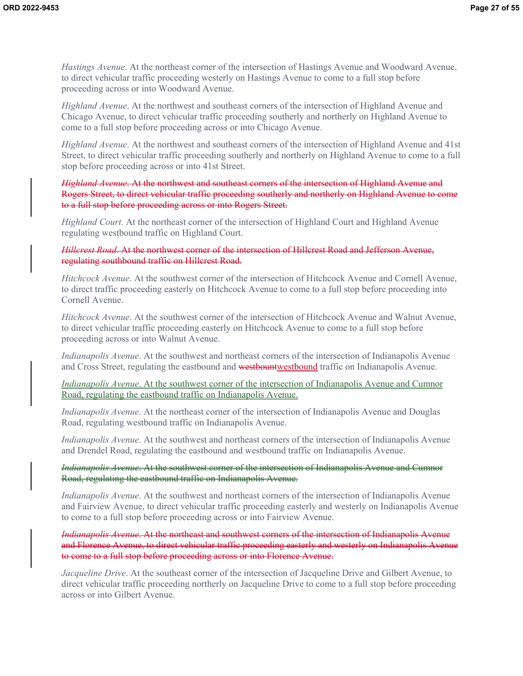*Hastings Avenue*. At the northeast corner of the intersection of Hastings Avenue and Woodward Avenue, to direct vehicular traffic proceeding westerly on Hastings Avenue to come to a full stop before proceeding across or into Woodward Avenue.

*Highland Avenue*. At the northwest and southeast corners of the intersection of Highland Avenue and Chicago Avenue, to direct vehicular traffic proceeding southerly and northerly on Highland Avenue to come to a full stop before proceeding across or into Chicago Avenue.

*Highland Avenue*. At the northwest and southeast corners of the intersection of Highland Avenue and 41st Street, to direct vehicular traffic proceeding southerly and northerly on Highland Avenue to come to a full stop before proceeding across or into 41st Street.

*Highland Avenue*. At the northwest and southeast corners of the intersection of Highland Avenue and Rogers Street, to direct vehicular traffic proceeding southerly and northerly on Highland Avenue to come to a full stop before proceeding across or into Rogers Street.

*Highland Court*. At the northeast corner of the intersection of Highland Court and Highland Avenue regulating westbound traffic on Highland Court.

*Hillcrest Road*. At the northwest corner of the intersection of Hillcrest Road and Jefferson Avenue, regulating southbound traffic on Hillcrest Road.

*Hitchcock Avenue*. At the southwest corner of the intersection of Hitchcock Avenue and Cornell Avenue, to direct traffic proceeding easterly on Hitchcock Avenue to come to a full stop before proceeding into Cornell Avenue.

*Hitchcock Avenue*. At the southwest corner of the intersection of Hitchcock Avenue and Walnut Avenue, to direct vehicular traffic proceeding easterly on Hitchcock Avenue to come to a full stop before proceeding across or into Walnut Avenue.

*Indianapolis Avenue*. At the southwest and northeast corners of the intersection of Indianapolis Avenue and Cross Street, regulating the eastbound and westbountwestbound traffic on Indianapolis Avenue.

*Indianapolis Avenue*. At the southwest corner of the intersection of Indianapolis Avenue and Cumnor Road, regulating the eastbound traffic on Indianapolis Avenue.

*Indianapolis Avenue*. At the northeast corner of the intersection of Indianapolis Avenue and Douglas Road, regulating westbound traffic on Indianapolis Avenue.

*Indianapolis Avenue*. At the southwest and northeast corners of the intersection of Indianapolis Avenue and Drendel Road, regulating the eastbound and westbound traffic on Indianapolis Avenue.

*Indianapolis Avenue*. At the southwest corner of the intersection of Indianapolis Avenue and Cumnor Road, regulating the eastbound traffic on Indianapolis Avenue.

*Indianapolis Avenue*. At the southwest and northeast corners of the intersection of Indianapolis Avenue and Fairview Avenue, to direct vehicular traffic proceeding easterly and westerly on Indianapolis Avenue to come to a full stop before proceeding across or into Fairview Avenue.

*Indianapolis Avenue*. At the northeast and southwest corners of the intersection of Indianapolis Avenue and Florence Avenue, to direct vehicular traffic proceeding easterly and westerly on Indianapolis Avenue to come to a full stop before proceeding across or into Florence Avenue.

*Jacqueline Drive*. At the southeast corner of the intersection of Jacqueline Drive and Gilbert Avenue, to direct vehicular traffic proceeding northerly on Jacqueline Drive to come to a full stop before proceeding across or into Gilbert Avenue.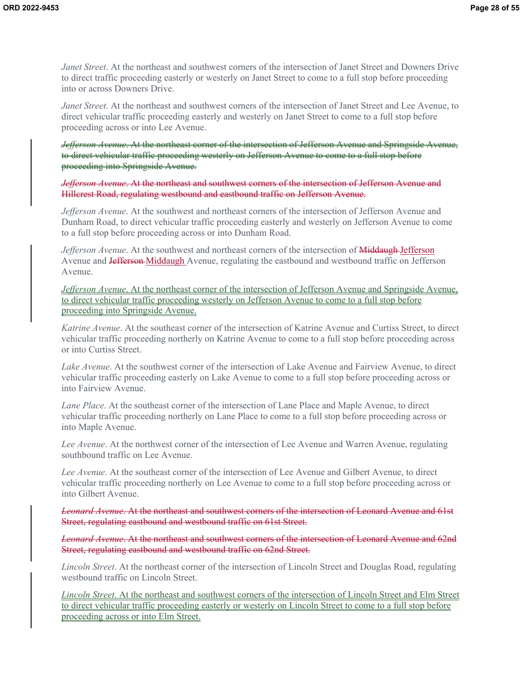*Janet Street*. At the northeast and southwest corners of the intersection of Janet Street and Downers Drive to direct traffic proceeding easterly or westerly on Janet Street to come to a full stop before proceeding into or across Downers Drive.

*Janet Street*. At the northeast and southwest corners of the intersection of Janet Street and Lee Avenue, to direct vehicular traffic proceeding easterly and westerly on Janet Street to come to a full stop before proceeding across or into Lee Avenue.

*Jefferson Avenue*. At the northeast corner of the intersection of Jefferson Avenue and Springside Avenue, to direct vehicular traffic proceeding westerly on Jefferson Avenue to come to a full stop before proceeding into Springside Avenue.

*Jefferson Avenue*. At the northeast and southwest corners of the intersection of Jefferson Avenue and Hillcrest Road, regulating westbound and eastbound traffic on Jefferson Avenue.

*Jefferson Avenue*. At the southwest and northeast corners of the intersection of Jefferson Avenue and Dunham Road, to direct vehicular traffic proceeding easterly and westerly on Jefferson Avenue to come to a full stop before proceeding across or into Dunham Road.

*Jefferson Avenue*. At the southwest and northeast corners of the intersection of **Middaugh** Jefferson Avenue and Jefferson-Middaugh Avenue, regulating the eastbound and westbound traffic on Jefferson Avenue.

*Jefferson Avenue*. At the northeast corner of the intersection of Jefferson Avenue and Springside Avenue, to direct vehicular traffic proceeding westerly on Jefferson Avenue to come to a full stop before proceeding into Springside Avenue.

*Katrine Avenue*. At the southeast corner of the intersection of Katrine Avenue and Curtiss Street, to direct vehicular traffic proceeding northerly on Katrine Avenue to come to a full stop before proceeding across or into Curtiss Street.

*Lake Avenue*. At the southwest corner of the intersection of Lake Avenue and Fairview Avenue, to direct vehicular traffic proceeding easterly on Lake Avenue to come to a full stop before proceeding across or into Fairview Avenue.

*Lane Place*. At the southeast corner of the intersection of Lane Place and Maple Avenue, to direct vehicular traffic proceeding northerly on Lane Place to come to a full stop before proceeding across or into Maple Avenue.

*Lee Avenue*. At the northwest corner of the intersection of Lee Avenue and Warren Avenue, regulating southbound traffic on Lee Avenue.

*Lee Avenue*. At the southeast corner of the intersection of Lee Avenue and Gilbert Avenue, to direct vehicular traffic proceeding northerly on Lee Avenue to come to a full stop before proceeding across or into Gilbert Avenue.

*Leonard Avenue*. At the northeast and southwest corners of the intersection of Leonard Avenue and 61st Street, regulating eastbound and westbound traffic on 61st Street.

*Leonard Avenue*. At the northeast and southwest corners of the intersection of Leonard Avenue and 62nd Street, regulating eastbound and westbound traffic on 62nd Street.

*Lincoln Street*. At the northeast corner of the intersection of Lincoln Street and Douglas Road, regulating westbound traffic on Lincoln Street.

*Lincoln Street*. At the northeast and southwest corners of the intersection of Lincoln Street and Elm Street to direct vehicular traffic proceeding easterly or westerly on Lincoln Street to come to a full stop before proceeding across or into Elm Street.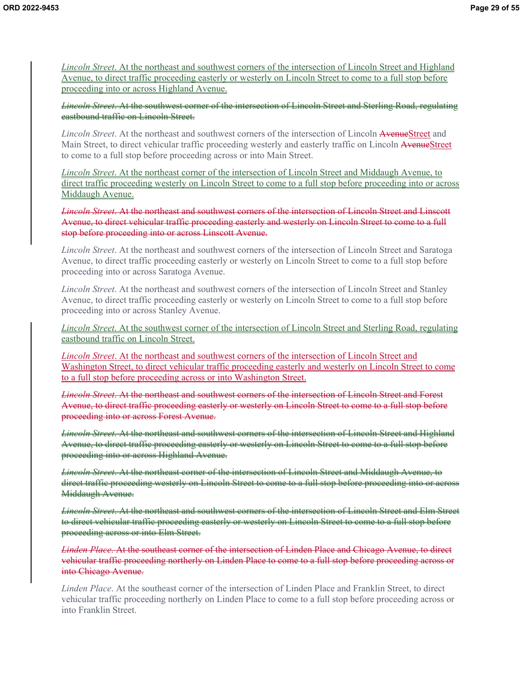*Lincoln Street*. At the northeast and southwest corners of the intersection of Lincoln Street and Highland Avenue, to direct traffic proceeding easterly or westerly on Lincoln Street to come to a full stop before proceeding into or across Highland Avenue.

*Lincoln Street*. At the southwest corner of the intersection of Lincoln Street and Sterling Road, regulating eastbound traffic on Lincoln Street.

*Lincoln Street*. At the northeast and southwest corners of the intersection of Lincoln AvenueStreet and Main Street, to direct vehicular traffic proceeding westerly and easterly traffic on Lincoln AvenueStreet to come to a full stop before proceeding across or into Main Street.

*Lincoln Street*. At the northeast corner of the intersection of Lincoln Street and Middaugh Avenue, to direct traffic proceeding westerly on Lincoln Street to come to a full stop before proceeding into or across Middaugh Avenue.

*Lincoln Street*. At the northeast and southwest corners of the intersection of Lincoln Street and Linscott Avenue, to direct vehicular traffic proceeding easterly and westerly on Lincoln Street to come to a full stop before proceeding into or across Linscott Avenue.

*Lincoln Street*. At the northeast and southwest corners of the intersection of Lincoln Street and Saratoga Avenue, to direct traffic proceeding easterly or westerly on Lincoln Street to come to a full stop before proceeding into or across Saratoga Avenue.

*Lincoln Street*. At the northeast and southwest corners of the intersection of Lincoln Street and Stanley Avenue, to direct traffic proceeding easterly or westerly on Lincoln Street to come to a full stop before proceeding into or across Stanley Avenue.

*Lincoln Street*. At the southwest corner of the intersection of Lincoln Street and Sterling Road, regulating eastbound traffic on Lincoln Street.

*Lincoln Street*. At the northeast and southwest corners of the intersection of Lincoln Street and Washington Street, to direct vehicular traffic proceeding easterly and westerly on Lincoln Street to come to a full stop before proceeding across or into Washington Street.

*Lincoln Street*. At the northeast and southwest corners of the intersection of Lincoln Street and Forest Avenue, to direct traffic proceeding easterly or westerly on Lincoln Street to come to a full stop before proceeding into or across Forest Avenue.

*Lincoln Street*. At the northeast and southwest corners of the intersection of Lincoln Street and Highland Avenue, to direct traffic proceeding easterly or westerly on Lincoln Street to come to a full stop before proceeding into or across Highland Avenue.

*Lincoln Street*. At the northeast corner of the intersection of Lincoln Street and Middaugh Avenue, to direct traffic proceeding westerly on Lincoln Street to come to a full stop before proceeding into or across Middaugh Avenue.

*Lincoln Street*. At the northeast and southwest corners of the intersection of Lincoln Street and Elm Street to direct vehicular traffic proceeding easterly or westerly on Lincoln Street to come to a full stop before proceeding across or into Elm Street.

*Linden Place*. At the southeast corner of the intersection of Linden Place and Chicago Avenue, to direct vehicular traffic proceeding northerly on Linden Place to come to a full stop before proceeding across or into Chicago Avenue.

*Linden Place*. At the southeast corner of the intersection of Linden Place and Franklin Street, to direct vehicular traffic proceeding northerly on Linden Place to come to a full stop before proceeding across or into Franklin Street.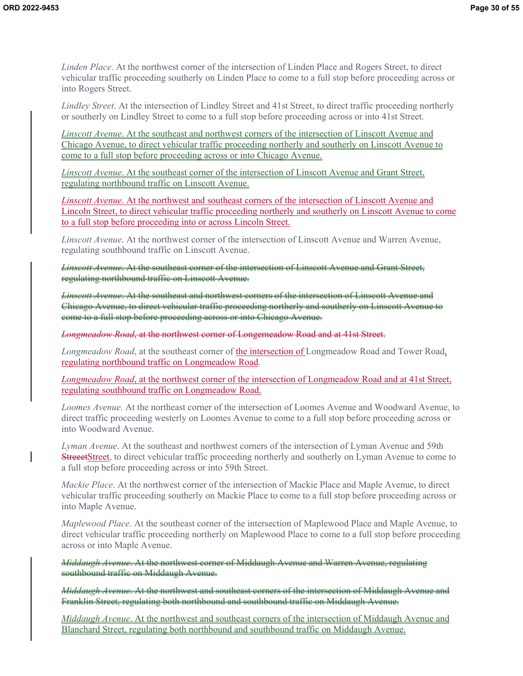*Linden Place*. At the northwest corner of the intersection of Linden Place and Rogers Street, to direct vehicular traffic proceeding southerly on Linden Place to come to a full stop before proceeding across or into Rogers Street.

*Lindley Street*. At the intersection of Lindley Street and 41st Street, to direct traffic proceeding northerly or southerly on Lindley Street to come to a full stop before proceeding across or into 41st Street.

*Linscott Avenue*. At the southeast and northwest corners of the intersection of Linscott Avenue and Chicago Avenue, to direct vehicular traffic proceeding northerly and southerly on Linscott Avenue to come to a full stop before proceeding across or into Chicago Avenue.

*Linscott Avenue*. At the southeast corner of the intersection of Linscott Avenue and Grant Street, regulating northbound traffic on Linscott Avenue.

*Linscott Avenue*. At the northwest and southeast corners of the intersection of Linscott Avenue and Lincoln Street, to direct vehicular traffic proceeding northerly and southerly on Linscott Avenue to come to a full stop before proceeding into or across Lincoln Street.

*Linscott Avenue*. At the northwest corner of the intersection of Linscott Avenue and Warren Avenue, regulating southbound traffic on Linscott Avenue.

*Linscott Avenue*. At the southeast corner of the intersection of Linscott Avenue and Grant Street, regulating northbound traffic on Linscott Avenue.

*Linscott Avenue*. At the southeast and northwest corners of the intersection of Linscott Avenue and Chicago Avenue, to direct vehicular traffic proceeding northerly and southerly on Linscott Avenue to come to a full stop before proceeding across or into Chicago Avenue.

*Longmeadow Road*, at the northwest corner of Longemeadow Road and at 41st Street.

*Longmeadow Road*, at the southeast corner of the intersection of Longmeadow Road and Tower Road, regulating northbound traffic on Longmeadow Road.

*Longmeadow Road*, at the northwest corner of the intersection of Longmeadow Road and at 41st Street, regulating southbound traffic on Longmeadow Road.

*Loomes Avenue*. At the northeast corner of the intersection of Loomes Avenue and Woodward Avenue, to direct traffic proceeding westerly on Loomes Avenue to come to a full stop before proceeding across or into Woodward Avenue.

*Lyman Avenue*. At the southeast and northwest corners of the intersection of Lyman Avenue and 59th **StreeetStreet**, to direct vehicular traffic proceeding northerly and southerly on Lyman Avenue to come to a full stop before proceeding across or into 59th Street.

*Mackie Place*. At the northwest corner of the intersection of Mackie Place and Maple Avenue, to direct vehicular traffic proceeding southerly on Mackie Place to come to a full stop before proceeding across or into Maple Avenue.

*Maplewood Place*. At the southeast corner of the intersection of Maplewood Place and Maple Avenue, to direct vehicular traffic proceeding northerly on Maplewood Place to come to a full stop before proceeding across or into Maple Avenue.

*Middaugh Avenue*. At the northwest corner of Middaugh Avenue and Warren Avenue, regulating southbound traffic on Middaugh Avenue.

*Middaugh Avenue*. At the northwest and southeast corners of the intersection of Middaugh Avenue and Franklin Street, regulating both northbound and southbound traffic on Middaugh Avenue.

*Middaugh Avenue*. At the northwest and southeast corners of the intersection of Middaugh Avenue and Blanchard Street, regulating both northbound and southbound traffic on Middaugh Avenue.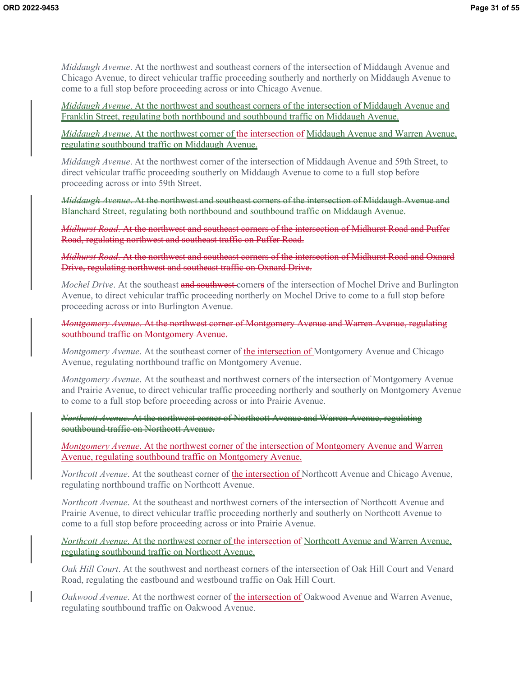*Middaugh Avenue*. At the northwest and southeast corners of the intersection of Middaugh Avenue and Chicago Avenue, to direct vehicular traffic proceeding southerly and northerly on Middaugh Avenue to come to a full stop before proceeding across or into Chicago Avenue.

*Middaugh Avenue*. At the northwest and southeast corners of the intersection of Middaugh Avenue and Franklin Street, regulating both northbound and southbound traffic on Middaugh Avenue.

*Middaugh Avenue*. At the northwest corner of the intersection of Middaugh Avenue and Warren Avenue, regulating southbound traffic on Middaugh Avenue.

*Middaugh Avenue*. At the northwest corner of the intersection of Middaugh Avenue and 59th Street, to direct vehicular traffic proceeding southerly on Middaugh Avenue to come to a full stop before proceeding across or into 59th Street.

*Middaugh Avenue*. At the northwest and southeast corners of the intersection of Middaugh Avenue and Blanchard Street, regulating both northbound and southbound traffic on Middaugh Avenue.

*Midhurst Road*. At the northwest and southeast corners of the intersection of Midhurst Road and Puffer Road, regulating northwest and southeast traffic on Puffer Road.

*Midhurst Road*. At the northwest and southeast corners of the intersection of Midhurst Road and Oxnard Drive, regulating northwest and southeast traffic on Oxnard Drive.

*Mochel Drive.* At the southeast and southwest corners of the intersection of Mochel Drive and Burlington Avenue, to direct vehicular traffic proceeding northerly on Mochel Drive to come to a full stop before proceeding across or into Burlington Avenue.

*Montgomery Avenue*. At the northwest corner of Montgomery Avenue and Warren Avenue, regulating southbound traffic on Montgomery Avenue.

*Montgomery Avenue*. At the southeast corner of the intersection of Montgomery Avenue and Chicago Avenue, regulating northbound traffic on Montgomery Avenue.

*Montgomery Avenue*. At the southeast and northwest corners of the intersection of Montgomery Avenue and Prairie Avenue, to direct vehicular traffic proceeding northerly and southerly on Montgomery Avenue to come to a full stop before proceeding across or into Prairie Avenue.

*Northcott Avenue*. At the northwest corner of Northcott Avenue and Warren Avenue, regulating southbound traffic on Northcott Avenue.

*Montgomery Avenue*. At the northwest corner of the intersection of Montgomery Avenue and Warren Avenue, regulating southbound traffic on Montgomery Avenue.

*Northcott Avenue*. At the southeast corner of the intersection of Northcott Avenue and Chicago Avenue, regulating northbound traffic on Northcott Avenue.

*Northcott Avenue*. At the southeast and northwest corners of the intersection of Northcott Avenue and Prairie Avenue, to direct vehicular traffic proceeding northerly and southerly on Northcott Avenue to come to a full stop before proceeding across or into Prairie Avenue.

*Northcott Avenue*. At the northwest corner of the intersection of Northcott Avenue and Warren Avenue, regulating southbound traffic on Northcott Avenue.

*Oak Hill Court*. At the southwest and northeast corners of the intersection of Oak Hill Court and Venard Road, regulating the eastbound and westbound traffic on Oak Hill Court.

*Oakwood Avenue*. At the northwest corner of the intersection of Oakwood Avenue and Warren Avenue, regulating southbound traffic on Oakwood Avenue.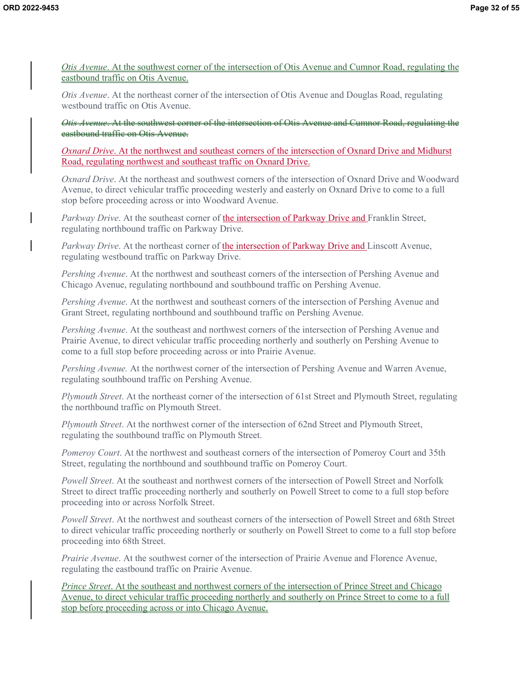*Otis Avenue*. At the southwest corner of the intersection of Otis Avenue and Cumnor Road, regulating the eastbound traffic on Otis Avenue.

*Otis Avenue*. At the northeast corner of the intersection of Otis Avenue and Douglas Road, regulating westbound traffic on Otis Avenue.

*Otis Avenue*. At the southwest corner of the intersection of Otis Avenue and Cumnor Road, regulating the eastbound traffic on Otis Avenue.

*Oxnard Drive*. At the northwest and southeast corners of the intersection of Oxnard Drive and Midhurst Road, regulating northwest and southeast traffic on Oxnard Drive.

*Oxnard Drive*. At the northeast and southwest corners of the intersection of Oxnard Drive and Woodward Avenue, to direct vehicular traffic proceeding westerly and easterly on Oxnard Drive to come to a full stop before proceeding across or into Woodward Avenue.

*Parkway Drive*. At the southeast corner of the intersection of Parkway Drive and Franklin Street, regulating northbound traffic on Parkway Drive.

*Parkway Drive.* At the northeast corner of the intersection of Parkway Drive and Linscott Avenue, regulating westbound traffic on Parkway Drive.

*Pershing Avenue*. At the northwest and southeast corners of the intersection of Pershing Avenue and Chicago Avenue, regulating northbound and southbound traffic on Pershing Avenue.

*Pershing Avenue*. At the northwest and southeast corners of the intersection of Pershing Avenue and Grant Street, regulating northbound and southbound traffic on Pershing Avenue.

*Pershing Avenue*. At the southeast and northwest corners of the intersection of Pershing Avenue and Prairie Avenue, to direct vehicular traffic proceeding northerly and southerly on Pershing Avenue to come to a full stop before proceeding across or into Prairie Avenue.

*Pershing Avenue.* At the northwest corner of the intersection of Pershing Avenue and Warren Avenue, regulating southbound traffic on Pershing Avenue.

*Plymouth Street*. At the northeast corner of the intersection of 61st Street and Plymouth Street, regulating the northbound traffic on Plymouth Street.

*Plymouth Street*. At the northwest corner of the intersection of 62nd Street and Plymouth Street, regulating the southbound traffic on Plymouth Street.

*Pomeroy Court*. At the northwest and southeast corners of the intersection of Pomeroy Court and 35th Street, regulating the northbound and southbound traffic on Pomeroy Court.

*Powell Street*. At the southeast and northwest corners of the intersection of Powell Street and Norfolk Street to direct traffic proceeding northerly and southerly on Powell Street to come to a full stop before proceeding into or across Norfolk Street.

*Powell Street*. At the northwest and southeast corners of the intersection of Powell Street and 68th Street to direct vehicular traffic proceeding northerly or southerly on Powell Street to come to a full stop before proceeding into 68th Street.

*Prairie Avenue*. At the southwest corner of the intersection of Prairie Avenue and Florence Avenue, regulating the eastbound traffic on Prairie Avenue.

*Prince Street*. At the southeast and northwest corners of the intersection of Prince Street and Chicago Avenue, to direct vehicular traffic proceeding northerly and southerly on Prince Street to come to a full stop before proceeding across or into Chicago Avenue.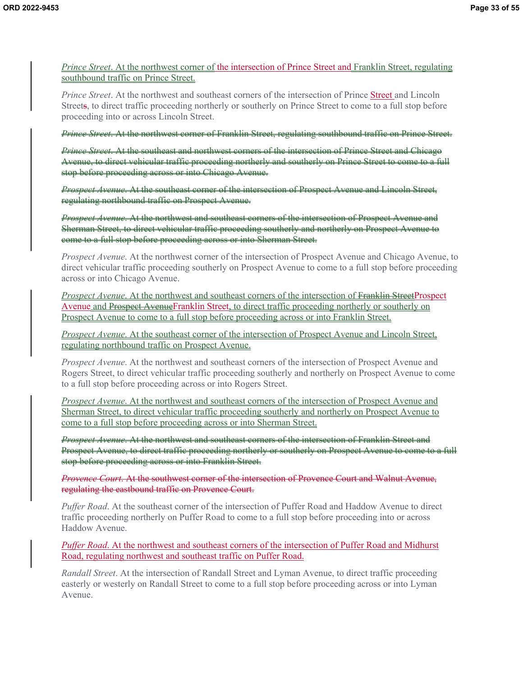*Prince Street.* At the northwest corner of the intersection of Prince Street and Franklin Street, regulating southbound traffic on Prince Street.

*Prince Street*. At the northwest and southeast corners of the intersection of Prince Street and Lincoln Streets, to direct traffic proceeding northerly or southerly on Prince Street to come to a full stop before proceeding into or across Lincoln Street.

*Prince Street*. At the northwest corner of Franklin Street, regulating southbound traffic on Prince Street.

*Prince Street*. At the southeast and northwest corners of the intersection of Prince Street and Chicago Avenue, to direct vehicular traffic proceeding northerly and southerly on Prince Street to come to a full stop before proceeding across or into Chicago Avenue.

*Prospect Avenue*. At the southeast corner of the intersection of Prospect Avenue and Lincoln Street, regulating northbound traffic on Prospect Avenue.

*Prospect Avenue*. At the northwest and southeast corners of the intersection of Prospect Avenue and Sherman Street, to direct vehicular traffic proceeding southerly and northerly on Prospect Avenue to come to a full stop before proceeding across or into Sherman Street.

*Prospect Avenue*. At the northwest corner of the intersection of Prospect Avenue and Chicago Avenue, to direct vehicular traffic proceeding southerly on Prospect Avenue to come to a full stop before proceeding across or into Chicago Avenue.

*Prospect Avenue.* At the northwest and southeast corners of the intersection of Franklin StreetProspect Avenue and Prospect AvenueFranklin Street, to direct traffic proceeding northerly or southerly on Prospect Avenue to come to a full stop before proceeding across or into Franklin Street.

*Prospect Avenue*. At the southeast corner of the intersection of Prospect Avenue and Lincoln Street, regulating northbound traffic on Prospect Avenue.

*Prospect Avenue*. At the northwest and southeast corners of the intersection of Prospect Avenue and Rogers Street, to direct vehicular traffic proceeding southerly and northerly on Prospect Avenue to come to a full stop before proceeding across or into Rogers Street.

*Prospect Avenue*. At the northwest and southeast corners of the intersection of Prospect Avenue and Sherman Street, to direct vehicular traffic proceeding southerly and northerly on Prospect Avenue to come to a full stop before proceeding across or into Sherman Street.

*Prospect Avenue*. At the northwest and southeast corners of the intersection of Franklin Street and Prospect Avenue, to direct traffic proceeding northerly or southerly on Prospect Avenue to come to a full stop before proceeding across or into Franklin Street.

*Provence Court*. At the southwest corner of the intersection of Provence Court and Walnut Avenue, regulating the eastbound traffic on Provence Court.

*Puffer Road*. At the southeast corner of the intersection of Puffer Road and Haddow Avenue to direct traffic proceeding northerly on Puffer Road to come to a full stop before proceeding into or across Haddow Avenue.

*Puffer Road*. At the northwest and southeast corners of the intersection of Puffer Road and Midhurst Road, regulating northwest and southeast traffic on Puffer Road.

*Randall Street*. At the intersection of Randall Street and Lyman Avenue, to direct traffic proceeding easterly or westerly on Randall Street to come to a full stop before proceeding across or into Lyman Avenue.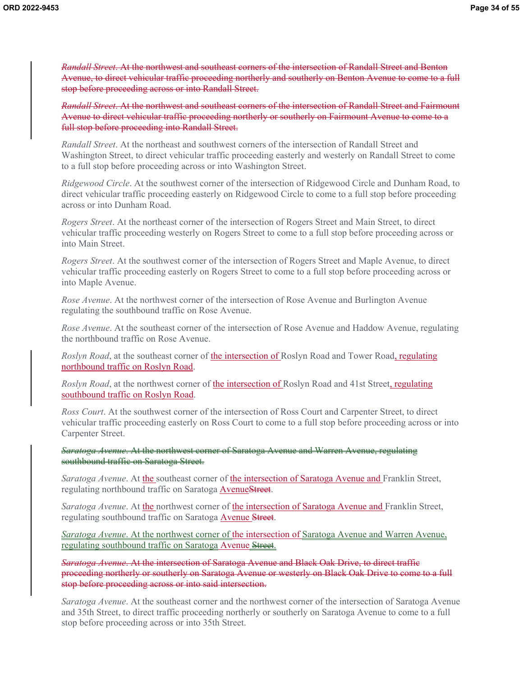*Randall Street*. At the northwest and southeast corners of the intersection of Randall Street and Benton Avenue, to direct vehicular traffic proceeding northerly and southerly on Benton Avenue to come to a full stop before proceeding across or into Randall Street.

*Randall Street*. At the northwest and southeast corners of the intersection of Randall Street and Fairmount Avenue to direct vehicular traffic proceeding northerly or southerly on Fairmount Avenue to come to a full stop before proceeding into Randall Street.

*Randall Street*. At the northeast and southwest corners of the intersection of Randall Street and Washington Street, to direct vehicular traffic proceeding easterly and westerly on Randall Street to come to a full stop before proceeding across or into Washington Street.

*Ridgewood Circle*. At the southwest corner of the intersection of Ridgewood Circle and Dunham Road, to direct vehicular traffic proceeding easterly on Ridgewood Circle to come to a full stop before proceeding across or into Dunham Road.

*Rogers Street*. At the northeast corner of the intersection of Rogers Street and Main Street, to direct vehicular traffic proceeding westerly on Rogers Street to come to a full stop before proceeding across or into Main Street.

*Rogers Street*. At the southwest corner of the intersection of Rogers Street and Maple Avenue, to direct vehicular traffic proceeding easterly on Rogers Street to come to a full stop before proceeding across or into Maple Avenue.

*Rose Avenue*. At the northwest corner of the intersection of Rose Avenue and Burlington Avenue regulating the southbound traffic on Rose Avenue.

*Rose Avenue*. At the southeast corner of the intersection of Rose Avenue and Haddow Avenue, regulating the northbound traffic on Rose Avenue.

*Roslyn Road*, at the southeast corner of the intersection of Roslyn Road and Tower Road, regulating northbound traffic on Roslyn Road.

*Roslyn Road*, at the northwest corner of the intersection of Roslyn Road and 41st Street, regulating southbound traffic on Roslyn Road.

*Ross Court*. At the southwest corner of the intersection of Ross Court and Carpenter Street, to direct vehicular traffic proceeding easterly on Ross Court to come to a full stop before proceeding across or into Carpenter Street.

*Saratoga Avenue*. At the northwest corner of Saratoga Avenue and Warren Avenue, regulating southbound traffic on Saratoga Street.

*Saratoga Avenue*. At the southeast corner of the intersection of Saratoga Avenue and Franklin Street, regulating northbound traffic on Saratoga AvenueStreet.

*Saratoga Avenue*. At the northwest corner of the intersection of Saratoga Avenue and Franklin Street, regulating southbound traffic on Saratoga Avenue Street.

*Saratoga Avenue*. At the northwest corner of the intersection of Saratoga Avenue and Warren Avenue, regulating southbound traffic on Saratoga Avenue Street.

*Saratoga Avenue*. At the intersection of Saratoga Avenue and Black Oak Drive, to direct traffic proceeding northerly or southerly on Saratoga Avenue or westerly on Black Oak Drive to come to a full stop before proceeding across or into said intersection.

*Saratoga Avenue*. At the southeast corner and the northwest corner of the intersection of Saratoga Avenue and 35th Street, to direct traffic proceeding northerly or southerly on Saratoga Avenue to come to a full stop before proceeding across or into 35th Street.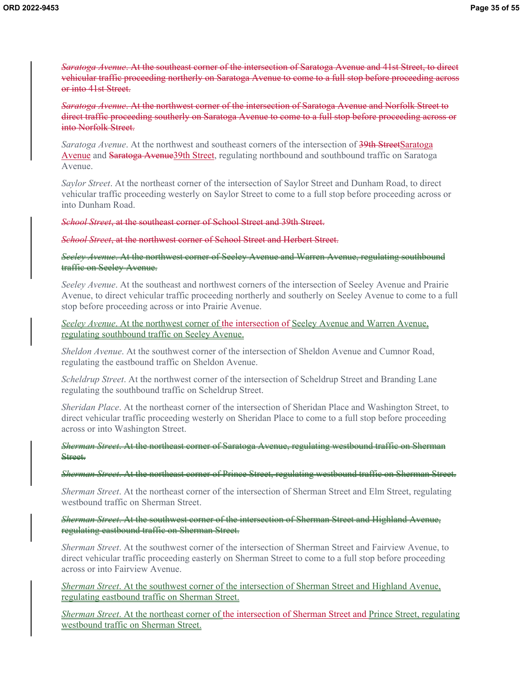*Saratoga Avenue*. At the southeast corner of the intersection of Saratoga Avenue and 41st Street, to direct vehicular traffic proceeding northerly on Saratoga Avenue to come to a full stop before proceeding across or into 41st Street.

*Saratoga Avenue*. At the northwest corner of the intersection of Saratoga Avenue and Norfolk Street to direct traffic proceeding southerly on Saratoga Avenue to come to a full stop before proceeding across or into Norfolk Street.

*Saratoga Avenue*. At the northwest and southeast corners of the intersection of 39th StreetSaratoga Avenue and Saratoga Avenue 39th Street, regulating northbound and southbound traffic on Saratoga Avenue.

*Saylor Street*. At the northeast corner of the intersection of Saylor Street and Dunham Road, to direct vehicular traffic proceeding westerly on Saylor Street to come to a full stop before proceeding across or into Dunham Road.

*School Street*, at the southeast corner of School Street and 39th Street.

*School Street*, at the northwest corner of School Street and Herbert Street.

*Seeley Avenue*. At the northwest corner of Seeley Avenue and Warren Avenue, regulating southbound traffic on Seeley Avenue.

*Seeley Avenue*. At the southeast and northwest corners of the intersection of Seeley Avenue and Prairie Avenue, to direct vehicular traffic proceeding northerly and southerly on Seeley Avenue to come to a full stop before proceeding across or into Prairie Avenue.

*Seeley Avenue*. At the northwest corner of the intersection of Seeley Avenue and Warren Avenue, regulating southbound traffic on Seeley Avenue.

*Sheldon Avenue*. At the southwest corner of the intersection of Sheldon Avenue and Cumnor Road, regulating the eastbound traffic on Sheldon Avenue.

*Scheldrup Street*. At the northwest corner of the intersection of Scheldrup Street and Branding Lane regulating the southbound traffic on Scheldrup Street.

*Sheridan Place*. At the northeast corner of the intersection of Sheridan Place and Washington Street, to direct vehicular traffic proceeding westerly on Sheridan Place to come to a full stop before proceeding across or into Washington Street.

*Sherman Street*. At the northeast corner of Saratoga Avenue, regulating westbound traffic on Sherman Street.

*Sherman Street*. At the northeast corner of Prince Street, regulating westbound traffic on Sherman Street.

*Sherman Street*. At the northeast corner of the intersection of Sherman Street and Elm Street, regulating westbound traffic on Sherman Street.

*Sherman Street*. At the southwest corner of the intersection of Sherman Street and Highland Avenue, regulating eastbound traffic on Sherman Street.

*Sherman Street*. At the southwest corner of the intersection of Sherman Street and Fairview Avenue, to direct vehicular traffic proceeding easterly on Sherman Street to come to a full stop before proceeding across or into Fairview Avenue.

*Sherman Street*. At the southwest corner of the intersection of Sherman Street and Highland Avenue, regulating eastbound traffic on Sherman Street.

*Sherman Street*. At the northeast corner of the intersection of Sherman Street and Prince Street, regulating westbound traffic on Sherman Street.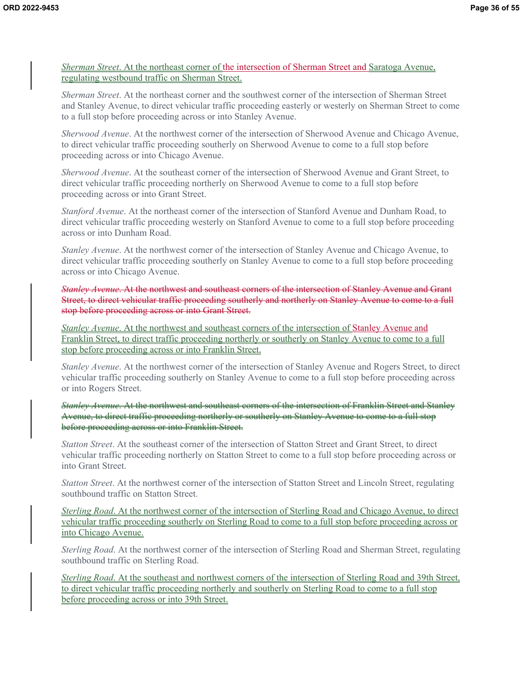*Sherman Street*. At the northeast corner of the intersection of Sherman Street and Saratoga Avenue, regulating westbound traffic on Sherman Street.

*Sherman Street*. At the northeast corner and the southwest corner of the intersection of Sherman Street and Stanley Avenue, to direct vehicular traffic proceeding easterly or westerly on Sherman Street to come to a full stop before proceeding across or into Stanley Avenue.

*Sherwood Avenue*. At the northwest corner of the intersection of Sherwood Avenue and Chicago Avenue, to direct vehicular traffic proceeding southerly on Sherwood Avenue to come to a full stop before proceeding across or into Chicago Avenue.

*Sherwood Avenue*. At the southeast corner of the intersection of Sherwood Avenue and Grant Street, to direct vehicular traffic proceeding northerly on Sherwood Avenue to come to a full stop before proceeding across or into Grant Street.

*Stanford Avenue*. At the northeast corner of the intersection of Stanford Avenue and Dunham Road, to direct vehicular traffic proceeding westerly on Stanford Avenue to come to a full stop before proceeding across or into Dunham Road.

*Stanley Avenue*. At the northwest corner of the intersection of Stanley Avenue and Chicago Avenue, to direct vehicular traffic proceeding southerly on Stanley Avenue to come to a full stop before proceeding across or into Chicago Avenue.

*Stanley Avenue*. At the northwest and southeast corners of the intersection of Stanley Avenue and Grant Street, to direct vehicular traffic proceeding southerly and northerly on Stanley Avenue to come to a full stop before proceeding across or into Grant Street.

*Stanley Avenue*. At the northwest and southeast corners of the intersection of Stanley Avenue and Franklin Street, to direct traffic proceeding northerly or southerly on Stanley Avenue to come to a full stop before proceeding across or into Franklin Street.

*Stanley Avenue*. At the northwest corner of the intersection of Stanley Avenue and Rogers Street, to direct vehicular traffic proceeding southerly on Stanley Avenue to come to a full stop before proceeding across or into Rogers Street.

*Stanley Avenue*. At the northwest and southeast corners of the intersection of Franklin Street and Stanley Avenue, to direct traffic proceeding northerly or southerly on Stanley Avenue to come to a full stop before proceeding across or into Franklin Street.

*Statton Street*. At the southeast corner of the intersection of Statton Street and Grant Street, to direct vehicular traffic proceeding northerly on Statton Street to come to a full stop before proceeding across or into Grant Street.

*Statton Street*. At the northwest corner of the intersection of Statton Street and Lincoln Street, regulating southbound traffic on Statton Street.

*Sterling Road*. At the northwest corner of the intersection of Sterling Road and Chicago Avenue, to direct vehicular traffic proceeding southerly on Sterling Road to come to a full stop before proceeding across or into Chicago Avenue.

*Sterling Road*. At the northwest corner of the intersection of Sterling Road and Sherman Street, regulating southbound traffic on Sterling Road.

*Sterling Road*. At the southeast and northwest corners of the intersection of Sterling Road and 39th Street, to direct vehicular traffic proceeding northerly and southerly on Sterling Road to come to a full stop before proceeding across or into 39th Street.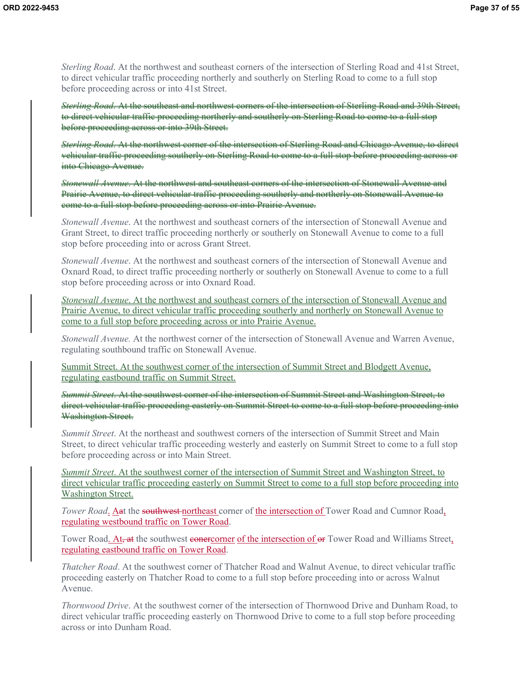*Sterling Road*. At the northwest and southeast corners of the intersection of Sterling Road and 41st Street, to direct vehicular traffic proceeding northerly and southerly on Sterling Road to come to a full stop before proceeding across or into 41st Street.

*Sterling Road*. At the southeast and northwest corners of the intersection of Sterling Road and 39th Street, to direct vehicular traffic proceeding northerly and southerly on Sterling Road to come to a full stop before proceeding across or into 39th Street.

*Sterling Road*. At the northwest corner of the intersection of Sterling Road and Chicago Avenue, to direct vehicular traffic proceeding southerly on Sterling Road to come to a full stop before proceeding across or into Chicago Avenue.

*Stonewall Avenue*. At the northwest and southeast corners of the intersection of Stonewall Avenue and Prairie Avenue, to direct vehicular traffic proceeding southerly and northerly on Stonewall Avenue to come to a full stop before proceeding across or into Prairie Avenue.

*Stonewall Avenue*. At the northwest and southeast corners of the intersection of Stonewall Avenue and Grant Street, to direct traffic proceeding northerly or southerly on Stonewall Avenue to come to a full stop before proceeding into or across Grant Street.

*Stonewall Avenue*. At the northwest and southeast corners of the intersection of Stonewall Avenue and Oxnard Road, to direct traffic proceeding northerly or southerly on Stonewall Avenue to come to a full stop before proceeding across or into Oxnard Road.

*Stonewall Avenue*. At the northwest and southeast corners of the intersection of Stonewall Avenue and Prairie Avenue, to direct vehicular traffic proceeding southerly and northerly on Stonewall Avenue to come to a full stop before proceeding across or into Prairie Avenue.

*Stonewall Avenue.* At the northwest corner of the intersection of Stonewall Avenue and Warren Avenue, regulating southbound traffic on Stonewall Avenue.

Summit Street. At the southwest corner of the intersection of Summit Street and Blodgett Avenue, regulating eastbound traffic on Summit Street.

*Summit Street*. At the southwest corner of the intersection of Summit Street and Washington Street, to direct vehicular traffic proceeding easterly on Summit Street to come to a full stop before proceeding into Washington Street.

*Summit Street*. At the northeast and southwest corners of the intersection of Summit Street and Main Street, to direct vehicular traffic proceeding westerly and easterly on Summit Street to come to a full stop before proceeding across or into Main Street.

*Summit Street*. At the southwest corner of the intersection of Summit Street and Washington Street, to direct vehicular traffic proceeding easterly on Summit Street to come to a full stop before proceeding into Washington Street.

*Tower Road*. And the southwest-northeast corner of the intersection of Tower Road and Cumnor Road, regulating westbound traffic on Tower Road.

Tower Road. At, at the southwest conercorner of the intersection of or Tower Road and Williams Street, regulating eastbound traffic on Tower Road.

*Thatcher Road*. At the southwest corner of Thatcher Road and Walnut Avenue, to direct vehicular traffic proceeding easterly on Thatcher Road to come to a full stop before proceeding into or across Walnut Avenue.

*Thornwood Drive*. At the southwest corner of the intersection of Thornwood Drive and Dunham Road, to direct vehicular traffic proceeding easterly on Thornwood Drive to come to a full stop before proceeding across or into Dunham Road.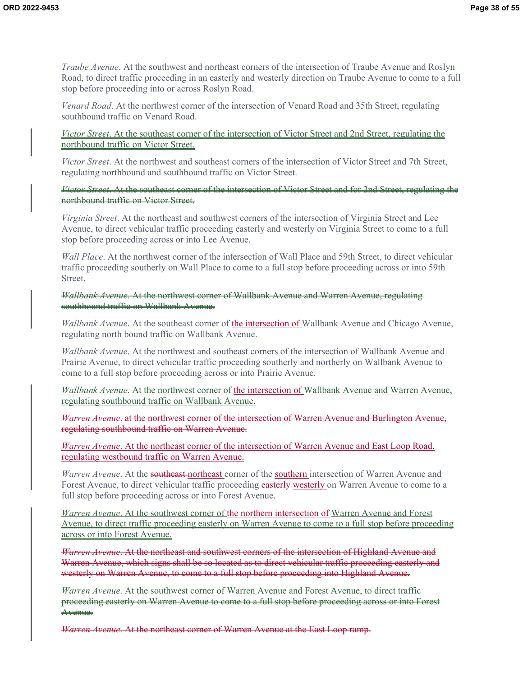*Traube Avenue*. At the southwest and northeast corners of the intersection of Traube Avenue and Roslyn Road, to direct traffic proceeding in an easterly and westerly direction on Traube Avenue to come to a full stop before proceeding into or across Roslyn Road.

*Venard Road*. At the northwest corner of the intersection of Venard Road and 35th Street, regulating southbound traffic on Venard Road.

*Victor Street*. At the southeast corner of the intersection of Victor Street and 2nd Street, regulating the northbound traffic on Victor Street.

*Victor Street*. At the northwest and southeast corners of the intersection of Victor Street and 7th Street, regulating northbound and southbound traffic on Victor Street.

*Victor Street*. At the southeast corner of the intersection of Victor Street and for 2nd Street, regulating the northbound traffic on Victor Street.

*Virginia Street*. At the northeast and southwest corners of the intersection of Virginia Street and Lee Avenue, to direct vehicular traffic proceeding easterly and westerly on Virginia Street to come to a full stop before proceeding across or into Lee Avenue.

*Wall Place*. At the northwest corner of the intersection of Wall Place and 59th Street, to direct vehicular traffic proceeding southerly on Wall Place to come to a full stop before proceeding across or into 59th Street.

*Wallbank Avenue*. At the northwest corner of Wallbank Avenue and Warren Avenue, regulating southbound traffic on Wallbank Avenue.

*Wallbank Avenue*. At the southeast corner of the intersection of Wallbank Avenue and Chicago Avenue, regulating north bound traffic on Wallbank Avenue.

*Wallbank Avenue*. At the northwest and southeast corners of the intersection of Wallbank Avenue and Prairie Avenue, to direct vehicular traffic proceeding southerly and northerly on Wallbank Avenue to come to a full stop before proceeding across or into Prairie Avenue.

*Wallbank Avenue*. At the northwest corner of the intersection of Wallbank Avenue and Warren Avenue, regulating southbound traffic on Wallbank Avenue.

*Warren Avenue*. at the northwest corner of the intersection of Warren Avenue and Burlington Avenue, regulating southbound traffic on Warren Avenue.

*Warren Avenue*. At the northeast corner of the intersection of Warren Avenue and East Loop Road, regulating westbound traffic on Warren Avenue.

*Warren Avenue*. At the **southeast** northeast corner of the southern intersection of Warren Avenue and Forest Avenue, to direct vehicular traffic proceeding easterly westerly on Warren Avenue to come to a full stop before proceeding across or into Forest Avenue.

*Warren Avenue*. At the southwest corner of the northern intersection of Warren Avenue and Forest Avenue, to direct traffic proceeding easterly on Warren Avenue to come to a full stop before proceeding across or into Forest Avenue.

*Warren Avenue*. At the northeast and southwest corners of the intersection of Highland Avenue and Warren Avenue, which signs shall be so located as to direct vehicular traffic proceeding easterly and westerly on Warren Avenue, to come to a full stop before proceeding into Highland Avenue.

*Warren Avenue*. At the southwest corner of Warren Avenue and Forest Avenue, to direct traffic proceeding easterly on Warren Avenue to come to a full stop before proceeding across or into Forest Avenue.

*Warren Avenue*. At the northeast corner of Warren Avenue at the East Loop ramp.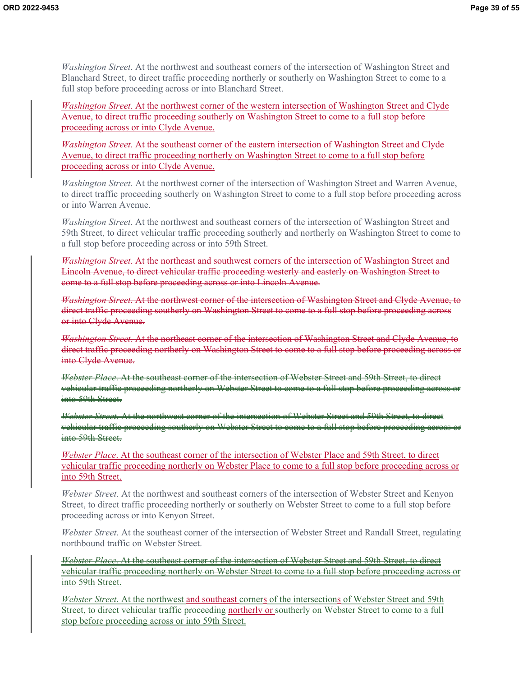*Washington Street*. At the northwest and southeast corners of the intersection of Washington Street and Blanchard Street, to direct traffic proceeding northerly or southerly on Washington Street to come to a full stop before proceeding across or into Blanchard Street.

*Washington Street*. At the northwest corner of the western intersection of Washington Street and Clyde Avenue, to direct traffic proceeding southerly on Washington Street to come to a full stop before proceeding across or into Clyde Avenue.

*Washington Street*. At the southeast corner of the eastern intersection of Washington Street and Clyde Avenue, to direct traffic proceeding northerly on Washington Street to come to a full stop before proceeding across or into Clyde Avenue.

*Washington Street*. At the northwest corner of the intersection of Washington Street and Warren Avenue, to direct traffic proceeding southerly on Washington Street to come to a full stop before proceeding across or into Warren Avenue.

*Washington Street*. At the northwest and southeast corners of the intersection of Washington Street and 59th Street, to direct vehicular traffic proceeding southerly and northerly on Washington Street to come to a full stop before proceeding across or into 59th Street.

*Washington Street*. At the northeast and southwest corners of the intersection of Washington Street and Lincoln Avenue, to direct vehicular traffic proceeding westerly and easterly on Washington Street to come to a full stop before proceeding across or into Lincoln Avenue.

*Washington Street*. At the northwest corner of the intersection of Washington Street and Clyde Avenue, to direct traffic proceeding southerly on Washington Street to come to a full stop before proceeding across or into Clyde Avenue.

*Washington Street*. At the northeast corner of the intersection of Washington Street and Clyde Avenue, to direct traffic proceeding northerly on Washington Street to come to a full stop before proceeding across or into Clyde Avenue.

*Webster Place*. At the southeast corner of the intersection of Webster Street and 59th Street, to direct vehicular traffic proceeding northerly on Webster Street to come to a full stop before proceeding across or into 59th Street.

*Webster Street*. At the northwest corner of the intersection of Webster Street and 59th Street, to direct vehicular traffic proceeding southerly on Webster Street to come to a full stop before proceeding across or into 59th Street.

*Webster Place*. At the southeast corner of the intersection of Webster Place and 59th Street, to direct vehicular traffic proceeding northerly on Webster Place to come to a full stop before proceeding across or into 59th Street.

*Webster Street*. At the northwest and southeast corners of the intersection of Webster Street and Kenyon Street, to direct traffic proceeding northerly or southerly on Webster Street to come to a full stop before proceeding across or into Kenyon Street.

*Webster Street*. At the southeast corner of the intersection of Webster Street and Randall Street, regulating northbound traffic on Webster Street.

*Webster Place*. At the southeast corner of the intersection of Webster Street and 59th Street, to direct vehicular traffic proceeding northerly on Webster Street to come to a full stop before proceeding across or into 59th Street.

*Webster Street*. At the northwest and southeast corners of the intersections of Webster Street and 59th Street, to direct vehicular traffic proceeding northerly or southerly on Webster Street to come to a full stop before proceeding across or into 59th Street.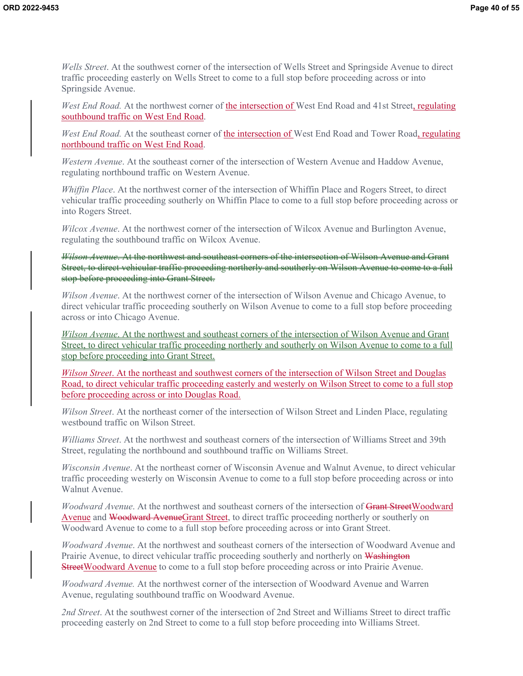*Wells Street*. At the southwest corner of the intersection of Wells Street and Springside Avenue to direct traffic proceeding easterly on Wells Street to come to a full stop before proceeding across or into Springside Avenue.

West End Road. At the northwest corner of the intersection of West End Road and 41st Street, regulating southbound traffic on West End Road.

*West End Road.* At the southeast corner of the intersection of West End Road and Tower Road, regulating northbound traffic on West End Road.

*Western Avenue*. At the southeast corner of the intersection of Western Avenue and Haddow Avenue, regulating northbound traffic on Western Avenue.

*Whiffin Place*. At the northwest corner of the intersection of Whiffin Place and Rogers Street, to direct vehicular traffic proceeding southerly on Whiffin Place to come to a full stop before proceeding across or into Rogers Street.

*Wilcox Avenue*. At the northwest corner of the intersection of Wilcox Avenue and Burlington Avenue, regulating the southbound traffic on Wilcox Avenue.

*Wilson Avenue*. At the northwest and southeast corners of the intersection of Wilson Avenue and Grant Street, to direct vehicular traffic proceeding northerly and southerly on Wilson Avenue to come to a full stop before proceeding into Grant Street.

*Wilson Avenue*. At the northwest corner of the intersection of Wilson Avenue and Chicago Avenue, to direct vehicular traffic proceeding southerly on Wilson Avenue to come to a full stop before proceeding across or into Chicago Avenue.

*Wilson Avenue*. At the northwest and southeast corners of the intersection of Wilson Avenue and Grant Street, to direct vehicular traffic proceeding northerly and southerly on Wilson Avenue to come to a full stop before proceeding into Grant Street.

*Wilson Street*. At the northeast and southwest corners of the intersection of Wilson Street and Douglas Road, to direct vehicular traffic proceeding easterly and westerly on Wilson Street to come to a full stop before proceeding across or into Douglas Road.

*Wilson Street*. At the northeast corner of the intersection of Wilson Street and Linden Place, regulating westbound traffic on Wilson Street.

*Williams Street*. At the northwest and southeast corners of the intersection of Williams Street and 39th Street, regulating the northbound and southbound traffic on Williams Street.

*Wisconsin Avenue*. At the northeast corner of Wisconsin Avenue and Walnut Avenue, to direct vehicular traffic proceeding westerly on Wisconsin Avenue to come to a full stop before proceeding across or into Walnut Avenue.

*Woodward Avenue*. At the northwest and southeast corners of the intersection of Grant StreetWoodward Avenue and Woodward AvenueGrant Street, to direct traffic proceeding northerly or southerly on Woodward Avenue to come to a full stop before proceeding across or into Grant Street.

*Woodward Avenue*. At the northwest and southeast corners of the intersection of Woodward Avenue and Prairie Avenue, to direct vehicular traffic proceeding southerly and northerly on Washington StreetWoodward Avenue to come to a full stop before proceeding across or into Prairie Avenue.

*Woodward Avenue.* At the northwest corner of the intersection of Woodward Avenue and Warren Avenue, regulating southbound traffic on Woodward Avenue.

*2nd Street*. At the southwest corner of the intersection of 2nd Street and Williams Street to direct traffic proceeding easterly on 2nd Street to come to a full stop before proceeding into Williams Street.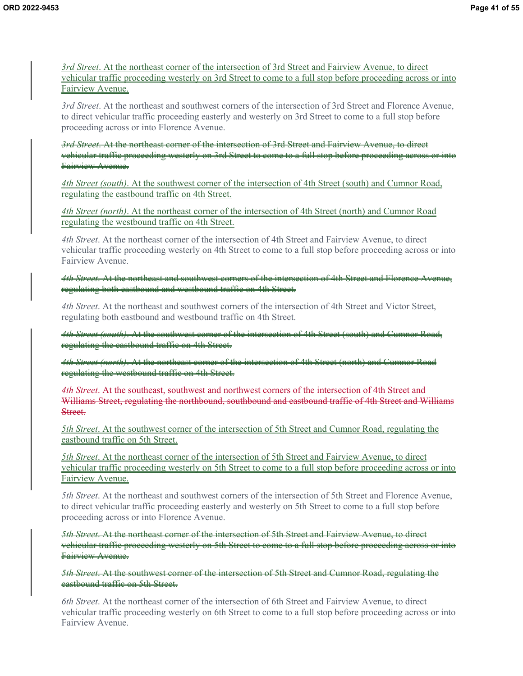*3rd Street*. At the northeast corner of the intersection of 3rd Street and Fairview Avenue, to direct vehicular traffic proceeding westerly on 3rd Street to come to a full stop before proceeding across or into Fairview Avenue.

*3rd Street*. At the northeast and southwest corners of the intersection of 3rd Street and Florence Avenue, to direct vehicular traffic proceeding easterly and westerly on 3rd Street to come to a full stop before proceeding across or into Florence Avenue.

*3rd Street*. At the northeast corner of the intersection of 3rd Street and Fairview Avenue, to direct vehicular traffic proceeding westerly on 3rd Street to come to a full stop before proceeding across or into Fairview Avenue.

*4th Street (south)*. At the southwest corner of the intersection of 4th Street (south) and Cumnor Road, regulating the eastbound traffic on 4th Street.

*4th Street (north)*. At the northeast corner of the intersection of 4th Street (north) and Cumnor Road regulating the westbound traffic on 4th Street.

*4th Street*. At the northeast corner of the intersection of 4th Street and Fairview Avenue, to direct vehicular traffic proceeding westerly on 4th Street to come to a full stop before proceeding across or into Fairview Avenue.

*4th Street*. At the northeast and southwest corners of the intersection of 4th Street and Florence Avenue, regulating both eastbound and westbound traffic on 4th Street.

*4th Street*. At the northeast and southwest corners of the intersection of 4th Street and Victor Street, regulating both eastbound and westbound traffic on 4th Street.

*4th Street (south)*. At the southwest corner of the intersection of 4th Street (south) and Cumnor Road, regulating the eastbound traffic on 4th Street.

*4th Street (north)*. At the northeast corner of the intersection of 4th Street (north) and Cumnor Road regulating the westbound traffic on 4th Street.

*4th Street*. At the southeast, southwest and northwest corners of the intersection of 4th Street and Williams Street, regulating the northbound, southbound and eastbound traffic of 4th Street and Williams Street.

*5th Street*. At the southwest corner of the intersection of 5th Street and Cumnor Road, regulating the eastbound traffic on 5th Street.

*5th Street*. At the northeast corner of the intersection of 5th Street and Fairview Avenue, to direct vehicular traffic proceeding westerly on 5th Street to come to a full stop before proceeding across or into Fairview Avenue.

*5th Street*. At the northeast and southwest corners of the intersection of 5th Street and Florence Avenue, to direct vehicular traffic proceeding easterly and westerly on 5th Street to come to a full stop before proceeding across or into Florence Avenue.

*5th Street*. At the northeast corner of the intersection of 5th Street and Fairview Avenue, to direct vehicular traffic proceeding westerly on 5th Street to come to a full stop before proceeding across or into Fairview Avenue.

*5th Street*. At the southwest corner of the intersection of 5th Street and Cumnor Road, regulating the eastbound traffic on 5th Street.

*6th Street*. At the northeast corner of the intersection of 6th Street and Fairview Avenue, to direct vehicular traffic proceeding westerly on 6th Street to come to a full stop before proceeding across or into Fairview Avenue.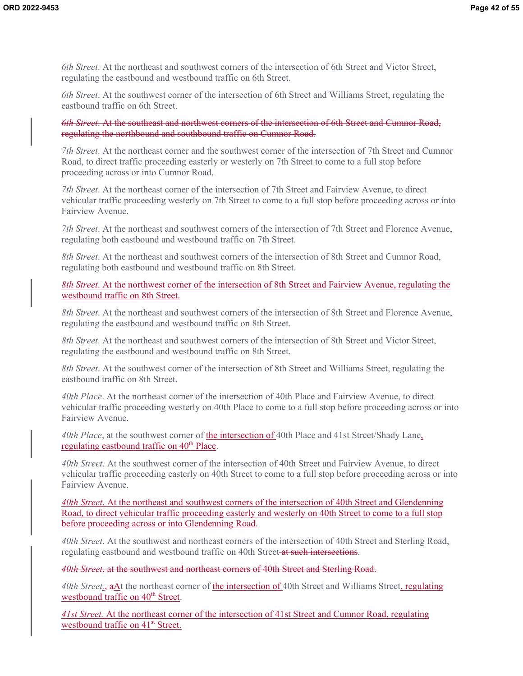*6th Street*. At the northeast and southwest corners of the intersection of 6th Street and Victor Street, regulating the eastbound and westbound traffic on 6th Street.

*6th Street*. At the southwest corner of the intersection of 6th Street and Williams Street, regulating the eastbound traffic on 6th Street.

*6th Street*. At the southeast and northwest corners of the intersection of 6th Street and Cumnor Road, regulating the northbound and southbound traffic on Cumnor Road.

*7th Street*. At the northeast corner and the southwest corner of the intersection of 7th Street and Cumnor Road, to direct traffic proceeding easterly or westerly on 7th Street to come to a full stop before proceeding across or into Cumnor Road.

*7th Street*. At the northeast corner of the intersection of 7th Street and Fairview Avenue, to direct vehicular traffic proceeding westerly on 7th Street to come to a full stop before proceeding across or into Fairview Avenue.

*7th Street*. At the northeast and southwest corners of the intersection of 7th Street and Florence Avenue, regulating both eastbound and westbound traffic on 7th Street.

*8th Street*. At the northeast and southwest corners of the intersection of 8th Street and Cumnor Road, regulating both eastbound and westbound traffic on 8th Street.

*8th Street*. At the northwest corner of the intersection of 8th Street and Fairview Avenue, regulating the westbound traffic on 8th Street.

*8th Street*. At the northeast and southwest corners of the intersection of 8th Street and Florence Avenue, regulating the eastbound and westbound traffic on 8th Street.

*8th Street*. At the northeast and southwest corners of the intersection of 8th Street and Victor Street, regulating the eastbound and westbound traffic on 8th Street.

*8th Street*. At the southwest corner of the intersection of 8th Street and Williams Street, regulating the eastbound traffic on 8th Street.

*40th Place*. At the northeast corner of the intersection of 40th Place and Fairview Avenue, to direct vehicular traffic proceeding westerly on 40th Place to come to a full stop before proceeding across or into Fairview Avenue.

*40th Place*, at the southwest corner of the intersection of 40th Place and 41st Street/Shady Lane, regulating eastbound traffic on  $40<sup>th</sup>$  Place.

*40th Street*. At the southwest corner of the intersection of 40th Street and Fairview Avenue, to direct vehicular traffic proceeding easterly on 40th Street to come to a full stop before proceeding across or into Fairview Avenue.

*40th Street*. At the northeast and southwest corners of the intersection of 40th Street and Glendenning Road, to direct vehicular traffic proceeding easterly and westerly on 40th Street to come to a full stop before proceeding across or into Glendenning Road.

*40th Street*. At the southwest and northeast corners of the intersection of 40th Street and Sterling Road, regulating eastbound and westbound traffic on 40th Street at such intersections.

*40th Street*, at the southwest and northeast corners of 40th Street and Sterling Road.

*40th Street.*, aAt the northeast corner of the intersection of 40th Street and Williams Street, regulating westbound traffic on 40<sup>th</sup> Street.

*41st Street.* At the northeast corner of the intersection of 41st Street and Cumnor Road, regulating westbound traffic on 41<sup>st</sup> Street.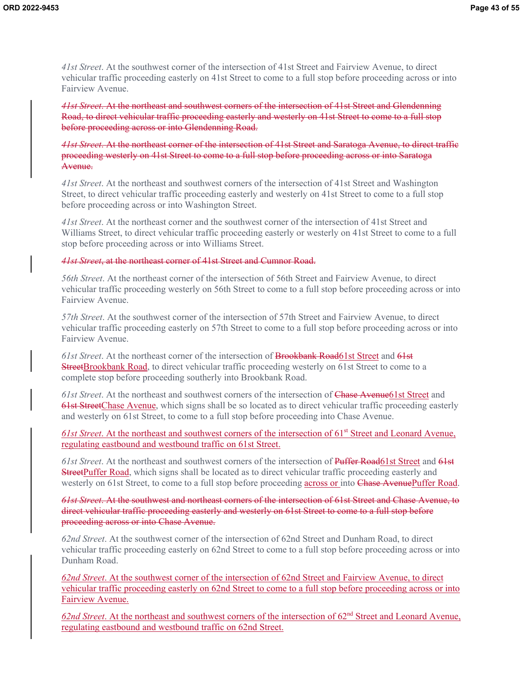*41st Street*. At the southwest corner of the intersection of 41st Street and Fairview Avenue, to direct vehicular traffic proceeding easterly on 41st Street to come to a full stop before proceeding across or into Fairview Avenue.

*41st Street*. At the northeast and southwest corners of the intersection of 41st Street and Glendenning Road, to direct vehicular traffic proceeding easterly and westerly on 41st Street to come to a full stop before proceeding across or into Glendenning Road.

*41st Street*. At the northeast corner of the intersection of 41st Street and Saratoga Avenue, to direct traffic proceeding westerly on 41st Street to come to a full stop before proceeding across or into Saratoga Avenue.

*41st Street*. At the northeast and southwest corners of the intersection of 41st Street and Washington Street, to direct vehicular traffic proceeding easterly and westerly on 41st Street to come to a full stop before proceeding across or into Washington Street.

*41st Street*. At the northeast corner and the southwest corner of the intersection of 41st Street and Williams Street, to direct vehicular traffic proceeding easterly or westerly on 41st Street to come to a full stop before proceeding across or into Williams Street.

#### *41st Street*, at the northeast corner of 41st Street and Cumnor Road.

*56th Street*. At the northeast corner of the intersection of 56th Street and Fairview Avenue, to direct vehicular traffic proceeding westerly on 56th Street to come to a full stop before proceeding across or into Fairview Avenue.

*57th Street*. At the southwest corner of the intersection of 57th Street and Fairview Avenue, to direct vehicular traffic proceeding easterly on 57th Street to come to a full stop before proceeding across or into Fairview Avenue.

*61st Street*. At the northeast corner of the intersection of Brookbank Road61st Street and 61st StreetBrookbank Road, to direct vehicular traffic proceeding westerly on 61st Street to come to a complete stop before proceeding southerly into Brookbank Road.

*61st Street*. At the northeast and southwest corners of the intersection of Chase Avenue61st Street and 61st StreetChase Avenue, which signs shall be so located as to direct vehicular traffic proceeding easterly and westerly on 61st Street, to come to a full stop before proceeding into Chase Avenue.

61st Street. At the northeast and southwest corners of the intersection of 61<sup>st</sup> Street and Leonard Avenue, regulating eastbound and westbound traffic on 61st Street.

*61st Street*. At the northeast and southwest corners of the intersection of Puffer Road61st Street and 61st **StreetPuffer Road,** which signs shall be located as to direct vehicular traffic proceeding easterly and westerly on 61st Street, to come to a full stop before proceeding across or into Chase AvenuePuffer Road.

*61st Street*. At the southwest and northeast corners of the intersection of 61st Street and Chase Avenue, to direct vehicular traffic proceeding easterly and westerly on 61st Street to come to a full stop before proceeding across or into Chase Avenue.

*62nd Street*. At the southwest corner of the intersection of 62nd Street and Dunham Road, to direct vehicular traffic proceeding easterly on 62nd Street to come to a full stop before proceeding across or into Dunham Road.

*62nd Street*. At the southwest corner of the intersection of 62nd Street and Fairview Avenue, to direct vehicular traffic proceeding easterly on 62nd Street to come to a full stop before proceeding across or into Fairview Avenue.

62nd Street. At the northeast and southwest corners of the intersection of 62<sup>nd</sup> Street and Leonard Avenue, regulating eastbound and westbound traffic on 62nd Street.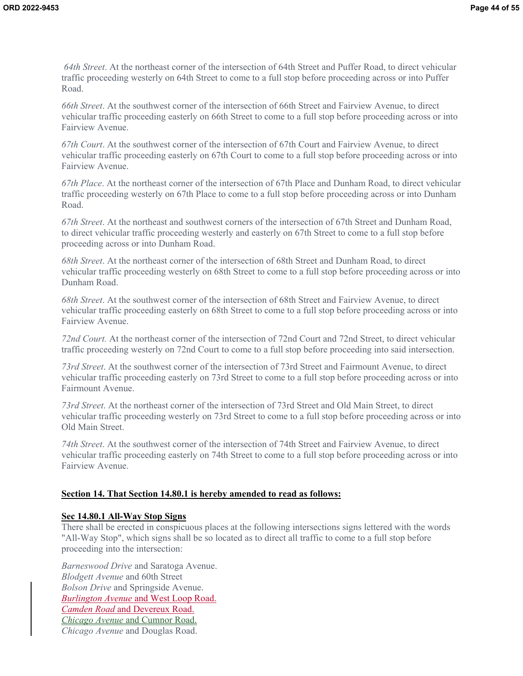*64th Street*. At the northeast corner of the intersection of 64th Street and Puffer Road, to direct vehicular traffic proceeding westerly on 64th Street to come to a full stop before proceeding across or into Puffer Road.

*66th Street*. At the southwest corner of the intersection of 66th Street and Fairview Avenue, to direct vehicular traffic proceeding easterly on 66th Street to come to a full stop before proceeding across or into Fairview Avenue.

*67th Court*. At the southwest corner of the intersection of 67th Court and Fairview Avenue, to direct vehicular traffic proceeding easterly on 67th Court to come to a full stop before proceeding across or into Fairview Avenue.

*67th Place*. At the northeast corner of the intersection of 67th Place and Dunham Road, to direct vehicular traffic proceeding westerly on 67th Place to come to a full stop before proceeding across or into Dunham Road.

*67th Street*. At the northeast and southwest corners of the intersection of 67th Street and Dunham Road, to direct vehicular traffic proceeding westerly and easterly on 67th Street to come to a full stop before proceeding across or into Dunham Road.

*68th Street*. At the northeast corner of the intersection of 68th Street and Dunham Road, to direct vehicular traffic proceeding westerly on 68th Street to come to a full stop before proceeding across or into Dunham Road.

*68th Street*. At the southwest corner of the intersection of 68th Street and Fairview Avenue, to direct vehicular traffic proceeding easterly on 68th Street to come to a full stop before proceeding across or into Fairview Avenue.

*72nd Court.* At the northeast corner of the intersection of 72nd Court and 72nd Street, to direct vehicular traffic proceeding westerly on 72nd Court to come to a full stop before proceeding into said intersection.

*73rd Street*. At the southwest corner of the intersection of 73rd Street and Fairmount Avenue, to direct vehicular traffic proceeding easterly on 73rd Street to come to a full stop before proceeding across or into Fairmount Avenue.

*73rd Street*. At the northeast corner of the intersection of 73rd Street and Old Main Street, to direct vehicular traffic proceeding westerly on 73rd Street to come to a full stop before proceeding across or into Old Main Street.

*74th Street*. At the southwest corner of the intersection of 74th Street and Fairview Avenue, to direct vehicular traffic proceeding easterly on 74th Street to come to a full stop before proceeding across or into Fairview Avenue.

### **Section 14. That Section 14.80.1 is hereby amended to read as follows:**

### **Sec 14.80.1 All-Way Stop Signs**

There shall be erected in conspicuous places at the following intersections signs lettered with the words "All-Way Stop", which signs shall be so located as to direct all traffic to come to a full stop before proceeding into the intersection:

*Barneswood Drive* and Saratoga Avenue. *Blodgett Avenue* and 60th Street *Bolson Drive* and Springside Avenue. *Burlington Avenue* and West Loop Road. *Camden Road* and Devereux Road. *Chicago Avenue* and Cumnor Road. *Chicago Avenue* and Douglas Road.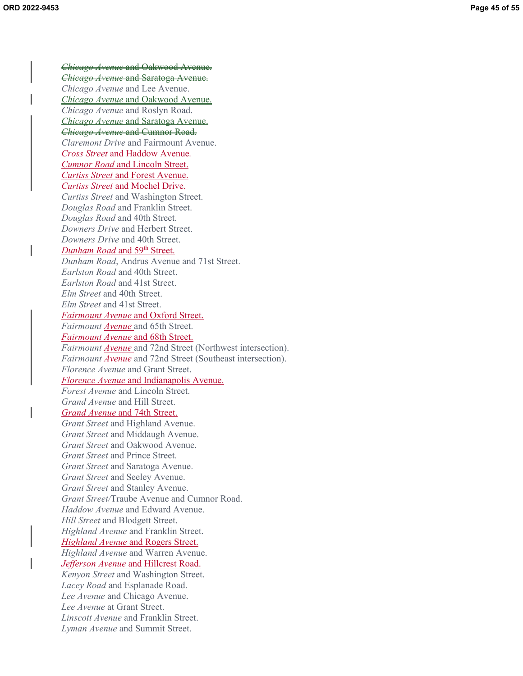*Chicago Avenue* and Oakwood Avenue. *Chicago Avenue* and Saratoga Avenue. *Chicago Avenue* and Lee Avenue. *Chicago Avenue* and Oakwood Avenue. *Chicago Avenue* and Roslyn Road. *Chicago Avenue* and Saratoga Avenue. *Chicago Avenue* and Cumnor Road. *Claremont Drive* and Fairmount Avenue. *Cross Street* and Haddow Avenue*. Cumnor Road* and Lincoln Street. *Curtiss Street* and Forest Avenue. *Curtiss Street* and Mochel Drive. *Curtiss Street* and Washington Street. *Douglas Road* and Franklin Street. *Douglas Road* and 40th Street. *Downers Drive* and Herbert Street. *Downers Drive* and 40th Street. *Dunham Road* and 59<sup>th</sup> Street. *Dunham Road*, Andrus Avenue and 71st Street. *Earlston Road* and 40th Street. *Earlston Road* and 41st Street. *Elm Street* and 40th Street. *Elm Street* and 41st Street. *Fairmount Avenue* and Oxford Street. *Fairmount Avenue* and 65th Street. *Fairmount Avenue* and 68th Street. *Fairmount Avenue* and 72nd Street (Northwest intersection). *Fairmount Avenue* and 72nd Street (Southeast intersection). *Florence Avenue* and Grant Street. *Florence Avenue* and Indianapolis Avenue. *Forest Avenue* and Lincoln Street. *Grand Avenue* and Hill Street. *Grand Avenue* and 74th Street. *Grant Street* and Highland Avenue. *Grant Street* and Middaugh Avenue. *Grant Street* and Oakwood Avenue. *Grant Street* and Prince Street. *Grant Street* and Saratoga Avenue. *Grant Street* and Seeley Avenue. *Grant Street* and Stanley Avenue. *Grant Street/*Traube Avenue and Cumnor Road. *Haddow Avenue* and Edward Avenue. *Hill Street* and Blodgett Street. *Highland Avenue* and Franklin Street. *Highland Avenue* and Rogers Street. *Highland Avenue* and Warren Avenue. *Jefferson Avenue* and Hillcrest Road. *Kenyon Street* and Washington Street. *Lacey Road* and Esplanade Road. *Lee Avenue* and Chicago Avenue. *Lee Avenue* at Grant Street. *Linscott Avenue* and Franklin Street. *Lyman Avenue* and Summit Street.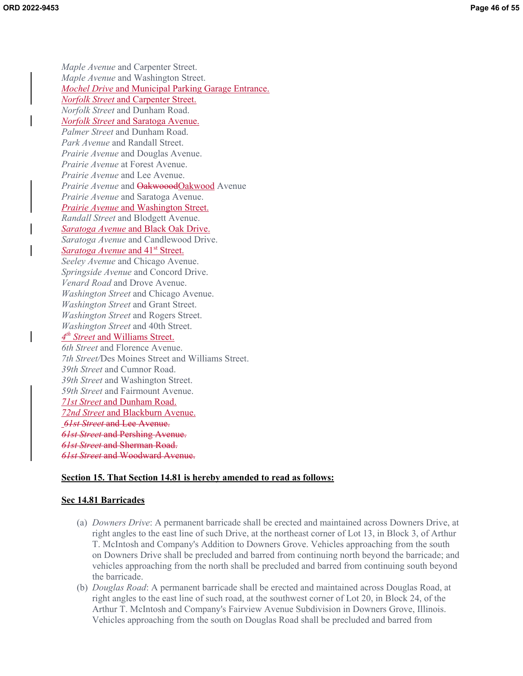*Maple Avenue* and Carpenter Street. *Maple Avenue* and Washington Street. *Mochel Drive* and Municipal Parking Garage Entrance. *Norfolk Street* and Carpenter Street. *Norfolk Street* and Dunham Road. *Norfolk Street* and Saratoga Avenue. *Palmer Street* and Dunham Road. *Park Avenue* and Randall Street. *Prairie Avenue* and Douglas Avenue. *Prairie Avenue* at Forest Avenue. *Prairie Avenue* and Lee Avenue. *Prairie Avenue* and **OakwooodOakwood** Avenue *Prairie Avenue* and Saratoga Avenue. *Prairie Avenue* and Washington Street. *Randall Street* and Blodgett Avenue. *Saratoga Avenue* and Black Oak Drive. *Saratoga Avenue* and Candlewood Drive. *<u>Saratoga Avenue and 41<sup>st</sup> Street.</u> Seeley Avenue* and Chicago Avenue. *Springside Avenue* and Concord Drive. *Venard Road* and Drove Avenue. *Washington Street* and Chicago Avenue. *Washington Street* and Grant Street. *Washington Street* and Rogers Street. *Washington Street* and 40th Street. *4th Street* and Williams Street. *6th Street* and Florence Avenue. *7th Street/*Des Moines Street and Williams Street. *39th Street* and Cumnor Road. *39th Street* and Washington Street. *59th Street* and Fairmount Avenue. *71st Street* and Dunham Road. *72nd Street* and Blackburn Avenue.  *61st Street* and Lee Avenue. *61st Street* and Pershing Avenue. *61st Street* and Sherman Road. *61st Street* and Woodward Avenue.

#### **Section 15. That Section 14.81 is hereby amended to read as follows:**

#### **Sec 14.81 Barricades**

- (a) *Downers Drive*: A permanent barricade shall be erected and maintained across Downers Drive, at right angles to the east line of such Drive, at the northeast corner of Lot 13, in Block 3, of Arthur T. McIntosh and Company's Addition to Downers Grove. Vehicles approaching from the south on Downers Drive shall be precluded and barred from continuing north beyond the barricade; and vehicles approaching from the north shall be precluded and barred from continuing south beyond the barricade.
- (b) *Douglas Road*: A permanent barricade shall be erected and maintained across Douglas Road, at right angles to the east line of such road, at the southwest corner of Lot 20, in Block 24, of the Arthur T. McIntosh and Company's Fairview Avenue Subdivision in Downers Grove, Illinois. Vehicles approaching from the south on Douglas Road shall be precluded and barred from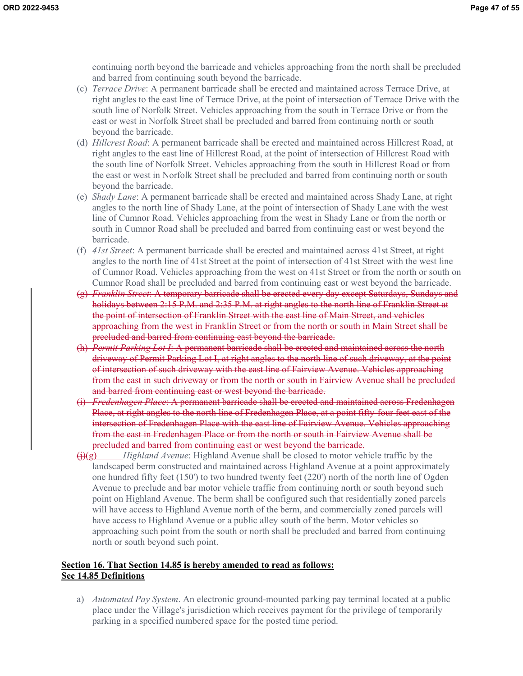continuing north beyond the barricade and vehicles approaching from the north shall be precluded and barred from continuing south beyond the barricade.

- (c) *Terrace Drive*: A permanent barricade shall be erected and maintained across Terrace Drive, at right angles to the east line of Terrace Drive, at the point of intersection of Terrace Drive with the south line of Norfolk Street. Vehicles approaching from the south in Terrace Drive or from the east or west in Norfolk Street shall be precluded and barred from continuing north or south beyond the barricade.
- (d) *Hillcrest Road*: A permanent barricade shall be erected and maintained across Hillcrest Road, at right angles to the east line of Hillcrest Road, at the point of intersection of Hillcrest Road with the south line of Norfolk Street. Vehicles approaching from the south in Hillcrest Road or from the east or west in Norfolk Street shall be precluded and barred from continuing north or south beyond the barricade.
- (e) *Shady Lane*: A permanent barricade shall be erected and maintained across Shady Lane, at right angles to the north line of Shady Lane, at the point of intersection of Shady Lane with the west line of Cumnor Road. Vehicles approaching from the west in Shady Lane or from the north or south in Cumnor Road shall be precluded and barred from continuing east or west beyond the barricade.
- (f) *41st Street*: A permanent barricade shall be erected and maintained across 41st Street, at right angles to the north line of 41st Street at the point of intersection of 41st Street with the west line of Cumnor Road. Vehicles approaching from the west on 41st Street or from the north or south on Cumnor Road shall be precluded and barred from continuing east or west beyond the barricade.
- (g) *Franklin Street*: A temporary barricade shall be erected every day except Saturdays, Sundays and holidays between 2:15 P.M. and 2:35 P.M. at right angles to the north line of Franklin Street at the point of intersection of Franklin Street with the east line of Main Street, and vehicles approaching from the west in Franklin Street or from the north or south in Main Street shall be precluded and barred from continuing east beyond the barricade.
- (h) *Permit Parking Lot I*: A permanent barricade shall be erected and maintained across the north driveway of Permit Parking Lot I, at right angles to the north line of such driveway, at the point of intersection of such driveway with the east line of Fairview Avenue. Vehicles approaching from the east in such driveway or from the north or south in Fairview Avenue shall be precluded and barred from continuing east or west beyond the barricade.
- (i) *Fredenhagen Place*: A permanent barricade shall be erected and maintained across Fredenhagen Place, at right angles to the north line of Fredenhagen Place, at a point fifty-four feet east of the intersection of Fredenhagen Place with the east line of Fairview Avenue. Vehicles approaching from the east in Fredenhagen Place or from the north or south in Fairview Avenue shall be precluded and barred from continuing east or west beyond the barricade.
- $\Theta(g)$  *Highland Avenue*: Highland Avenue shall be closed to motor vehicle traffic by the landscaped berm constructed and maintained across Highland Avenue at a point approximately one hundred fifty feet (150') to two hundred twenty feet (220') north of the north line of Ogden Avenue to preclude and bar motor vehicle traffic from continuing north or south beyond such point on Highland Avenue. The berm shall be configured such that residentially zoned parcels will have access to Highland Avenue north of the berm, and commercially zoned parcels will have access to Highland Avenue or a public alley south of the berm. Motor vehicles so approaching such point from the south or north shall be precluded and barred from continuing north or south beyond such point.

### **Section 16. That Section 14.85 is hereby amended to read as follows: Sec 14.85 Definitions**

a) *Automated Pay System*. An electronic ground-mounted parking pay terminal located at a public place under the Village's jurisdiction which receives payment for the privilege of temporarily parking in a specified numbered space for the posted time period.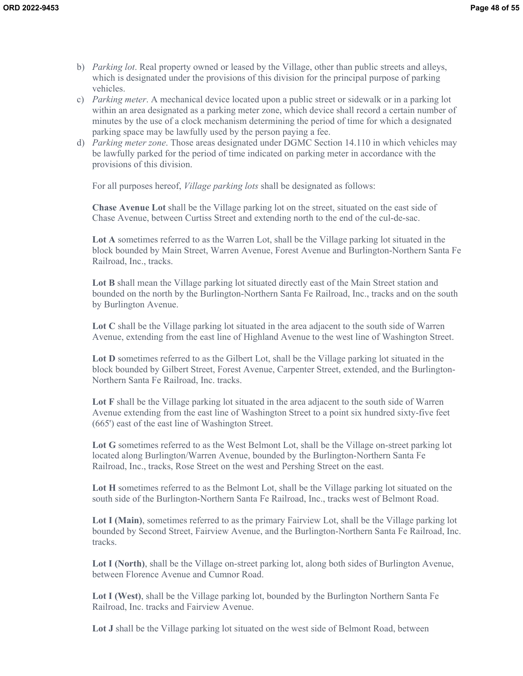- b) *Parking lot*. Real property owned or leased by the Village, other than public streets and alleys, which is designated under the provisions of this division for the principal purpose of parking vehicles.
- c) *Parking meter*. A mechanical device located upon a public street or sidewalk or in a parking lot within an area designated as a parking meter zone, which device shall record a certain number of minutes by the use of a clock mechanism determining the period of time for which a designated parking space may be lawfully used by the person paying a fee.
- d) *Parking meter zone*. Those areas designated under DGMC Section 14.110 in which vehicles may be lawfully parked for the period of time indicated on parking meter in accordance with the provisions of this division.

For all purposes hereof, *Village parking lots* shall be designated as follows:

**Chase Avenue Lot** shall be the Village parking lot on the street, situated on the east side of Chase Avenue, between Curtiss Street and extending north to the end of the cul-de-sac.

**Lot A** sometimes referred to as the Warren Lot, shall be the Village parking lot situated in the block bounded by Main Street, Warren Avenue, Forest Avenue and Burlington-Northern Santa Fe Railroad, Inc., tracks.

**Lot B** shall mean the Village parking lot situated directly east of the Main Street station and bounded on the north by the Burlington-Northern Santa Fe Railroad, Inc., tracks and on the south by Burlington Avenue.

**Lot C** shall be the Village parking lot situated in the area adjacent to the south side of Warren Avenue, extending from the east line of Highland Avenue to the west line of Washington Street.

Lot D sometimes referred to as the Gilbert Lot, shall be the Village parking lot situated in the block bounded by Gilbert Street, Forest Avenue, Carpenter Street, extended, and the Burlington-Northern Santa Fe Railroad, Inc. tracks.

**Lot F** shall be the Village parking lot situated in the area adjacent to the south side of Warren Avenue extending from the east line of Washington Street to a point six hundred sixty-five feet (665') east of the east line of Washington Street.

**Lot G** sometimes referred to as the West Belmont Lot, shall be the Village on-street parking lot located along Burlington/Warren Avenue, bounded by the Burlington-Northern Santa Fe Railroad, Inc., tracks, Rose Street on the west and Pershing Street on the east.

**Lot H** sometimes referred to as the Belmont Lot, shall be the Village parking lot situated on the south side of the Burlington-Northern Santa Fe Railroad, Inc., tracks west of Belmont Road.

**Lot I (Main)**, sometimes referred to as the primary Fairview Lot, shall be the Village parking lot bounded by Second Street, Fairview Avenue, and the Burlington-Northern Santa Fe Railroad, Inc. tracks.

**Lot I (North)**, shall be the Village on-street parking lot, along both sides of Burlington Avenue, between Florence Avenue and Cumnor Road.

**Lot I (West)**, shall be the Village parking lot, bounded by the Burlington Northern Santa Fe Railroad, Inc. tracks and Fairview Avenue.

**Lot J** shall be the Village parking lot situated on the west side of Belmont Road, between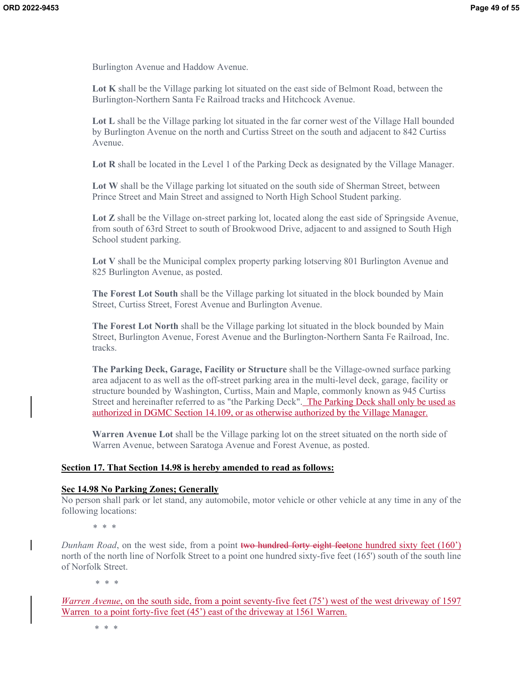Burlington Avenue and Haddow Avenue.

**Lot K** shall be the Village parking lot situated on the east side of Belmont Road, between the Burlington-Northern Santa Fe Railroad tracks and Hitchcock Avenue.

**Lot L** shall be the Village parking lot situated in the far corner west of the Village Hall bounded by Burlington Avenue on the north and Curtiss Street on the south and adjacent to 842 Curtiss Avenue.

**Lot R** shall be located in the Level 1 of the Parking Deck as designated by the Village Manager.

**Lot W** shall be the Village parking lot situated on the south side of Sherman Street, between Prince Street and Main Street and assigned to North High School Student parking.

Lot **Z** shall be the Village on-street parking lot, located along the east side of Springside Avenue, from south of 63rd Street to south of Brookwood Drive, adjacent to and assigned to South High School student parking.

**Lot V** shall be the Municipal complex property parking lotserving 801 Burlington Avenue and 825 Burlington Avenue, as posted.

**The Forest Lot South** shall be the Village parking lot situated in the block bounded by Main Street, Curtiss Street, Forest Avenue and Burlington Avenue.

**The Forest Lot North** shall be the Village parking lot situated in the block bounded by Main Street, Burlington Avenue, Forest Avenue and the Burlington-Northern Santa Fe Railroad, Inc. tracks.

**The Parking Deck, Garage, Facility or Structure** shall be the Village-owned surface parking area adjacent to as well as the off-street parking area in the multi-level deck, garage, facility or structure bounded by Washington, Curtiss, Main and Maple, commonly known as 945 Curtiss Street and hereinafter referred to as "the Parking Deck". The Parking Deck shall only be used as authorized in DGMC Section 14.109, or as otherwise authorized by the Village Manager.

**Warren Avenue Lot** shall be the Village parking lot on the street situated on the north side of Warren Avenue, between Saratoga Avenue and Forest Avenue, as posted.

### **Section 17. That Section 14.98 is hereby amended to read as follows:**

#### **Sec 14.98 No Parking Zones; Generally**

No person shall park or let stand, any automobile, motor vehicle or other vehicle at any time in any of the following locations:

*\* \* \** 

*Dunham Road*, on the west side, from a point two hundred forty eight feetone hundred sixty feet (160') north of the north line of Norfolk Street to a point one hundred sixty-five feet (165') south of the south line of Norfolk Street.

 *\* \* \** 

*Warren Avenue*, on the south side, from a point seventy-five feet (75<sup>'</sup>) west of the west driveway of 1597 Warren to a point forty-five feet (45<sup>°</sup>) east of the driveway at 1561 Warren.

\* \* \*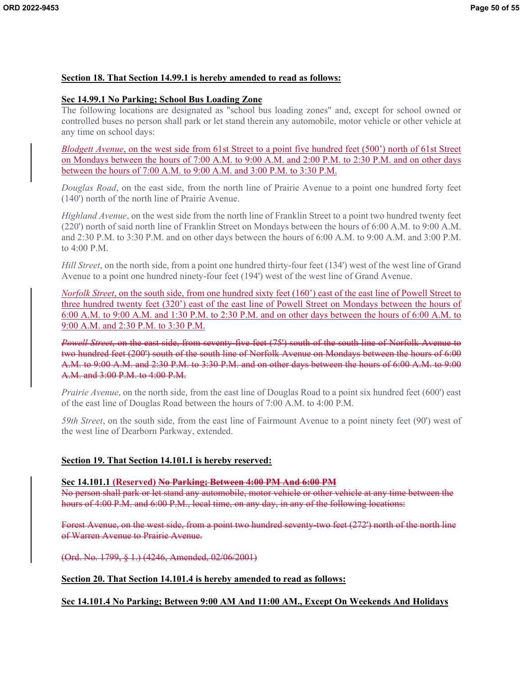### **Section 18. That Section 14.99.1 is hereby amended to read as follows:**

### **Sec 14.99.1 No Parking; School Bus Loading Zone**

The following locations are designated as "school bus loading zones" and, except for school owned or controlled buses no person shall park or let stand therein any automobile, motor vehicle or other vehicle at any time on school days:

*Blodgett Avenue*, on the west side from 61st Street to a point five hundred feet (500<sup>°</sup>) north of 61st Street on Mondays between the hours of 7:00 A.M. to 9:00 A.M. and 2:00 P.M. to 2:30 P.M. and on other days between the hours of 7:00 A.M. to 9:00 A.M. and 3:00 P.M. to 3:30 P.M.

*Douglas Road*, on the east side, from the north line of Prairie Avenue to a point one hundred forty feet (140') north of the north line of Prairie Avenue.

*Highland Avenue*, on the west side from the north line of Franklin Street to a point two hundred twenty feet (220') north of said north line of Franklin Street on Mondays between the hours of 6:00 A.M. to 9:00 A.M. and 2:30 P.M. to 3:30 P.M. and on other days between the hours of 6:00 A.M. to 9:00 A.M. and 3:00 P.M. to 4:00 P.M.

*Hill Street*, on the north side, from a point one hundred thirty-four feet (134') west of the west line of Grand Avenue to a point one hundred ninety-four feet (194') west of the west line of Grand Avenue.

*Norfolk Street*, on the south side, from one hundred sixty feet (160') east of the east line of Powell Street to three hundred twenty feet (320') east of the east line of Powell Street on Mondays between the hours of 6:00 A.M. to 9:00 A.M. and 1:30 P.M. to 2:30 P.M. and on other days between the hours of 6:00 A.M. to 9:00 A.M. and 2:30 P.M. to 3:30 P.M.

*Powell Street*, on the east side, from seventy-five feet (75') south of the south line of Norfolk Avenue to two hundred feet (200') south of the south line of Norfolk Avenue on Mondays between the hours of 6:00 A.M. to 9:00 A.M. and 2:30 P.M. to 3:30 P.M. and on other days between the hours of 6:00 A.M. to 9:00 A.M. and 3:00 P.M. to 4:00 P.M.

*Prairie Avenue*, on the north side, from the east line of Douglas Road to a point six hundred feet (600') east of the east line of Douglas Road between the hours of 7:00 A.M. to 4:00 P.M.

*59th Street*, on the south side, from the east line of Fairmount Avenue to a point ninety feet (90') west of the west line of Dearborn Parkway, extended.

### **Section 19. That Section 14.101.1 is hereby reserved:**

### **Sec 14.101.1 (Reserved) No Parking; Between 4:00 PM And 6:00 PM**

No person shall park or let stand any automobile, motor vehicle or other vehicle at any time between the hours of 4:00 P.M. and 6:00 P.M., local time, on any day, in any of the following locations:

Forest Avenue, on the west side, from a point two hundred seventy-two feet (272') north of the north line of Warren Avenue to Prairie Avenue.

(Ord. No. 1799, § 1.) (4246, Amended, 02/06/2001)

### **Section 20. That Section 14.101.4 is hereby amended to read as follows:**

### **Sec 14.101.4 No Parking; Between 9:00 AM And 11:00 AM., Except On Weekends And Holidays**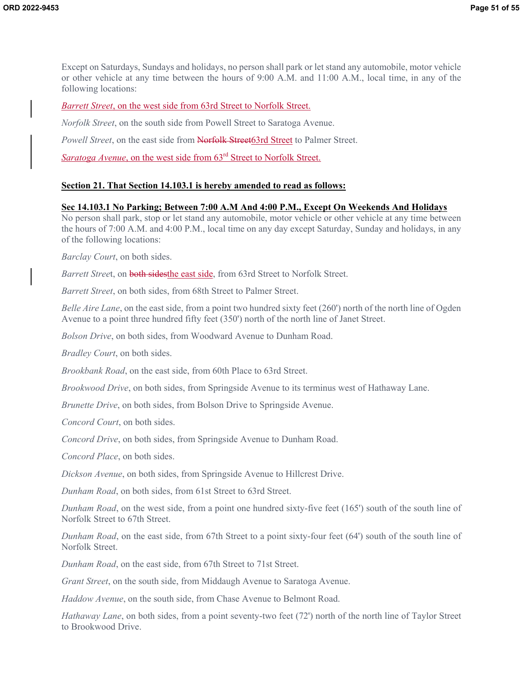Except on Saturdays, Sundays and holidays, no person shall park or let stand any automobile, motor vehicle or other vehicle at any time between the hours of 9:00 A.M. and 11:00 A.M., local time, in any of the following locations:

### *Barrett Street*, on the west side from 63rd Street to Norfolk Street.

*Norfolk Street*, on the south side from Powell Street to Saratoga Avenue.

*Powell Street*, on the east side from **Norfolk Street**63rd Street to Palmer Street.

*Saratoga Avenue*, on the west side from 63<sup>rd</sup> Street to Norfolk Street.

### **Section 21. That Section 14.103.1 is hereby amended to read as follows:**

### **Sec 14.103.1 No Parking; Between 7:00 A.M And 4:00 P.M., Except On Weekends And Holidays**

No person shall park, stop or let stand any automobile, motor vehicle or other vehicle at any time between the hours of 7:00 A.M. and 4:00 P.M., local time on any day except Saturday, Sunday and holidays, in any of the following locations:

*Barclay Court*, on both sides.

*Barrett Street*, on both sidesthe east side, from 63rd Street to Norfolk Street.

*Barrett Street*, on both sides, from 68th Street to Palmer Street.

*Belle Aire Lane*, on the east side, from a point two hundred sixty feet (260') north of the north line of Ogden Avenue to a point three hundred fifty feet (350') north of the north line of Janet Street.

*Bolson Drive*, on both sides, from Woodward Avenue to Dunham Road.

*Bradley Court*, on both sides.

*Brookbank Road*, on the east side, from 60th Place to 63rd Street.

*Brookwood Drive*, on both sides, from Springside Avenue to its terminus west of Hathaway Lane.

*Brunette Drive*, on both sides, from Bolson Drive to Springside Avenue.

*Concord Court*, on both sides.

*Concord Drive*, on both sides, from Springside Avenue to Dunham Road.

*Concord Place*, on both sides.

*Dickson Avenue*, on both sides, from Springside Avenue to Hillcrest Drive.

*Dunham Road*, on both sides, from 61st Street to 63rd Street.

*Dunham Road*, on the west side, from a point one hundred sixty-five feet (165') south of the south line of Norfolk Street to 67th Street.

*Dunham Road*, on the east side, from 67th Street to a point sixty-four feet (64') south of the south line of Norfolk Street.

*Dunham Road*, on the east side, from 67th Street to 71st Street.

*Grant Street*, on the south side, from Middaugh Avenue to Saratoga Avenue.

*Haddow Avenue*, on the south side, from Chase Avenue to Belmont Road.

*Hathaway Lane*, on both sides, from a point seventy-two feet (72') north of the north line of Taylor Street to Brookwood Drive.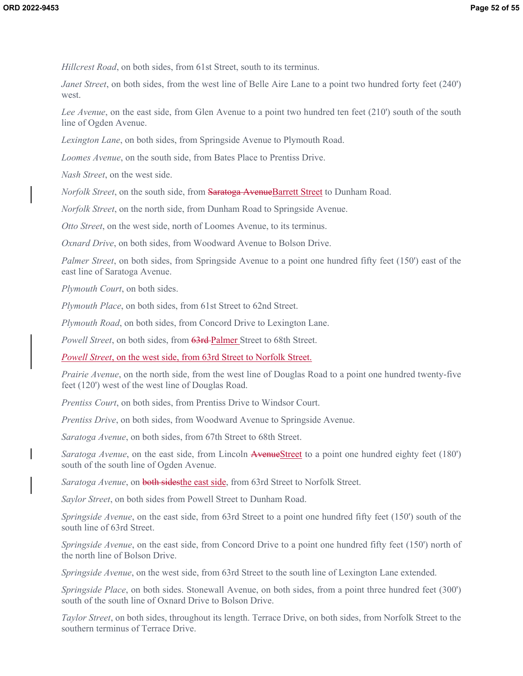*Hillcrest Road*, on both sides, from 61st Street, south to its terminus.

*Janet Street*, on both sides, from the west line of Belle Aire Lane to a point two hundred forty feet (240') west.

*Lee Avenue*, on the east side, from Glen Avenue to a point two hundred ten feet (210') south of the south line of Ogden Avenue.

*Lexington Lane*, on both sides, from Springside Avenue to Plymouth Road.

*Loomes Avenue*, on the south side, from Bates Place to Prentiss Drive.

*Nash Street*, on the west side.

*Norfolk Street*, on the south side, from Saratoga AvenueBarrett Street to Dunham Road.

*Norfolk Street*, on the north side, from Dunham Road to Springside Avenue.

*Otto Street*, on the west side, north of Loomes Avenue, to its terminus.

*Oxnard Drive*, on both sides, from Woodward Avenue to Bolson Drive.

*Palmer Street*, on both sides, from Springside Avenue to a point one hundred fifty feet (150') east of the east line of Saratoga Avenue.

*Plymouth Court*, on both sides.

*Plymouth Place*, on both sides, from 61st Street to 62nd Street.

*Plymouth Road*, on both sides, from Concord Drive to Lexington Lane.

Powell Street, on both sides, from 63rd-Palmer Street to 68th Street.

*Powell Street*, on the west side, from 63rd Street to Norfolk Street.

*Prairie Avenue*, on the north side, from the west line of Douglas Road to a point one hundred twenty-five feet (120') west of the west line of Douglas Road.

*Prentiss Court*, on both sides, from Prentiss Drive to Windsor Court.

*Prentiss Drive*, on both sides, from Woodward Avenue to Springside Avenue.

*Saratoga Avenue*, on both sides, from 67th Street to 68th Street.

*Saratoga Avenue*, on the east side, from Lincoln AvenueStreet to a point one hundred eighty feet (180') south of the south line of Ogden Avenue.

*Saratoga Avenue*, on **both sidesthe east side**, from 63rd Street to Norfolk Street.

*Saylor Street*, on both sides from Powell Street to Dunham Road.

*Springside Avenue*, on the east side, from 63rd Street to a point one hundred fifty feet (150') south of the south line of 63rd Street.

*Springside Avenue*, on the east side, from Concord Drive to a point one hundred fifty feet (150') north of the north line of Bolson Drive.

*Springside Avenue*, on the west side, from 63rd Street to the south line of Lexington Lane extended.

*Springside Place*, on both sides. Stonewall Avenue, on both sides, from a point three hundred feet (300') south of the south line of Oxnard Drive to Bolson Drive.

*Taylor Street*, on both sides, throughout its length. Terrace Drive, on both sides, from Norfolk Street to the southern terminus of Terrace Drive.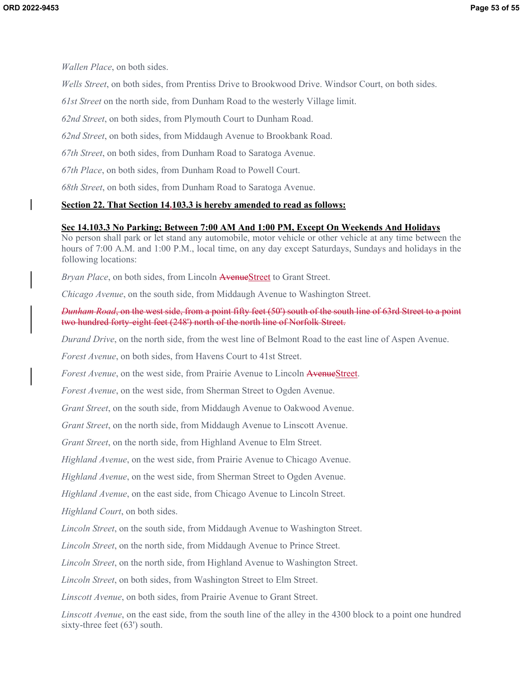*Wallen Place*, on both sides.

*Wells Street*, on both sides, from Prentiss Drive to Brookwood Drive. Windsor Court, on both sides.

*61st Street* on the north side, from Dunham Road to the westerly Village limit.

*62nd Street*, on both sides, from Plymouth Court to Dunham Road.

*62nd Street*, on both sides, from Middaugh Avenue to Brookbank Road.

*67th Street*, on both sides, from Dunham Road to Saratoga Avenue.

*67th Place*, on both sides, from Dunham Road to Powell Court.

*68th Street*, on both sides, from Dunham Road to Saratoga Avenue.

### **Section 22. That Section 14.103.3 is hereby amended to read as follows:**

#### **Sec 14.103.3 No Parking; Between 7:00 AM And 1:00 PM, Except On Weekends And Holidays**

No person shall park or let stand any automobile, motor vehicle or other vehicle at any time between the hours of 7:00 A.M. and 1:00 P.M., local time, on any day except Saturdays, Sundays and holidays in the following locations:

*Bryan Place*, on both sides, from Lincoln AvenueStreet to Grant Street.

*Chicago Avenue*, on the south side, from Middaugh Avenue to Washington Street.

*Dunham Road*, on the west side, from a point fifty feet (50') south of the south line of 63rd Street to a point two hundred forty-eight feet (248') north of the north line of Norfolk Street.

*Durand Drive*, on the north side, from the west line of Belmont Road to the east line of Aspen Avenue.

*Forest Avenue*, on both sides, from Havens Court to 41st Street.

*Forest Avenue*, on the west side, from Prairie Avenue to Lincoln AvenueStreet.

*Forest Avenue*, on the west side, from Sherman Street to Ogden Avenue.

*Grant Street*, on the south side, from Middaugh Avenue to Oakwood Avenue.

*Grant Street*, on the north side, from Middaugh Avenue to Linscott Avenue.

*Grant Street*, on the north side, from Highland Avenue to Elm Street.

*Highland Avenue*, on the west side, from Prairie Avenue to Chicago Avenue.

*Highland Avenue*, on the west side, from Sherman Street to Ogden Avenue.

*Highland Avenue*, on the east side, from Chicago Avenue to Lincoln Street.

*Highland Court*, on both sides.

*Lincoln Street*, on the south side, from Middaugh Avenue to Washington Street.

*Lincoln Street*, on the north side, from Middaugh Avenue to Prince Street.

*Lincoln Street*, on the north side, from Highland Avenue to Washington Street.

*Lincoln Street*, on both sides, from Washington Street to Elm Street.

*Linscott Avenue*, on both sides, from Prairie Avenue to Grant Street.

*Linscott Avenue*, on the east side, from the south line of the alley in the 4300 block to a point one hundred sixty-three feet (63') south.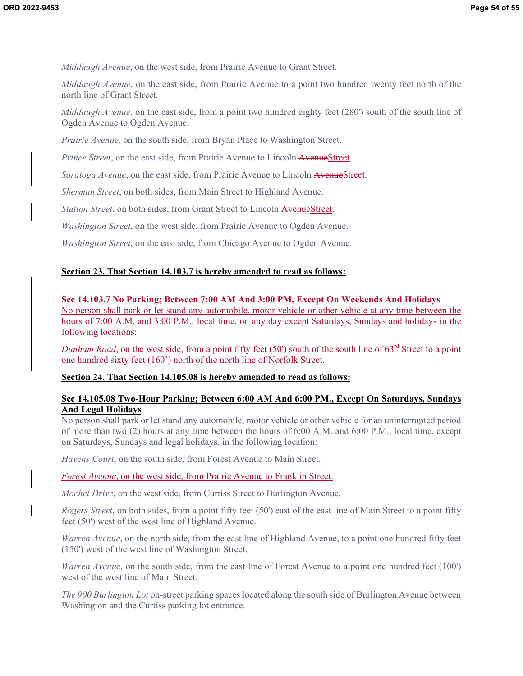*Middaugh Avenue*, on the west side, from Prairie Avenue to Grant Street.

*Middaugh Avenue*, on the east side, from Prairie Avenue to a point two hundred twenty feet north of the north line of Grant Street.

*Middaugh Avenue*, on the east side, from a point two hundred eighty feet (280') south of the south line of Ogden Avenue to Ogden Avenue.

*Prairie Avenue*, on the south side, from Bryan Place to Washington Street.

*Prince Street*, on the east side, from Prairie Avenue to Lincoln AvenueStreet.

*Saratoga Avenue*, on the east side, from Prairie Avenue to Lincoln AvenueStreet.

*Sherman Street*, on both sides, from Main Street to Highland Avenue.

*Statton Street*, on both sides, from Grant Street to Lincoln AvenueStreet.

*Washington Street*, on the west side, from Prairie Avenue to Ogden Avenue.

*Washington Street*, on the east side, from Chicago Avenue to Ogden Avenue.

# **Section 23. That Section 14.103.7 is hereby amended to read as follows:**

# **Sec 14.103.7 No Parking; Between 7:00 AM And 3:00 PM, Except On Weekends And Holidays**

No person shall park or let stand any automobile, motor vehicle or other vehicle at any time between the hours of 7:00 A.M. and 3:00 P.M., local time, on any day except Saturdays, Sundays and holidays in the following locations:

*Dunham Road*, on the west side, from a point fifty feet (50') south of the south line of 63<sup>rd</sup> Street to a point one hundred sixty feet (160') north of the north line of Norfolk Street.

# **Section 24. That Section 14.105.08 is hereby amended to read as follows:**

# **Sec 14.105.08 Two-Hour Parking; Between 6:00 AM And 6:00 PM., Except On Saturdays, Sundays And Legal Holidays**

No person shall park or let stand any automobile, motor vehicle or other vehicle for an uninterrupted period of more than two (2) hours at any time between the hours of 6:00 A.M. and 6:00 P.M., local time, except on Saturdays, Sundays and legal holidays, in the following location:

*Havens Court*, on the south side, from Forest Avenue to Main Street.

# *Forest Avenue*, on the west side, from Prairie Avenue to Franklin Street.

*Mochel Drive*, on the west side, from Curtiss Street to Burlington Avenue.

*Rogers Street*, on both sides, from a point fifty feet (50') east of the east line of Main Street to a point fifty feet (50') west of the west line of Highland Avenue.

*Warren Avenue*, on the north side, from the east line of Highland Avenue, to a point one hundred fifty feet (150') west of the west line of Washington Street.

*Warren Avenue*, on the south side, from the east line of Forest Avenue to a point one hundred feet (100') west of the west line of Main Street.

*The 900 Burlington Lot* on-street parking spaces located along the south side of Burlington Avenue between Washington and the Curtiss parking lot entrance.